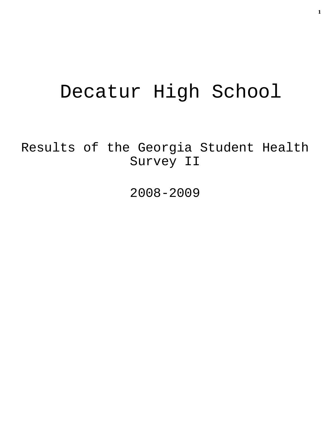# Decatur High School

Results of the Georgia Student Health Survey II

2008-2009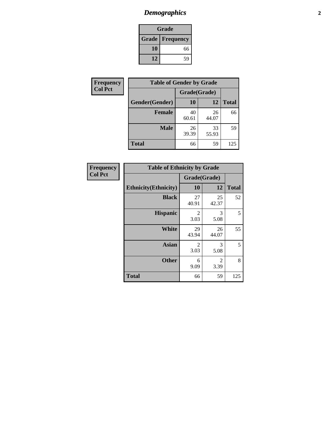# *Demographics* **2**

| Grade                    |    |  |  |
|--------------------------|----|--|--|
| <b>Grade   Frequency</b> |    |  |  |
| 10                       | 66 |  |  |
| 12                       | 59 |  |  |

| <b>Frequency</b> | <b>Table of Gender by Grade</b> |              |             |              |  |  |
|------------------|---------------------------------|--------------|-------------|--------------|--|--|
| <b>Col Pct</b>   |                                 | Grade(Grade) |             |              |  |  |
|                  | Gender(Gender)                  | 10           | 12          | <b>Total</b> |  |  |
|                  | <b>Female</b>                   | 40<br>60.61  | 26<br>44.07 | 66           |  |  |
|                  | <b>Male</b>                     | 26<br>39.39  | 33<br>55.93 | 59           |  |  |
|                  | <b>Total</b>                    | 66           | 59          | 125          |  |  |

| <b>Frequency</b> |  |
|------------------|--|
| Col Pct          |  |

| <b>Table of Ethnicity by Grade</b> |                        |             |              |  |  |  |
|------------------------------------|------------------------|-------------|--------------|--|--|--|
|                                    | Grade(Grade)           |             |              |  |  |  |
| <b>Ethnicity</b> (Ethnicity)       | 10                     | 12          | <b>Total</b> |  |  |  |
| <b>Black</b>                       | 27<br>40.91            | 25<br>42.37 | 52           |  |  |  |
| <b>Hispanic</b>                    | $\overline{2}$<br>3.03 | 3<br>5.08   | 5            |  |  |  |
| <b>White</b>                       | 29<br>43.94            | 26<br>44.07 | 55           |  |  |  |
| <b>Asian</b>                       | 2<br>3.03              | 3<br>5.08   | 5            |  |  |  |
| <b>Other</b>                       | 6<br>9.09              | 2<br>3.39   | 8            |  |  |  |
| <b>Total</b>                       | 66                     | 59          | 125          |  |  |  |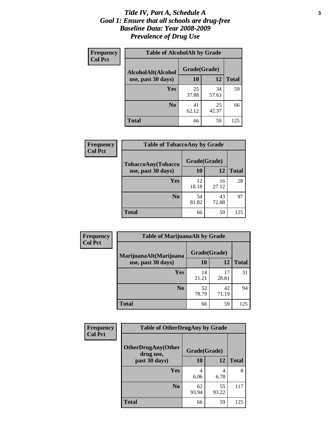#### *Title IV, Part A, Schedule A* **3** *Goal 1: Ensure that all schools are drug-free Baseline Data: Year 2008-2009 Prevalence of Drug Use*

| Frequency<br><b>Col Pct</b> | <b>Table of AlcoholAlt by Grade</b> |              |             |              |  |  |
|-----------------------------|-------------------------------------|--------------|-------------|--------------|--|--|
|                             | AlcoholAlt(Alcohol                  | Grade(Grade) |             |              |  |  |
|                             | use, past 30 days)                  | 10           | 12          | <b>Total</b> |  |  |
|                             | Yes                                 | 25<br>37.88  | 34<br>57.63 | 59           |  |  |
|                             | N <sub>0</sub>                      | 41<br>62.12  | 25<br>42.37 | 66           |  |  |
|                             | <b>Total</b>                        | 66           | 59          | 125          |  |  |

| Frequency<br><b>Col Pct</b> | <b>Table of TobaccoAny by Grade</b> |              |             |              |  |  |
|-----------------------------|-------------------------------------|--------------|-------------|--------------|--|--|
|                             | <b>TobaccoAny(Tobacco</b>           | Grade(Grade) |             |              |  |  |
|                             | use, past 30 days)                  | 10           | 12          | <b>Total</b> |  |  |
|                             | Yes                                 | 12<br>18.18  | 16<br>27.12 | 28           |  |  |
|                             | N <sub>0</sub>                      | 54<br>81.82  | 43<br>72.88 | 97           |  |  |
|                             | Total                               | 66           | 59          | 125          |  |  |

| Frequency      | <b>Table of MarijuanaAlt by Grade</b> |              |             |              |  |
|----------------|---------------------------------------|--------------|-------------|--------------|--|
| <b>Col Pct</b> | MarijuanaAlt(Marijuana                | Grade(Grade) |             |              |  |
|                | use, past 30 days)                    | 10           | 12          | <b>Total</b> |  |
|                | Yes                                   | 14<br>21.21  | 17<br>28.81 | 31           |  |
|                | N <sub>0</sub>                        | 52<br>78.79  | 42<br>71.19 | 94           |  |
|                | <b>Total</b>                          | 66           | 59          | 125          |  |

| <b>Frequency</b> | <b>Table of OtherDrugAny by Grade</b>  |              |             |              |  |
|------------------|----------------------------------------|--------------|-------------|--------------|--|
| <b>Col Pct</b>   | <b>OtherDrugAny(Other</b><br>drug use, | Grade(Grade) |             |              |  |
|                  | past 30 days)                          | <b>10</b>    | <b>12</b>   | <b>Total</b> |  |
|                  | Yes                                    | 6.06         | 4<br>6.78   | 8            |  |
|                  | N <sub>0</sub>                         | 62<br>93.94  | 55<br>93.22 | 117          |  |
|                  | <b>Total</b>                           | 66           | 59          | 125          |  |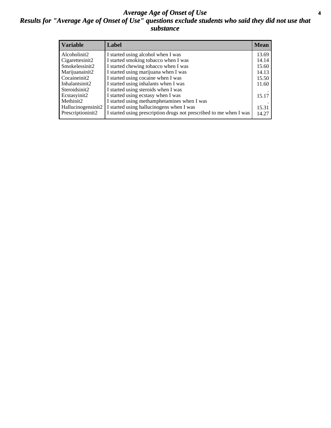#### *Average Age of Onset of Use* **4** *Results for "Average Age of Onset of Use" questions exclude students who said they did not use that substance*

| <b>Variable</b>    | Label                                                              | <b>Mean</b> |
|--------------------|--------------------------------------------------------------------|-------------|
| Alcoholinit2       | I started using alcohol when I was                                 | 13.69       |
| Cigarettesinit2    | I started smoking tobacco when I was                               | 14.14       |
| Smokelessinit2     | I started chewing tobacco when I was                               | 15.60       |
| Marijuanainit2     | I started using marijuana when I was                               | 14.13       |
| Cocaineinit2       | I started using cocaine when I was                                 | 15.50       |
| Inhalantsinit2     | I started using inhalants when I was                               | 11.60       |
| Steroidsinit2      | I started using steroids when I was                                |             |
| Ecstasyinit2       | I started using ecstasy when I was                                 | 15.17       |
| Methinit2          | I started using methamphetamines when I was                        |             |
| Hallucinogensinit2 | I started using hallucinogens when I was                           | 15.31       |
| Prescriptioninit2  | I started using prescription drugs not prescribed to me when I was | 14.27       |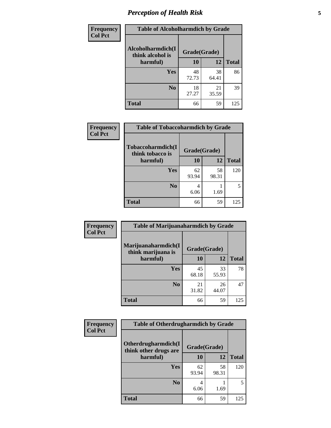# *Perception of Health Risk* **5**

| Frequency      | <b>Table of Alcoholharmdich by Grade</b> |              |             |              |  |
|----------------|------------------------------------------|--------------|-------------|--------------|--|
| <b>Col Pct</b> | Alcoholharmdich(I<br>think alcohol is    | Grade(Grade) |             |              |  |
|                | harmful)                                 | 10           | 12          | <b>Total</b> |  |
|                | Yes                                      | 48<br>72.73  | 38<br>64.41 | 86           |  |
|                | N <sub>0</sub>                           | 18<br>27.27  | 21<br>35.59 | 39           |  |
|                | <b>Total</b>                             | 66           | 59          | 125          |  |

| <b>Frequency</b> | <b>Table of Tobaccoharmdich by Grade</b> |              |             |              |
|------------------|------------------------------------------|--------------|-------------|--------------|
| <b>Col Pct</b>   | Tobaccoharmdich(I<br>think tobacco is    | Grade(Grade) |             |              |
|                  | harmful)                                 | 10           | 12          | <b>Total</b> |
|                  | Yes                                      | 62<br>93.94  | 58<br>98.31 | 120          |
|                  | N <sub>0</sub>                           | 4<br>6.06    | 1.69        |              |
|                  | <b>Total</b>                             | 66           | 59          | 125          |

| Frequency      | <b>Table of Marijuanaharmdich by Grade</b> |              |             |              |  |  |
|----------------|--------------------------------------------|--------------|-------------|--------------|--|--|
| <b>Col Pct</b> | Marijuanaharmdich(I<br>think marijuana is  | Grade(Grade) |             |              |  |  |
|                | harmful)                                   | <b>10</b>    | 12          | <b>Total</b> |  |  |
|                | <b>Yes</b>                                 | 45<br>68.18  | 33<br>55.93 | 78           |  |  |
|                | N <sub>0</sub>                             | 21<br>31.82  | 26<br>44.07 | 47           |  |  |
|                | <b>Total</b>                               | 66           | 59          | 125          |  |  |

| Frequency      | <b>Table of Otherdrugharmdich by Grade</b>   |              |             |              |  |  |  |  |
|----------------|----------------------------------------------|--------------|-------------|--------------|--|--|--|--|
| <b>Col Pct</b> | Otherdrugharmdich(I<br>think other drugs are | Grade(Grade) |             |              |  |  |  |  |
|                | harmful)                                     | <b>10</b>    | <b>12</b>   | <b>Total</b> |  |  |  |  |
|                | Yes                                          | 62<br>93.94  | 58<br>98.31 | 120          |  |  |  |  |
|                | N <sub>0</sub>                               | 6.06         | 1.69        | 5            |  |  |  |  |
|                | <b>Total</b>                                 | 66           | 59          | 125          |  |  |  |  |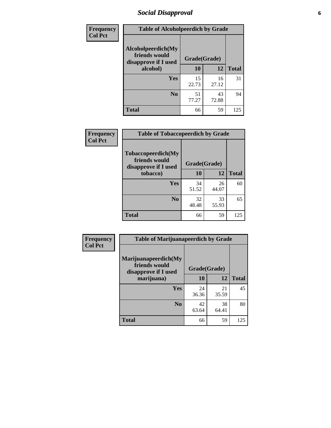# *Social Disapproval* **6**

| Frequency      | <b>Table of Alcoholpeerdich by Grade</b>                    |              |             |              |
|----------------|-------------------------------------------------------------|--------------|-------------|--------------|
| <b>Col Pct</b> | Alcoholpeerdich(My<br>friends would<br>disapprove if I used | Grade(Grade) |             |              |
|                | alcohol)                                                    | 10           | 12          | <b>Total</b> |
|                | <b>Yes</b>                                                  | 15<br>22.73  | 16<br>27.12 | 31           |
|                | N <sub>0</sub>                                              | 51<br>77.27  | 43<br>72.88 | 94           |
|                | Total                                                       | 66           | 59          | 125          |

| <b>Frequency</b> |
|------------------|
| <b>Col Pct</b>   |

| <b>Table of Tobaccopeerdich by Grade</b>                    |              |             |              |  |  |  |
|-------------------------------------------------------------|--------------|-------------|--------------|--|--|--|
| Tobaccopeerdich(My<br>friends would<br>disapprove if I used | Grade(Grade) |             |              |  |  |  |
| tobacco)                                                    | 10           | 12          | <b>Total</b> |  |  |  |
| Yes                                                         | 34<br>51.52  | 26<br>44.07 | 60           |  |  |  |
| N <sub>0</sub>                                              | 32<br>48.48  | 33<br>55.93 | 65           |  |  |  |
| <b>Total</b>                                                | 66           | 59          | 125          |  |  |  |

| Frequency      | <b>Table of Marijuanapeerdich by Grade</b>                    |              |             |              |  |  |  |  |
|----------------|---------------------------------------------------------------|--------------|-------------|--------------|--|--|--|--|
| <b>Col Pct</b> | Marijuanapeerdich(My<br>friends would<br>disapprove if I used | Grade(Grade) |             |              |  |  |  |  |
|                | marijuana)                                                    | 10           | 12          | <b>Total</b> |  |  |  |  |
|                | Yes                                                           | 24<br>36.36  | 21<br>35.59 | 45           |  |  |  |  |
|                | N <sub>0</sub>                                                | 42<br>63.64  | 38<br>64.41 | 80           |  |  |  |  |
|                | <b>Total</b>                                                  | 66           | 59          | 125          |  |  |  |  |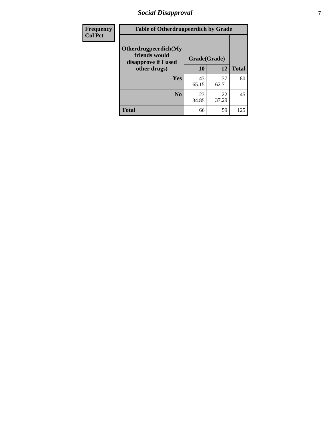# *Social Disapproval* **7**

| Frequency      | <b>Table of Otherdrugpeerdich by Grade</b>                    |              |             |              |  |  |  |  |
|----------------|---------------------------------------------------------------|--------------|-------------|--------------|--|--|--|--|
| <b>Col Pct</b> | Otherdrugpeerdich(My<br>friends would<br>disapprove if I used | Grade(Grade) |             |              |  |  |  |  |
|                | other drugs)                                                  | 10           | 12          | <b>Total</b> |  |  |  |  |
|                | Yes                                                           | 43<br>65.15  | 37<br>62.71 | 80           |  |  |  |  |
|                | N <sub>0</sub>                                                | 23<br>34.85  | 22<br>37.29 | 45           |  |  |  |  |
|                | <b>Total</b>                                                  | 66           | 59          | 125          |  |  |  |  |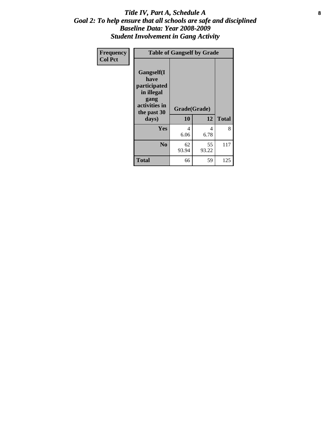#### Title IV, Part A, Schedule A **8** *Goal 2: To help ensure that all schools are safe and disciplined Baseline Data: Year 2008-2009 Student Involvement in Gang Activity*

| Frequency      | <b>Table of Gangself by Grade</b>                                                                 |                    |             |              |
|----------------|---------------------------------------------------------------------------------------------------|--------------------|-------------|--------------|
| <b>Col Pct</b> | Gangself(I<br>have<br>participated<br>in illegal<br>gang<br>activities in<br>the past 30<br>days) | Grade(Grade)<br>10 | 12          | <b>Total</b> |
|                | Yes                                                                                               | 4<br>6.06          | 4<br>6.78   | 8            |
|                | N <sub>0</sub>                                                                                    | 62<br>93.94        | 55<br>93.22 | 117          |
|                | Total                                                                                             | 66                 | 59          | 125          |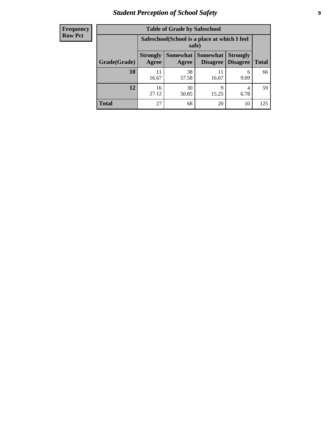# *Student Perception of School Safety* **9**

| <b>Frequency</b><br>Row Pct |
|-----------------------------|
|                             |

| <b>Table of Grade by Safeschool</b> |                                                        |                     |                             |                                    |              |  |  |
|-------------------------------------|--------------------------------------------------------|---------------------|-----------------------------|------------------------------------|--------------|--|--|
|                                     | Safeschool (School is a place at which I feel<br>safe) |                     |                             |                                    |              |  |  |
| Grade(Grade)                        | <b>Strongly</b><br>Agree                               | Somewhat  <br>Agree | <b>Somewhat</b><br>Disagree | <b>Strongly</b><br><b>Disagree</b> | <b>Total</b> |  |  |
| 10                                  | 11<br>16.67                                            | 38<br>57.58         | 11<br>16.67                 | 6<br>9.09                          | 66           |  |  |
| 12                                  | 16<br>27.12                                            | 30<br>50.85         | 9<br>15.25                  | 4<br>6.78                          | 59           |  |  |
| <b>Total</b>                        | 27                                                     | 68                  | 20                          | 10                                 | 125          |  |  |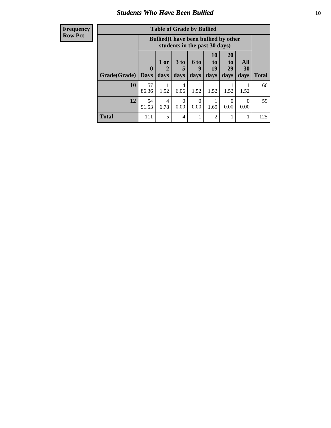#### *Students Who Have Been Bullied* **10**

| <b>Frequency</b> |
|------------------|
| Row Pct          |

| <b>Table of Grade by Bullied</b> |                         |                                                                               |                              |                   |                        |                        |                          |              |
|----------------------------------|-------------------------|-------------------------------------------------------------------------------|------------------------------|-------------------|------------------------|------------------------|--------------------------|--------------|
|                                  |                         | <b>Bullied</b> (I have been bullied by other<br>students in the past 30 days) |                              |                   |                        |                        |                          |              |
| Grade(Grade)                     | $\bf{0}$<br><b>Days</b> | 1 or<br>2<br>days                                                             | 3 <sub>to</sub><br>5<br>days | 6 to<br>9<br>days | 10<br>to<br>19<br>days | 20<br>to<br>29<br>days | All<br><b>30</b><br>days | <b>Total</b> |
| 10                               | 57<br>86.36             | 1.52                                                                          | 4<br>6.06                    | 1.52              | 1.52                   | 1.52                   | 1.52                     | 66           |
| 12                               | 54<br>91.53             | 4<br>6.78                                                                     | 0<br>0.00                    | $\Omega$<br>0.00  | 1.69                   | $\Omega$<br>0.00       | $\theta$<br>0.00         | 59           |
| <b>Total</b>                     | 111                     | 5                                                                             | 4                            |                   | 2                      |                        |                          | 125          |

 $\blacksquare$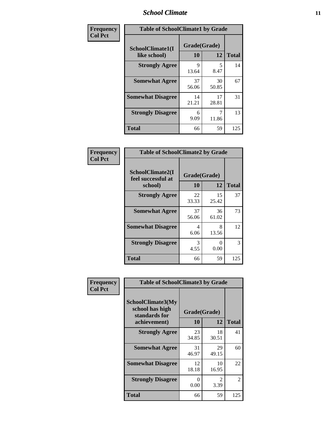#### *School Climate* **11**

| Frequency      | <b>Table of SchoolClimate1 by Grade</b> |                    |             |              |  |  |  |  |
|----------------|-----------------------------------------|--------------------|-------------|--------------|--|--|--|--|
| <b>Col Pct</b> | SchoolClimate1(I<br>like school)        | Grade(Grade)<br>10 | 12          | <b>Total</b> |  |  |  |  |
|                | <b>Strongly Agree</b>                   | 9<br>13.64         | 5<br>8.47   | 14           |  |  |  |  |
|                | <b>Somewhat Agree</b>                   | 37<br>56.06        | 30<br>50.85 | 67           |  |  |  |  |
|                | <b>Somewhat Disagree</b>                | 14<br>21.21        | 17<br>28.81 | 31           |  |  |  |  |
|                | <b>Strongly Disagree</b>                | 6<br>9.09          | 11.86       | 13           |  |  |  |  |
|                | <b>Total</b>                            | 66                 | 59          | 125          |  |  |  |  |

| <b>Frequency</b> |  |
|------------------|--|
| <b>Col Pct</b>   |  |

| <b>Table of SchoolClimate2 by Grade</b>           |                    |             |              |  |  |
|---------------------------------------------------|--------------------|-------------|--------------|--|--|
| SchoolClimate2(I<br>feel successful at<br>school) | Grade(Grade)<br>10 | 12          | <b>Total</b> |  |  |
| <b>Strongly Agree</b>                             | 22<br>33.33        | 15<br>25.42 | 37           |  |  |
| <b>Somewhat Agree</b>                             | 37<br>56.06        | 36<br>61.02 | 73           |  |  |
| <b>Somewhat Disagree</b>                          | 4<br>6.06          | 8<br>13.56  | 12           |  |  |
| <b>Strongly Disagree</b>                          | 3<br>4.55          | 0.00        | 3            |  |  |
| <b>Total</b>                                      | 66                 | 59          | 125          |  |  |

| Frequency      | <b>Table of SchoolClimate3 by Grade</b>                                      |                           |             |              |
|----------------|------------------------------------------------------------------------------|---------------------------|-------------|--------------|
| <b>Col Pct</b> | <b>SchoolClimate3(My</b><br>school has high<br>standards for<br>achievement) | Grade(Grade)<br><b>10</b> | 12          | <b>Total</b> |
|                |                                                                              |                           |             |              |
|                | <b>Strongly Agree</b>                                                        | 23<br>34.85               | 18<br>30.51 | 41           |
|                | <b>Somewhat Agree</b>                                                        | 31<br>46.97               | 29<br>49.15 | 60           |
|                | <b>Somewhat Disagree</b>                                                     | 12<br>18.18               | 10<br>16.95 | 22           |
|                | <b>Strongly Disagree</b>                                                     | $\mathbf{\Omega}$<br>0.00 | 2<br>3.39   | 2            |
|                | Total                                                                        | 66                        | 59          | 125          |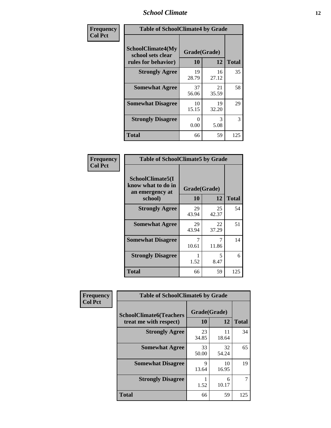#### *School Climate* **12**

| Frequency      | <b>Table of SchoolClimate4 by Grade</b>                              |                    |             |              |
|----------------|----------------------------------------------------------------------|--------------------|-------------|--------------|
| <b>Col Pct</b> | <b>SchoolClimate4(My</b><br>school sets clear<br>rules for behavior) | Grade(Grade)<br>10 | 12          | <b>Total</b> |
|                | <b>Strongly Agree</b>                                                | 19<br>28.79        | 16<br>27.12 | 35           |
|                | <b>Somewhat Agree</b>                                                | 37<br>56.06        | 21<br>35.59 | 58           |
|                | <b>Somewhat Disagree</b>                                             | 10<br>15.15        | 19<br>32.20 | 29           |
|                | <b>Strongly Disagree</b>                                             | 0<br>0.00          | 3<br>5.08   | 3            |
|                | Total                                                                | 66                 | 59          | 125          |

| <b>Table of SchoolClimate5 by Grade</b>                              |                    |              |     |  |
|----------------------------------------------------------------------|--------------------|--------------|-----|--|
| SchoolClimate5(I<br>know what to do in<br>an emergency at<br>school) | Grade(Grade)<br>10 | <b>Total</b> |     |  |
| <b>Strongly Agree</b>                                                | 29<br>43.94        | 25<br>42.37  | 54  |  |
| <b>Somewhat Agree</b>                                                | 29<br>43.94        | 22<br>37.29  | 51  |  |
| <b>Somewhat Disagree</b>                                             | 7<br>10.61         | 7<br>11.86   | 14  |  |
| <b>Strongly Disagree</b>                                             | 1.52               | 5<br>8.47    | 6   |  |
| <b>Total</b>                                                         | 66                 | 59           | 125 |  |

| Frequency      | <b>Table of SchoolClimate6 by Grade</b>                  |                    |             |              |  |
|----------------|----------------------------------------------------------|--------------------|-------------|--------------|--|
| <b>Col Pct</b> | <b>SchoolClimate6(Teachers</b><br>treat me with respect) | Grade(Grade)<br>10 | 12          | <b>Total</b> |  |
|                | <b>Strongly Agree</b>                                    | 23<br>34.85        | 11<br>18.64 | 34           |  |
|                | <b>Somewhat Agree</b>                                    | 33<br>50.00        | 32<br>54.24 | 65           |  |
|                | <b>Somewhat Disagree</b>                                 | 9<br>13.64         | 10<br>16.95 | 19           |  |
|                | <b>Strongly Disagree</b>                                 | 1.52               | 6<br>10.17  |              |  |
|                | <b>Total</b>                                             | 66                 | 59          | 125          |  |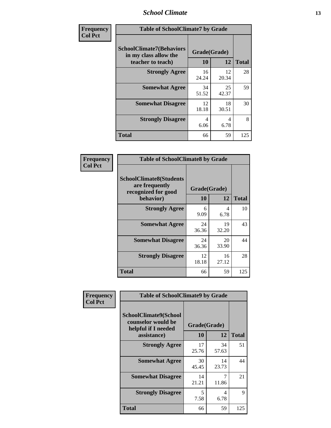#### *School Climate* **13**

| Frequency      | <b>Table of SchoolClimate7 by Grade</b>                                       |                           |             |              |
|----------------|-------------------------------------------------------------------------------|---------------------------|-------------|--------------|
| <b>Col Pct</b> | <b>SchoolClimate7(Behaviors</b><br>in my class allow the<br>teacher to teach) | Grade(Grade)<br><b>10</b> | 12          | <b>Total</b> |
|                | <b>Strongly Agree</b>                                                         | 16<br>24.24               | 12<br>20.34 | 28           |
|                | <b>Somewhat Agree</b>                                                         | 34<br>51.52               | 25<br>42.37 | 59           |
|                | <b>Somewhat Disagree</b>                                                      | 12<br>18.18               | 18<br>30.51 | 30           |
|                | <b>Strongly Disagree</b>                                                      | 4<br>6.06                 | 4<br>6.78   | 8            |
|                | <b>Total</b>                                                                  | 66                        | 59          | 125          |

| Frequency      | <b>Table of SchoolClimate8 by Grade</b>                                              |                    |             |              |
|----------------|--------------------------------------------------------------------------------------|--------------------|-------------|--------------|
| <b>Col Pct</b> | <b>SchoolClimate8(Students</b><br>are frequently<br>recognized for good<br>behavior) | Grade(Grade)<br>10 | 12          | <b>Total</b> |
|                | <b>Strongly Agree</b>                                                                | 6<br>9.09          | 4<br>6.78   | 10           |
|                | <b>Somewhat Agree</b>                                                                | 24<br>36.36        | 19<br>32.20 | 43           |
|                | <b>Somewhat Disagree</b>                                                             | 24<br>36.36        | 20<br>33.90 | 44           |
|                | <b>Strongly Disagree</b>                                                             | 12<br>18.18        | 16<br>27.12 | 28           |
|                | <b>Total</b>                                                                         | 66                 | 59          | 125          |

| Frequency      | <b>Table of SchoolClimate9 by Grade</b>                                           |                    |             |              |
|----------------|-----------------------------------------------------------------------------------|--------------------|-------------|--------------|
| <b>Col Pct</b> | SchoolClimate9(School<br>counselor would be<br>helpful if I needed<br>assistance) | Grade(Grade)<br>10 | 12          | <b>Total</b> |
|                | <b>Strongly Agree</b>                                                             | 17<br>25.76        | 34<br>57.63 | 51           |
|                | <b>Somewhat Agree</b>                                                             | 30<br>45.45        | 14<br>23.73 | 44           |
|                | <b>Somewhat Disagree</b>                                                          | 14<br>21.21        | 7<br>11.86  | 21           |
|                | <b>Strongly Disagree</b>                                                          | 5<br>7.58          | 4<br>6.78   | 9            |
|                | <b>Total</b>                                                                      | 66                 | 59          | 125          |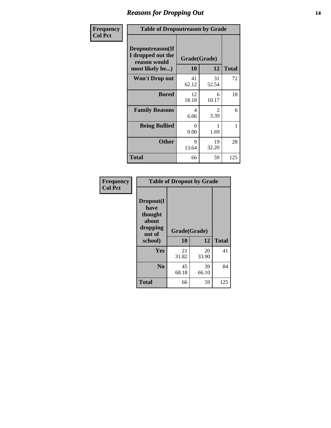### *Reasons for Dropping Out* **14**

| Frequency      | <b>Table of Dropoutreason by Grade</b>                                   |                           |                        |              |
|----------------|--------------------------------------------------------------------------|---------------------------|------------------------|--------------|
| <b>Col Pct</b> | Dropoutreason(If<br>I dropped out the<br>reason would<br>most likely be) | Grade(Grade)<br><b>10</b> | 12                     | <b>Total</b> |
|                | Won't Drop out                                                           | 41<br>62.12               | 31<br>52.54            | 72           |
|                | <b>Bored</b>                                                             | 12<br>18.18               | 6<br>10.17             | 18           |
|                | <b>Family Reasons</b>                                                    | 4<br>6.06                 | $\mathfrak{D}$<br>3.39 | 6            |
|                | <b>Being Bullied</b>                                                     | 0<br>0.00                 | 1.69                   | 1            |
|                | <b>Other</b>                                                             | 9<br>13.64                | 19<br>32.20            | 28           |
|                | <b>Total</b>                                                             | 66                        | 59                     | 125          |

| Frequency      | <b>Table of Dropout by Grade</b>                                       |                    |             |              |  |
|----------------|------------------------------------------------------------------------|--------------------|-------------|--------------|--|
| <b>Col Pct</b> | Dropout(I<br>have<br>thought<br>about<br>dropping<br>out of<br>school) | Grade(Grade)<br>10 | 12          | <b>Total</b> |  |
|                | Yes                                                                    | 21<br>31.82        | 20<br>33.90 | 41           |  |
|                | N <sub>0</sub>                                                         | 45<br>68.18        | 39<br>66.10 | 84           |  |
|                | <b>Total</b>                                                           | 66                 | 59          | 125          |  |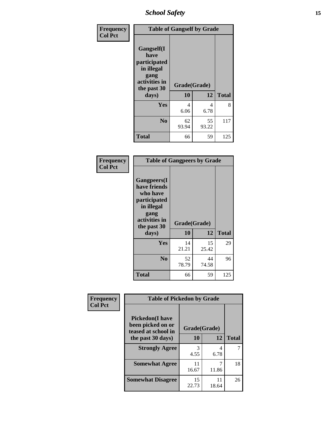*School Safety* **15**

| Frequency      |                                                                                                   | <b>Table of Gangself by Grade</b> |             |              |  |  |
|----------------|---------------------------------------------------------------------------------------------------|-----------------------------------|-------------|--------------|--|--|
| <b>Col Pct</b> | Gangself(I<br>have<br>participated<br>in illegal<br>gang<br>activities in<br>the past 30<br>days) | Grade(Grade)<br>10                | 12          | <b>Total</b> |  |  |
|                | Yes                                                                                               | 4<br>6.06                         | 4<br>6.78   | 8            |  |  |
|                | N <sub>0</sub>                                                                                    | 62<br>93.94                       | 55<br>93.22 | 117          |  |  |
|                | <b>Total</b>                                                                                      | 66                                | 59          | 125          |  |  |

| Frequency<br><b>Col Pct</b> | <b>Table of Gangpeers by Grade</b>                                                                                             |                    |             |              |  |  |  |  |  |
|-----------------------------|--------------------------------------------------------------------------------------------------------------------------------|--------------------|-------------|--------------|--|--|--|--|--|
|                             | <b>Gangpeers</b> (I<br>have friends<br>who have<br>participated<br>in illegal<br>gang<br>activities in<br>the past 30<br>days) | Grade(Grade)<br>10 | 12          | <b>Total</b> |  |  |  |  |  |
|                             | <b>Yes</b>                                                                                                                     | 14<br>21.21        | 15<br>25.42 | 29           |  |  |  |  |  |
|                             | N <sub>0</sub>                                                                                                                 | 52<br>78.79        | 44<br>74.58 | 96           |  |  |  |  |  |
|                             | <b>Total</b>                                                                                                                   | 66                 | 59          | 125          |  |  |  |  |  |

| Frequency      | <b>Table of Pickedon by Grade</b>                                   |              |             |              |
|----------------|---------------------------------------------------------------------|--------------|-------------|--------------|
| <b>Col Pct</b> | <b>Pickedon</b> (I have<br>been picked on or<br>teased at school in | Grade(Grade) |             |              |
|                | the past 30 days)                                                   | 10           | 12          | <b>Total</b> |
|                | <b>Strongly Agree</b>                                               | 3<br>4.55    | 4<br>6.78   |              |
|                | <b>Somewhat Agree</b>                                               | 11<br>16.67  | 11.86       | 18           |
|                | <b>Somewhat Disagree</b>                                            | 15<br>22.73  | 11<br>18.64 | 26           |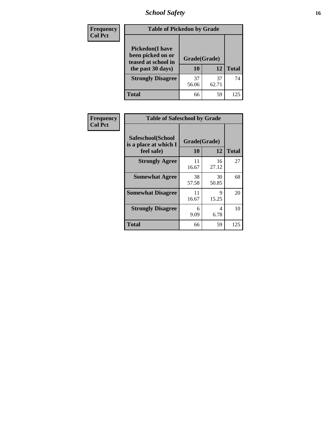# *School Safety* **16**

| <b>Frequency</b> | <b>Table of Pickedon by Grade</b>                                                        |                    |             |              |
|------------------|------------------------------------------------------------------------------------------|--------------------|-------------|--------------|
| <b>Col Pct</b>   | <b>Pickedon</b> (I have<br>been picked on or<br>teased at school in<br>the past 30 days) | Grade(Grade)<br>10 | 12          | <b>Total</b> |
|                  | <b>Strongly Disagree</b>                                                                 | 37<br>56.06        | 37<br>62.71 | 74           |
|                  | Total                                                                                    | 66                 | 59          | 125          |

| Frequency      | <b>Table of Safeschool by Grade</b>                      |                    |             |              |
|----------------|----------------------------------------------------------|--------------------|-------------|--------------|
| <b>Col Pct</b> | Safeschool(School<br>is a place at which I<br>feel safe) | Grade(Grade)<br>10 | 12          | <b>Total</b> |
|                | <b>Strongly Agree</b>                                    | 11<br>16.67        | 16<br>27.12 | 27           |
|                | <b>Somewhat Agree</b>                                    | 38<br>57.58        | 30<br>50.85 | 68           |
|                | <b>Somewhat Disagree</b>                                 | 11<br>16.67        | 9<br>15.25  | 20           |
|                | <b>Strongly Disagree</b>                                 | 6<br>9.09          | 4<br>6.78   | 10           |
|                | <b>Total</b>                                             | 66                 | 59          | 125          |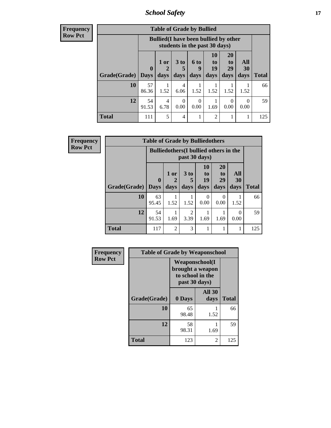*School Safety* **17**

| <b>Frequency</b> |
|------------------|
| <b>Row Pct</b>   |

| y | <b>Table of Grade by Bullied</b> |             |                                                                               |                              |                   |                               |                               |                   |              |  |
|---|----------------------------------|-------------|-------------------------------------------------------------------------------|------------------------------|-------------------|-------------------------------|-------------------------------|-------------------|--------------|--|
|   |                                  |             | <b>Bullied</b> (I have been bullied by other<br>students in the past 30 days) |                              |                   |                               |                               |                   |              |  |
|   | <b>Grade</b> (Grade) Days        | $\bf{0}$    | 1 or<br>$\overline{2}$<br>days                                                | 3 <sub>to</sub><br>5<br>days | 6 to<br>9<br>days | <b>10</b><br>to<br>19<br>days | <b>20</b><br>to<br>29<br>days | All<br>30<br>days | <b>Total</b> |  |
|   | 10                               | 57<br>86.36 | 1.52                                                                          | 4<br>6.06                    | 1.52              | 1.52                          | 1.52                          | 1.52              | 66           |  |
|   | 12                               | 54<br>91.53 | 4<br>6.78                                                                     | 0<br>0.00                    | 0<br>0.00         | 1.69                          | 0.00                          | 0<br>0.00         | 59           |  |
|   | <b>Total</b>                     | 111         | 5                                                                             | 4                            | 1                 | $\overline{2}$                |                               |                   | 125          |  |

| Frequency      | <b>Table of Grade by Bulliedothers</b> |             |                                               |                        |                        |                               |                   |              |
|----------------|----------------------------------------|-------------|-----------------------------------------------|------------------------|------------------------|-------------------------------|-------------------|--------------|
| <b>Row Pct</b> |                                        |             | <b>Bulliedothers</b> (I bullied others in the |                        | past 30 days)          |                               |                   |              |
|                | <b>Grade</b> (Grade) Days              | $\bf{0}$    | 1 or<br>days                                  | 3 to<br>days           | 10<br>to<br>19<br>days | <b>20</b><br>to<br>29<br>days | All<br>30<br>days | <b>Total</b> |
|                | 10                                     | 63<br>95.45 | 1.52                                          | 1.52                   | 0<br>0.00              | $\Omega$<br>0.00              | 1.52              | 66           |
|                | 12                                     | 54<br>91.53 | 1.69                                          | $\overline{2}$<br>3.39 | 1.69                   | 1.69                          | 0<br>0.00         | 59           |
|                | <b>Total</b>                           | 117         | $\overline{2}$                                | 3                      |                        |                               | 1                 | 125          |

| Frequency      | <b>Table of Grade by Weaponschool</b> |                                                                                 |                       |              |  |  |  |  |
|----------------|---------------------------------------|---------------------------------------------------------------------------------|-----------------------|--------------|--|--|--|--|
| <b>Row Pct</b> |                                       | <b>Weaponschool</b> (I<br>brought a weapon<br>to school in the<br>past 30 days) |                       |              |  |  |  |  |
|                | Grade(Grade)                          | 0 Days                                                                          | <b>All 30</b><br>days | <b>Total</b> |  |  |  |  |
|                | 10                                    | 65<br>98.48                                                                     | 1.52                  | 66           |  |  |  |  |
|                | 12                                    | 58<br>98.31                                                                     | 1.69                  | 59           |  |  |  |  |
|                | <b>Total</b>                          | 123                                                                             | 2                     | 125          |  |  |  |  |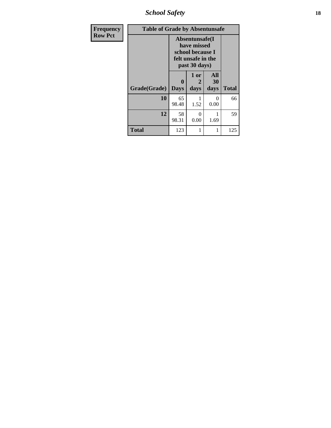*School Safety* **18**

| <b>Frequency</b> | <b>Table of Grade by Absentunsafe</b> |                             |                                                                                          |                   |              |  |  |  |  |
|------------------|---------------------------------------|-----------------------------|------------------------------------------------------------------------------------------|-------------------|--------------|--|--|--|--|
| <b>Row Pct</b>   |                                       |                             | Absentunsafe(I<br>have missed<br>school because I<br>felt unsafe in the<br>past 30 days) |                   |              |  |  |  |  |
|                  | Grade(Grade)                          | $\mathbf{0}$<br><b>Days</b> | 1 or<br>2<br>days                                                                        | All<br>30<br>days | <b>Total</b> |  |  |  |  |
|                  | 10                                    | 65<br>98.48                 | 1.52                                                                                     | 0<br>0.00         | 66           |  |  |  |  |
|                  | 12                                    | 58<br>98.31                 | 0<br>0.00                                                                                | 1.69              | 59           |  |  |  |  |
|                  | <b>Total</b>                          | 123                         |                                                                                          | 1                 | 125          |  |  |  |  |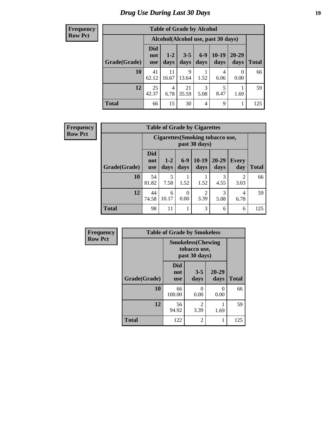# *Drug Use During Last 30 Days* **19**

#### **Frequency Row Pct**

|              | <b>Table of Grade by Alcohol</b> |                                                                                                                                                                                |             |           |           |                  |     |  |
|--------------|----------------------------------|--------------------------------------------------------------------------------------------------------------------------------------------------------------------------------|-------------|-----------|-----------|------------------|-----|--|
|              |                                  | Alcohol (Alcohol use, past 30 days)<br>Did<br>$10-19$<br>$6-9$<br>$20 - 29$<br>$3 - 5$<br>$1 - 2$<br>not<br>days<br>days<br><b>Total</b><br>days<br>days<br>days<br><b>use</b> |             |           |           |                  |     |  |
| Grade(Grade) |                                  |                                                                                                                                                                                |             |           |           |                  |     |  |
| 10           | 41<br>62.12                      | 11<br>16.67                                                                                                                                                                    | 9<br>13.64  | 1.52      | 4<br>6.06 | $\theta$<br>0.00 | 66  |  |
| 12           | 25<br>42.37                      | 4<br>6.78                                                                                                                                                                      | 21<br>35.59 | 3<br>5.08 | 5<br>8.47 | 1.69             | 59  |  |
| <b>Total</b> | 66                               | 15                                                                                                                                                                             | 30          | 4         | 9         |                  | 125 |  |

#### **Frequency Row Pct**

| <b>Table of Grade by Cigarettes</b>                                                                                     |             |                                                                |      |      |           |                        |              |  |  |
|-------------------------------------------------------------------------------------------------------------------------|-------------|----------------------------------------------------------------|------|------|-----------|------------------------|--------------|--|--|
|                                                                                                                         |             | <b>Cigarettes</b> (Smoking tobacco use,<br>past 30 days)       |      |      |           |                        |              |  |  |
| <b>Did</b><br>$10-19$<br>20-29<br>$6-9$<br>$1 - 2$<br>not<br>Grade(Grade)<br>days<br>days<br>days<br>days<br><b>use</b> |             |                                                                |      |      |           | <b>Every</b><br>day    | <b>Total</b> |  |  |
| 10                                                                                                                      | 54<br>81.82 | 5<br>7.58                                                      | 1.52 | 1.52 | 3<br>4.55 | $\mathfrak{D}$<br>3.03 | 66           |  |  |
| 12                                                                                                                      | 44<br>74.58 | 3<br>2<br>6<br>4<br>0<br>0.00<br>3.39<br>10.17<br>5.08<br>6.78 |      |      |           |                        |              |  |  |
| <b>Total</b>                                                                                                            | 98          | 11                                                             |      | 3    | 6         | 6                      | 125          |  |  |

| Frequency      |              | <b>Table of Grade by Smokeless</b> |                                                            |                   |              |
|----------------|--------------|------------------------------------|------------------------------------------------------------|-------------------|--------------|
| <b>Row Pct</b> |              |                                    | <b>Smokeless</b> (Chewing<br>tobacco use,<br>past 30 days) |                   |              |
|                | Grade(Grade) | <b>Did</b><br>not<br><b>use</b>    | $3 - 5$<br>days                                            | $20 - 29$<br>days | <b>Total</b> |
|                | 10           | 66<br>100.00                       | 0<br>0.00                                                  | $\Omega$<br>0.00  | 66           |
|                | 12           | 56<br>94.92                        | 2<br>3.39                                                  | 1.69              | 59           |
|                | <b>Total</b> | 122                                | 2                                                          | 1                 | 125          |

ı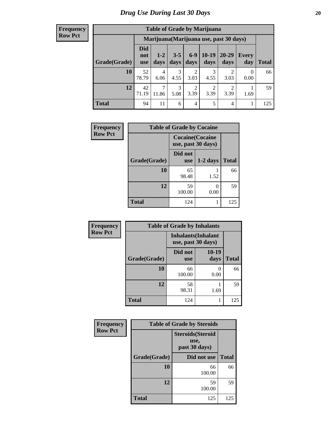#### **Frequency Row Pct**

| <b>Table of Grade by Marijuana</b> |                                 |                                         |                 |                        |                        |                        |              |       |
|------------------------------------|---------------------------------|-----------------------------------------|-----------------|------------------------|------------------------|------------------------|--------------|-------|
|                                    |                                 | Marijuana (Marijuana use, past 30 days) |                 |                        |                        |                        |              |       |
| Grade(Grade)                       | <b>Did</b><br>not<br><b>use</b> | $1 - 2$<br>days                         | $3 - 5$<br>days | $6-9$<br>days          | $10-19$<br>days        | $20 - 29$<br>days      | Every<br>day | Total |
| 10                                 | 52<br>78.79                     | $\overline{4}$<br>6.06                  | 3<br>4.55       | $\overline{2}$<br>3.03 | 3<br>4.55              | $\mathfrak{D}$<br>3.03 | 0<br>0.00    | 66    |
| 12                                 | 42<br>71.19                     | $\mathcal{I}$<br>11.86                  | 3<br>5.08       | $\overline{2}$<br>3.39 | $\overline{2}$<br>3.39 | $\mathfrak{D}$<br>3.39 | 1.69         | 59    |
| <b>Total</b>                       | 94                              | 11                                      | 6               | 4                      | 5                      | 4                      | 1            | 125   |

| Frequency      |              | <b>Table of Grade by Cocaine</b>              |            |              |
|----------------|--------------|-----------------------------------------------|------------|--------------|
| <b>Row Pct</b> |              | <b>Cocaine</b> (Cocaine<br>use, past 30 days) |            |              |
|                | Grade(Grade) | Did not<br><b>use</b>                         | $1-2$ days | <b>Total</b> |
|                | 10           | 65<br>98.48                                   | 1.52       | 66           |
|                | 12           | 59<br>100.00                                  | 0<br>0.00  | 59           |
|                | <b>Total</b> | 124                                           |            | 125          |

| Frequency      | <b>Table of Grade by Inhalants</b> |                       |                            |              |  |
|----------------|------------------------------------|-----------------------|----------------------------|--------------|--|
| <b>Row Pct</b> |                                    | use, past 30 days)    | <b>Inhalants</b> (Inhalant |              |  |
|                | Grade(Grade)                       | Did not<br><b>use</b> | $10-19$<br>days            | <b>Total</b> |  |
|                | 10                                 | 66<br>100.00          | 0<br>0.00                  | 66           |  |
|                | 12                                 | 58<br>98.31           | 1.69                       | 59           |  |
|                | <b>Total</b>                       | 124                   |                            | 125          |  |

| Frequency      | <b>Table of Grade by Steroids</b> |                                                   |              |  |  |
|----------------|-----------------------------------|---------------------------------------------------|--------------|--|--|
| <b>Row Pct</b> |                                   | <b>Steroids</b> (Steroid<br>use,<br>past 30 days) |              |  |  |
|                | Grade(Grade)                      | Did not use                                       | <b>Total</b> |  |  |
|                | 10                                | 66<br>100.00                                      | 66           |  |  |
|                | 12                                | 59<br>100.00                                      | 59           |  |  |
|                | <b>Total</b>                      | 125                                               | 125          |  |  |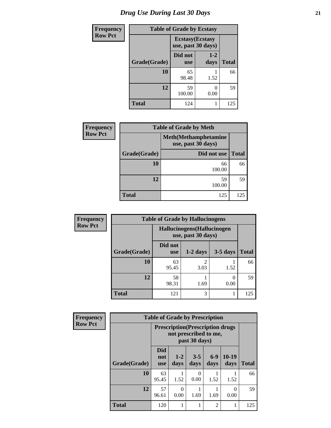# *Drug Use During Last 30 Days* **21**

| <b>Frequency</b> | <b>Table of Grade by Ecstasy</b> |                         |                    |              |
|------------------|----------------------------------|-------------------------|--------------------|--------------|
| <b>Row Pct</b>   |                                  | <b>Ecstasy</b> (Ecstasy | use, past 30 days) |              |
|                  | Grade(Grade)                     | Did not<br><b>use</b>   | $1 - 2$<br>days    | <b>Total</b> |
|                  | 10                               | 65<br>98.48             | 1.52               | 66           |
|                  | 12                               | 59<br>100.00            | 0<br>0.00          | 59           |
|                  | <b>Total</b>                     | 124                     |                    | 125          |

| <b>Frequency</b> |              | <b>Table of Grade by Meth</b>                      |              |
|------------------|--------------|----------------------------------------------------|--------------|
| <b>Row Pct</b>   |              | <b>Meth</b> (Methamphetamine<br>use, past 30 days) |              |
|                  | Grade(Grade) | Did not use                                        | <b>Total</b> |
|                  | 10           | 66<br>100.00                                       | 66           |
|                  | 12           | 59<br>100.00                                       | 59           |
|                  | <b>Total</b> | 125                                                | 125          |

| Frequency      |              | <b>Table of Grade by Hallucinogens</b>            |                        |            |              |  |
|----------------|--------------|---------------------------------------------------|------------------------|------------|--------------|--|
| <b>Row Pct</b> |              | Hallucinogens (Hallucinogen<br>use, past 30 days) |                        |            |              |  |
|                | Grade(Grade) | Did not<br><b>use</b>                             | $1-2$ days             | $3-5$ days | <b>Total</b> |  |
|                | 10           | 63<br>95.45                                       | $\overline{2}$<br>3.03 | 1.52       | 66           |  |
|                | 12           | 58<br>98.31                                       | 1.69                   | 0<br>0.00  | 59           |  |
|                | <b>Total</b> | 121                                               | 3                      |            | 125          |  |

| Frequency      | <b>Table of Grade by Prescription</b> |                                                                                    |                  |                  |                |                 |              |
|----------------|---------------------------------------|------------------------------------------------------------------------------------|------------------|------------------|----------------|-----------------|--------------|
| <b>Row Pct</b> |                                       | <b>Prescription</b> (Prescription drugs)<br>not prescribed to me,<br>past 30 days) |                  |                  |                |                 |              |
|                | Grade(Grade)                          | <b>Did</b><br>not<br><b>use</b>                                                    | $1 - 2$<br>days  | $3 - 5$<br>days  | $6-9$<br>days  | $10-19$<br>days | <b>Total</b> |
|                | 10                                    | 63<br>95.45                                                                        | 1.52             | $\Omega$<br>0.00 | 1.52           | 1.52            | 66           |
|                | 12                                    | 57<br>96.61                                                                        | $\Omega$<br>0.00 | 1.69             | 1.69           | 0<br>0.00       | 59           |
|                | <b>Total</b>                          | 120                                                                                |                  |                  | $\overline{2}$ |                 | 125          |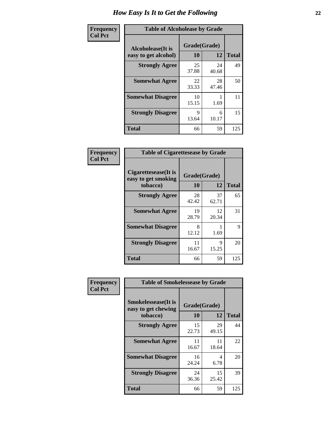| Frequency      | <b>Table of Alcoholease by Grade</b>              |                    |             |              |
|----------------|---------------------------------------------------|--------------------|-------------|--------------|
| <b>Col Pct</b> | <b>Alcoholease</b> (It is<br>easy to get alcohol) | Grade(Grade)<br>10 | 12          | <b>Total</b> |
|                | <b>Strongly Agree</b>                             | 25<br>37.88        | 24<br>40.68 | 49           |
|                | <b>Somewhat Agree</b>                             | 22<br>33.33        | 28<br>47.46 | 50           |
|                | <b>Somewhat Disagree</b>                          | 10<br>15.15        | 1.69        | 11           |
|                | <b>Strongly Disagree</b>                          | 9<br>13.64         | 6<br>10.17  | 15           |
|                | <b>Total</b>                                      | 66                 | 59          | 125          |

| Frequency      | <b>Table of Cigarettesease by Grade</b>                  |                    |             |              |
|----------------|----------------------------------------------------------|--------------------|-------------|--------------|
| <b>Col Pct</b> | Cigarettesease (It is<br>easy to get smoking<br>tobacco) | Grade(Grade)<br>10 | 12          | <b>Total</b> |
|                | <b>Strongly Agree</b>                                    | 28<br>42.42        | 37<br>62.71 | 65           |
|                | <b>Somewhat Agree</b>                                    | 19<br>28.79        | 12<br>20.34 | 31           |
|                | <b>Somewhat Disagree</b>                                 | 8<br>12.12         | 1.69        | 9            |
|                | <b>Strongly Disagree</b>                                 | 11<br>16.67        | 9<br>15.25  | 20           |
|                | <b>Total</b>                                             | 66                 | 59          | 125          |

| Frequency      | <b>Table of Smokelessease by Grade</b>                         |                           |              |     |  |  |
|----------------|----------------------------------------------------------------|---------------------------|--------------|-----|--|--|
| <b>Col Pct</b> | <b>Smokelessease</b> (It is<br>easy to get chewing<br>tobacco) | Grade(Grade)<br><b>10</b> | <b>Total</b> |     |  |  |
|                |                                                                |                           | 12           |     |  |  |
|                | <b>Strongly Agree</b>                                          | 15<br>22.73               | 29<br>49.15  | 44  |  |  |
|                | <b>Somewhat Agree</b>                                          | 11<br>16.67               | 11<br>18.64  | 22  |  |  |
|                | <b>Somewhat Disagree</b>                                       | 16<br>24.24               | 4<br>6.78    | 20  |  |  |
|                | <b>Strongly Disagree</b>                                       | 24<br>36.36               | 15<br>25.42  | 39  |  |  |
|                | Total                                                          | 66                        | 59           | 125 |  |  |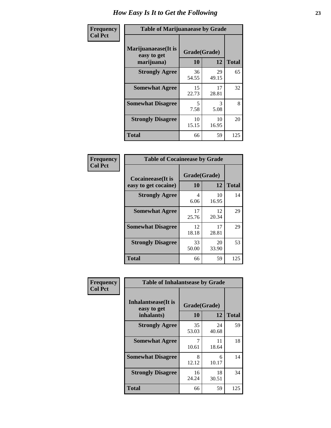| Frequency      | <b>Table of Marijuanaease by Grade</b>           |                           |             |              |
|----------------|--------------------------------------------------|---------------------------|-------------|--------------|
| <b>Col Pct</b> | Marijuanaease(It is<br>easy to get<br>marijuana) | Grade(Grade)<br><b>10</b> | 12          | <b>Total</b> |
|                | <b>Strongly Agree</b>                            | 36<br>54.55               | 29<br>49.15 | 65           |
|                | <b>Somewhat Agree</b>                            | 15<br>22.73               | 17<br>28.81 | 32           |
|                | <b>Somewhat Disagree</b>                         | 5<br>7.58                 | 3<br>5.08   | 8            |
|                | <b>Strongly Disagree</b>                         | 10<br>15.15               | 10<br>16.95 | 20           |
|                | <b>Total</b>                                     | 66                        | 59          | 125          |

| <b>Table of Cocaineease by Grade</b> |              |             |              |  |  |  |  |  |
|--------------------------------------|--------------|-------------|--------------|--|--|--|--|--|
| <b>Cocaineease</b> (It is            | Grade(Grade) |             |              |  |  |  |  |  |
| easy to get cocaine)                 | 10           | 12          | <b>Total</b> |  |  |  |  |  |
| <b>Strongly Agree</b>                | 4<br>6.06    | 10<br>16.95 | 14           |  |  |  |  |  |
| <b>Somewhat Agree</b>                | 17<br>25.76  | 12<br>20.34 | 29           |  |  |  |  |  |
| <b>Somewhat Disagree</b>             | 12<br>18.18  | 17<br>28.81 | 29           |  |  |  |  |  |
| <b>Strongly Disagree</b>             | 33<br>50.00  | 20<br>33.90 | 53           |  |  |  |  |  |
| <b>Total</b>                         | 66           | 59          | 125          |  |  |  |  |  |

| Frequency      | <b>Table of Inhalantsease by Grade</b>                   |                    |             |              |  |  |  |  |  |  |
|----------------|----------------------------------------------------------|--------------------|-------------|--------------|--|--|--|--|--|--|
| <b>Col Pct</b> | <b>Inhalantsease</b> (It is<br>easy to get<br>inhalants) | Grade(Grade)<br>10 | 12          | <b>Total</b> |  |  |  |  |  |  |
|                | <b>Strongly Agree</b>                                    | 35<br>53.03        | 24<br>40.68 | 59           |  |  |  |  |  |  |
|                | <b>Somewhat Agree</b>                                    | 10.61              | 11<br>18.64 | 18           |  |  |  |  |  |  |
|                | <b>Somewhat Disagree</b>                                 | 8<br>12.12         | 6<br>10.17  | 14           |  |  |  |  |  |  |
|                | <b>Strongly Disagree</b>                                 | 16<br>24.24        | 18<br>30.51 | 34           |  |  |  |  |  |  |
|                | <b>Total</b>                                             | 66                 | 59          | 125          |  |  |  |  |  |  |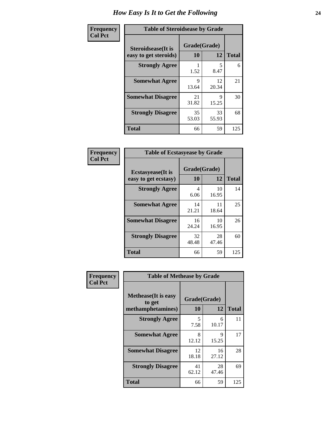| Frequency      | <b>Table of Steroidsease by Grade</b>               |                    |              |     |  |  |  |  |
|----------------|-----------------------------------------------------|--------------------|--------------|-----|--|--|--|--|
| <b>Col Pct</b> | <b>Steroidsease</b> (It is<br>easy to get steroids) | Grade(Grade)<br>10 | <b>Total</b> |     |  |  |  |  |
|                | <b>Strongly Agree</b>                               | 1.52               | 5<br>8.47    | 6   |  |  |  |  |
|                | <b>Somewhat Agree</b>                               | 9<br>13.64         | 12<br>20.34  | 21  |  |  |  |  |
|                | <b>Somewhat Disagree</b>                            | 21<br>31.82        | 9<br>15.25   | 30  |  |  |  |  |
|                | <b>Strongly Disagree</b>                            | 35<br>53.03        | 33<br>55.93  | 68  |  |  |  |  |
|                | <b>Total</b>                                        | 66                 | 59           | 125 |  |  |  |  |

| Frequency      | <b>Table of Ecstasyease by Grade</b>              |                    |              |     |  |  |  |  |  |
|----------------|---------------------------------------------------|--------------------|--------------|-----|--|--|--|--|--|
| <b>Col Pct</b> | <b>Ecstasyease</b> (It is<br>easy to get ecstasy) | Grade(Grade)<br>10 | <b>Total</b> |     |  |  |  |  |  |
|                | <b>Strongly Agree</b>                             | 4<br>6.06          | 10<br>16.95  | 14  |  |  |  |  |  |
|                | <b>Somewhat Agree</b>                             | 14<br>21.21        | 11<br>18.64  | 25  |  |  |  |  |  |
|                | <b>Somewhat Disagree</b>                          | 16<br>24.24        | 10<br>16.95  | 26  |  |  |  |  |  |
|                | <b>Strongly Disagree</b>                          | 32<br>48.48        | 28<br>47.46  | 60  |  |  |  |  |  |
|                | <b>Total</b>                                      | 66                 | 59           | 125 |  |  |  |  |  |

| Frequency      | <b>Table of Methease by Grade</b>                          |                    |             |              |  |  |  |
|----------------|------------------------------------------------------------|--------------------|-------------|--------------|--|--|--|
| <b>Col Pct</b> | <b>Methease</b> (It is easy<br>to get<br>methamphetamines) | Grade(Grade)<br>10 | 12          | <b>Total</b> |  |  |  |
|                | <b>Strongly Agree</b>                                      | 5<br>7.58          | 6<br>10.17  | 11           |  |  |  |
|                | <b>Somewhat Agree</b>                                      | 8<br>12.12         | 9<br>15.25  | 17           |  |  |  |
|                | <b>Somewhat Disagree</b>                                   | 12<br>18.18        | 16<br>27.12 | 28           |  |  |  |
|                | <b>Strongly Disagree</b>                                   | 41<br>62.12        | 28<br>47.46 | 69           |  |  |  |
|                | <b>Total</b>                                               | 66                 | 59          | 125          |  |  |  |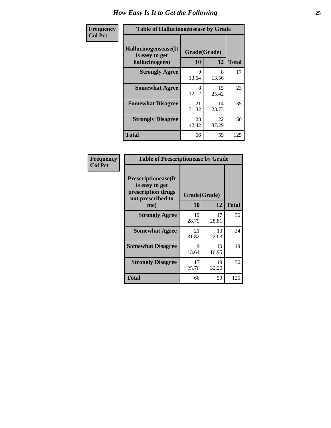| <b>Frequency</b> | <b>Table of Hallucinogensease by Grade</b>               |                    |             |              |  |  |  |  |
|------------------|----------------------------------------------------------|--------------------|-------------|--------------|--|--|--|--|
| <b>Col Pct</b>   | Hallucinogensease(It<br>is easy to get<br>hallucinogens) | Grade(Grade)<br>10 | 12          | <b>Total</b> |  |  |  |  |
|                  | <b>Strongly Agree</b>                                    | 9<br>13.64         | 8<br>13.56  | 17           |  |  |  |  |
|                  | <b>Somewhat Agree</b>                                    | 8<br>12.12         | 15<br>25.42 | 23           |  |  |  |  |
|                  | <b>Somewhat Disagree</b>                                 | 21<br>31.82        | 14<br>23.73 | 35           |  |  |  |  |
|                  | <b>Strongly Disagree</b>                                 | 28<br>42.42        | 22<br>37.29 | 50           |  |  |  |  |
|                  | <b>Total</b>                                             | 66                 | 59          | 125          |  |  |  |  |

| Frequency<br>  Col Pct |
|------------------------|

| <b>Table of Prescriptionease by Grade</b>                                                |              |             |              |  |  |  |  |
|------------------------------------------------------------------------------------------|--------------|-------------|--------------|--|--|--|--|
| <b>Prescriptionease</b> (It<br>is easy to get<br>prescription drugs<br>not prescribed to | Grade(Grade) |             |              |  |  |  |  |
| me)                                                                                      | 10           | 12          | <b>Total</b> |  |  |  |  |
| <b>Strongly Agree</b>                                                                    | 19<br>28.79  | 17<br>28.81 | 36           |  |  |  |  |
| <b>Somewhat Agree</b>                                                                    | 21<br>31.82  | 13<br>22.03 | 34           |  |  |  |  |
| <b>Somewhat Disagree</b>                                                                 | Q<br>13.64   | 10<br>16.95 | 19           |  |  |  |  |
| <b>Strongly Disagree</b>                                                                 | 17<br>25.76  | 19<br>32.20 | 36           |  |  |  |  |
| Total                                                                                    | 66           | 59          | 125          |  |  |  |  |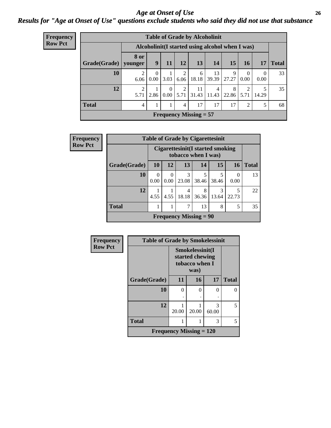#### *Age at Onset of Use* **26** *Results for "Age at Onset of Use" questions exclude students who said they did not use that substance*

| <b>Frequency</b> |
|------------------|
| Row Pct          |

| <b>Table of Grade by Alcoholinit</b>             |                        |                  |                  |                        |             |             |            |                                     |                  |              |
|--------------------------------------------------|------------------------|------------------|------------------|------------------------|-------------|-------------|------------|-------------------------------------|------------------|--------------|
| Alcoholinit (I started using alcohol when I was) |                        |                  |                  |                        |             |             |            |                                     |                  |              |
| Grade(Grade)                                     | 8 or<br>younger        | 9                | 11               | 12                     | 13          | 14          | 15         | 16                                  | <b>17</b>        | <b>Total</b> |
| 10                                               | 2<br>6.06              | $\Omega$<br>0.00 | 3.03             | $\mathfrak{D}$<br>6.06 | 6<br>18.18  | 13<br>39.39 | 9<br>27.27 | $\Omega$<br>0.00                    | $\Omega$<br>0.00 | 33           |
| 12                                               | $\overline{2}$<br>5.71 | 2.86             | $\Omega$<br>0.00 | $\mathfrak{D}$<br>5.71 | 11<br>31.43 | 4<br>11.43  | 8<br>22.86 | $\mathcal{D}_{\mathcal{L}}$<br>5.71 | 14.29            | 35           |
| <b>Total</b>                                     | $\overline{4}$         |                  | 1                | $\overline{4}$         | 17          | 17          | 17         | $\overline{2}$                      | 5                | 68           |
| <b>Frequency Missing = 57</b>                    |                        |                  |                  |                        |             |             |            |                                     |                  |              |

| Frequency      | <b>Table of Grade by Cigarettesinit</b> |                                                          |                  |            |                          |            |            |       |
|----------------|-----------------------------------------|----------------------------------------------------------|------------------|------------|--------------------------|------------|------------|-------|
| <b>Row Pct</b> |                                         | Cigarettesinit (I started smoking<br>tobacco when I was) |                  |            |                          |            |            |       |
|                | Grade(Grade)                            | <b>10</b>                                                | <b>12</b>        | 13         | 14                       | 15         | 16         | Total |
|                | 10                                      | $\Omega$<br>0.00                                         | $\Omega$<br>0.00 | 3<br>23.08 | 5<br>38.46               | 38.46      | 0<br>0.00  | 13    |
|                | 12                                      | 4.55                                                     | 4.55             | 4<br>18.18 | 8<br>36.36               | 3<br>13.64 | 5<br>22.73 | 22    |
|                | <b>Total</b>                            |                                                          |                  | 7          | 13                       | 8          | 5          | 35    |
|                |                                         |                                                          |                  |            | Frequency Missing $= 90$ |            |            |       |

| Frequency      | <b>Table of Grade by Smokelessinit</b> |                                                              |       |            |                   |  |
|----------------|----------------------------------------|--------------------------------------------------------------|-------|------------|-------------------|--|
| <b>Row Pct</b> |                                        | Smokelessinit(I<br>started chewing<br>tobacco when I<br>was) |       |            |                   |  |
|                | Grade(Grade)                           | 11                                                           | 16    | 17         | <b>Total</b>      |  |
|                | 10                                     | 0                                                            | 0     | 0          | $\mathbf{\Omega}$ |  |
|                |                                        |                                                              |       |            |                   |  |
|                | 12                                     | 20.00                                                        | 20.00 | 3<br>60.00 | 5                 |  |
|                | <b>Total</b>                           |                                                              |       | 3          | 5                 |  |
|                | Frequency Missing $= 120$              |                                                              |       |            |                   |  |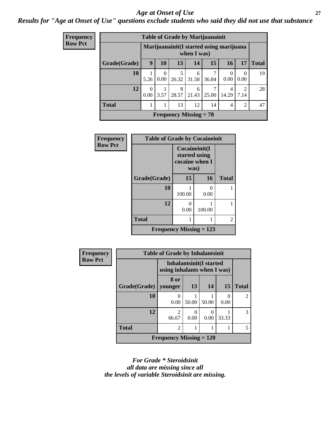#### *Age at Onset of Use* **27**

### *Results for "Age at Onset of Use" questions exclude students who said they did not use that substance*

| Frequency      |              |                                                         |                  |       | <b>Table of Grade by Marijuanainit</b> |       |                  |                  |              |
|----------------|--------------|---------------------------------------------------------|------------------|-------|----------------------------------------|-------|------------------|------------------|--------------|
| <b>Row Pct</b> |              | Marijuanainit (I started using marijuana<br>when I was) |                  |       |                                        |       |                  |                  |              |
|                | Grade(Grade) | 9                                                       | <b>10</b>        | 13    | 14                                     | 15    | 16               | 17               | <b>Total</b> |
|                | 10           | 5.26                                                    | $\Omega$<br>0.00 | 26.32 | 6<br>31.58                             | 36.84 | $\Omega$<br>0.00 | $\Omega$<br>0.00 | 19           |
|                | 12           | $\Omega$<br>0.00                                        | 3.57             | 8     | 6<br>28.57   21.43                     | 25.00 | 4<br>14.29       | 2<br>7.14        | 28           |
|                | <b>Total</b> |                                                         |                  | 13    | 12                                     | 14    | 4                | $\overline{2}$   | 47           |
|                |              |                                                         |                  |       | Frequency Missing $= 78$               |       |                  |                  |              |

| equency       | <b>Table of Grade by Cocaineinit</b> |                                                          |           |              |  |  |
|---------------|--------------------------------------|----------------------------------------------------------|-----------|--------------|--|--|
| <b>DW Pct</b> |                                      | Cocaineinit(I<br>started using<br>cocaine when I<br>was) |           |              |  |  |
|               | Grade(Grade)                         | 15                                                       | 16        | <b>Total</b> |  |  |
|               | 10                                   | 100.00                                                   | 0<br>0.00 |              |  |  |
|               | 12                                   | 0<br>0.00                                                | 100.00    |              |  |  |
|               | <b>Total</b>                         |                                                          |           | 2            |  |  |
|               | Frequency Missing $= 123$            |                                                          |           |              |  |  |

 $\mathbf{F}$ r  $R$ 

| <b>Frequency</b> | <b>Table of Grade by Inhalantsinit</b> |                                                               |           |       |       |                |
|------------------|----------------------------------------|---------------------------------------------------------------|-----------|-------|-------|----------------|
| <b>Row Pct</b>   |                                        | <b>Inhalantsinit(I started</b><br>using inhalants when I was) |           |       |       |                |
|                  | Grade(Grade)                           | 8 or<br>vounger                                               | 13        | 14    | 15    | <b>Total</b>   |
|                  | <b>10</b>                              | 0.00                                                          | 50.00     | 50.00 | 0.00  | $\overline{2}$ |
|                  | 12                                     | $\mathfrak{D}$<br>66.67                                       | ∩<br>0.00 | 0.00  | 33.33 | 3              |
|                  | <b>Total</b>                           | $\overline{2}$                                                |           |       |       | 5              |
|                  |                                        | <b>Frequency Missing = 120</b>                                |           |       |       |                |

*For Grade \* Steroidsinit all data are missing since all the levels of variable Steroidsinit are missing.*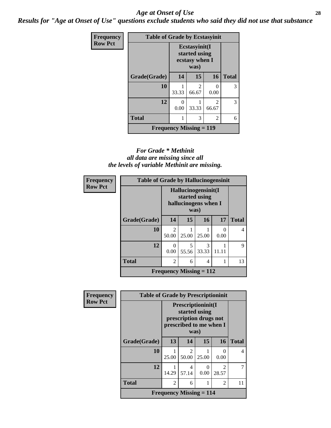#### *Age at Onset of Use* **28**

*Results for "Age at Onset of Use" questions exclude students who said they did not use that substance*

| Frequency      | <b>Table of Grade by Ecstasyinit</b> |                                                          |            |                         |              |  |  |
|----------------|--------------------------------------|----------------------------------------------------------|------------|-------------------------|--------------|--|--|
| <b>Row Pct</b> |                                      | Ecstasyinit(I<br>started using<br>ecstasy when I<br>was) |            |                         |              |  |  |
|                | Grade(Grade)                         | 14                                                       | 15         | 16                      | <b>Total</b> |  |  |
|                | 10                                   | 33.33                                                    | 2<br>66.67 | 0<br>0.00               | 3            |  |  |
|                | 12                                   | $\mathcal{O}$<br>0.00                                    | 33.33      | $\mathfrak{D}$<br>66.67 | 3            |  |  |
|                | <b>Total</b>                         |                                                          | 3          | 2                       | 6            |  |  |
|                | <b>Frequency Missing = 119</b>       |                                                          |            |                         |              |  |  |

#### *For Grade \* Methinit all data are missing since all the levels of variable Methinit are missing.*

| <b>Frequency</b> | <b>Table of Grade by Hallucinogensinit</b> |                                      |                      |            |                  |              |  |
|------------------|--------------------------------------------|--------------------------------------|----------------------|------------|------------------|--------------|--|
| <b>Row Pct</b>   |                                            | Hallucinogensinit(I<br>started using | hallucinogens when I |            |                  |              |  |
|                  | Grade(Grade)                               | 14                                   | 15                   | 16         | 17               | <b>Total</b> |  |
|                  | 10                                         | $\mathfrak{D}$<br>50.00              | 25.00                | 25.00      | $\Omega$<br>0.00 | 4            |  |
|                  | 12                                         | 0<br>0.00                            | 5<br>55.56           | 3<br>33.33 | 11.11            | 9            |  |
|                  | <b>Total</b>                               | 2<br>13<br>6<br>4                    |                      |            |                  |              |  |
|                  | Frequency Missing $= 112$                  |                                      |                      |            |                  |              |  |

| <b>Frequency</b> | <b>Table of Grade by Prescriptioninit</b> |                                                                                                  |            |           |                         |              |  |
|------------------|-------------------------------------------|--------------------------------------------------------------------------------------------------|------------|-----------|-------------------------|--------------|--|
| <b>Row Pct</b>   |                                           | Prescriptioninit(I<br>started using<br>prescription drugs not<br>prescribed to me when I<br>was) |            |           |                         |              |  |
|                  | Grade(Grade)                              | 13                                                                                               | 14         | 15        | 16                      | <b>Total</b> |  |
|                  | 10                                        | 25.00                                                                                            | 2<br>50.00 | 25.00     | $\Omega$<br>0.00        | 4            |  |
|                  | 12                                        | 14.29                                                                                            | 4<br>57.14 | 0<br>0.00 | $\overline{2}$<br>28.57 |              |  |
|                  | <b>Total</b>                              | $\mathfrak{D}$                                                                                   | 6          |           | $\overline{c}$          | 11           |  |
|                  |                                           | <b>Frequency Missing <math>= 114</math></b>                                                      |            |           |                         |              |  |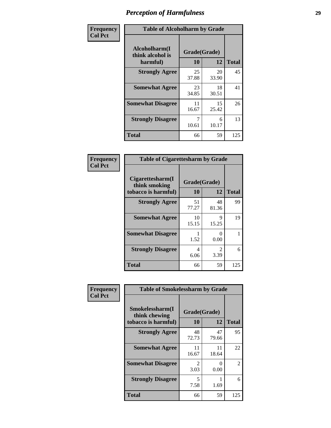| Frequency      | <b>Table of Alcoholharm by Grade</b>          |                    |             |              |  |  |
|----------------|-----------------------------------------------|--------------------|-------------|--------------|--|--|
| <b>Col Pct</b> | Alcoholharm(I<br>think alcohol is<br>harmful) | Grade(Grade)<br>10 | 12          | <b>Total</b> |  |  |
|                | <b>Strongly Agree</b>                         | 25<br>37.88        | 20<br>33.90 | 45           |  |  |
|                | <b>Somewhat Agree</b>                         | 23<br>34.85        | 18<br>30.51 | 41           |  |  |
|                | <b>Somewhat Disagree</b>                      | 11<br>16.67        | 15<br>25.42 | 26           |  |  |
|                | <b>Strongly Disagree</b>                      | 7<br>10.61         | 6<br>10.17  | 13           |  |  |
|                | <b>Total</b>                                  | 66                 | 59          | 125          |  |  |

| <b>Table of Cigarettesharm by Grade</b>                  |                    |                        |              |  |  |  |  |  |
|----------------------------------------------------------|--------------------|------------------------|--------------|--|--|--|--|--|
| Cigarettesharm(I<br>think smoking<br>tobacco is harmful) | Grade(Grade)<br>10 | 12                     | <b>Total</b> |  |  |  |  |  |
| <b>Strongly Agree</b>                                    | 51<br>77.27        | 48<br>81.36            | 99           |  |  |  |  |  |
| <b>Somewhat Agree</b>                                    | 10<br>15.15        | 9<br>15.25             | 19           |  |  |  |  |  |
| <b>Somewhat Disagree</b>                                 | 1.52               | 0<br>0.00              | 1            |  |  |  |  |  |
| <b>Strongly Disagree</b>                                 | 4<br>6.06          | $\mathfrak{D}$<br>3.39 | 6            |  |  |  |  |  |
| <b>Total</b>                                             | 66                 | 59                     | 125          |  |  |  |  |  |

| Frequency      | <b>Table of Smokelessharm by Grade</b>                  |                           |             |               |  |
|----------------|---------------------------------------------------------|---------------------------|-------------|---------------|--|
| <b>Col Pct</b> | Smokelessharm(I<br>think chewing<br>tobacco is harmful) | Grade(Grade)<br><b>10</b> | 12          | <b>Total</b>  |  |
|                | <b>Strongly Agree</b>                                   | 48<br>72.73               | 47<br>79.66 | 95            |  |
|                | <b>Somewhat Agree</b>                                   | 11<br>16.67               | 11<br>18.64 | 22            |  |
|                | <b>Somewhat Disagree</b>                                | $\mathfrak{D}$<br>3.03    | 0<br>0.00   | $\mathcal{L}$ |  |
|                | <b>Strongly Disagree</b>                                | 5<br>7.58                 | 1.69        | 6             |  |
|                | <b>Total</b>                                            | 66                        | 59          | 125           |  |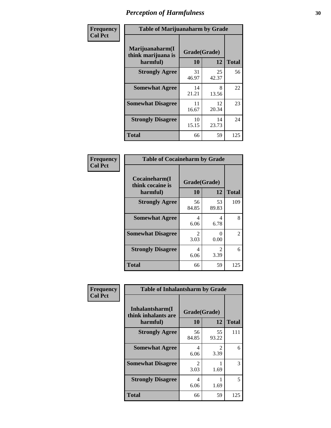| Frequency      | <b>Table of Marijuanaharm by Grade</b>            |                    |             |              |  |
|----------------|---------------------------------------------------|--------------------|-------------|--------------|--|
| <b>Col Pct</b> | Marijuanaharm(I<br>think marijuana is<br>harmful) | Grade(Grade)<br>10 | 12          | <b>Total</b> |  |
|                | <b>Strongly Agree</b>                             | 31<br>46.97        | 25<br>42.37 | 56           |  |
|                | <b>Somewhat Agree</b>                             | 14<br>21.21        | 8<br>13.56  | 22           |  |
|                | <b>Somewhat Disagree</b>                          | 11<br>16.67        | 12<br>20.34 | 23           |  |
|                | <b>Strongly Disagree</b>                          | 10<br>15.15        | 14<br>23.73 | 24           |  |
|                | <b>Total</b>                                      | 66                 | 59          | 125          |  |

| <b>Table of Cocaineharm by Grade</b>          |                    |                           |              |  |  |  |  |
|-----------------------------------------------|--------------------|---------------------------|--------------|--|--|--|--|
| Cocaineharm(I<br>think cocaine is<br>harmful) | Grade(Grade)<br>10 | 12                        | <b>Total</b> |  |  |  |  |
| <b>Strongly Agree</b>                         | 56<br>84.85        | 53<br>89.83               | 109          |  |  |  |  |
| <b>Somewhat Agree</b>                         | 4<br>6.06          | 4<br>6.78                 | 8            |  |  |  |  |
| <b>Somewhat Disagree</b>                      | 2<br>3.03          | $\mathbf{\Omega}$<br>0.00 | 2            |  |  |  |  |
| <b>Strongly Disagree</b>                      | 4<br>6.06          | $\mathfrak{D}$<br>3.39    | 6            |  |  |  |  |
| <b>Total</b>                                  | 66                 | 59                        | 125          |  |  |  |  |

| Frequency      | <b>Table of Inhalantsharm by Grade</b>             |                           |             |              |  |  |
|----------------|----------------------------------------------------|---------------------------|-------------|--------------|--|--|
| <b>Col Pct</b> | Inhalantsharm(I<br>think inhalants are<br>harmful) | Grade(Grade)<br><b>10</b> | 12          | <b>Total</b> |  |  |
|                | <b>Strongly Agree</b>                              | 56<br>84.85               | 55<br>93.22 | 111          |  |  |
|                | <b>Somewhat Agree</b>                              | 4<br>6.06                 | 2<br>3.39   | 6            |  |  |
|                | <b>Somewhat Disagree</b>                           | $\mathfrak{D}$<br>3.03    | 1.69        | 3            |  |  |
|                | <b>Strongly Disagree</b>                           | 4<br>6.06                 | 1.69        | 5            |  |  |
|                | <b>Total</b>                                       | 66                        | 59          | 125          |  |  |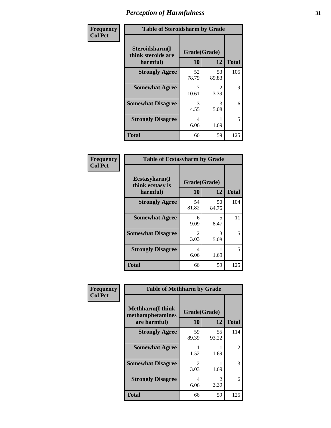| Frequency      | <b>Table of Steroidsharm by Grade</b>            |                    |                        |              |
|----------------|--------------------------------------------------|--------------------|------------------------|--------------|
| <b>Col Pct</b> | Steroidsharm(I<br>think steroids are<br>harmful) | Grade(Grade)<br>10 | 12                     | <b>Total</b> |
|                | <b>Strongly Agree</b>                            | 52<br>78.79        | 53<br>89.83            | 105          |
|                | <b>Somewhat Agree</b>                            | 10.61              | $\mathfrak{D}$<br>3.39 | 9            |
|                | <b>Somewhat Disagree</b>                         | 3<br>4.55          | 3<br>5.08              | 6            |
|                | <b>Strongly Disagree</b>                         | 4<br>6.06          | 1.69                   | 5            |
|                | <b>Total</b>                                     | 66                 | 59                     | 125          |

| <b>Table of Ecstasyharm by Grade</b>          |                    |              |     |  |  |
|-----------------------------------------------|--------------------|--------------|-----|--|--|
| Ecstasyharm(I<br>think ecstasy is<br>harmful) | Grade(Grade)<br>10 | <b>Total</b> |     |  |  |
| <b>Strongly Agree</b>                         | 54<br>81.82        | 50<br>84.75  | 104 |  |  |
| <b>Somewhat Agree</b>                         | 6<br>9.09          | 5<br>8.47    | 11  |  |  |
| <b>Somewhat Disagree</b>                      | 2<br>3.03          | 3<br>5.08    | 5   |  |  |
| <b>Strongly Disagree</b>                      | 4<br>6.06          | 1.69         | 5   |  |  |
| <b>Total</b>                                  | 66                 | 59           | 125 |  |  |

| Frequency      | <b>Table of Methharm by Grade</b>                            |                    |             |              |
|----------------|--------------------------------------------------------------|--------------------|-------------|--------------|
| <b>Col Pct</b> | <b>Methharm</b> (I think<br>methamphetamines<br>are harmful) | Grade(Grade)<br>10 | 12          | <b>Total</b> |
|                | <b>Strongly Agree</b>                                        | 59<br>89.39        | 55<br>93.22 | 114          |
|                | <b>Somewhat Agree</b>                                        | 1.52               | 1.69        | 2            |
|                | <b>Somewhat Disagree</b>                                     | 2<br>3.03          | 1.69        | 3            |
|                | <b>Strongly Disagree</b>                                     | 4<br>6.06          | 2<br>3.39   | 6            |
|                | <b>Total</b>                                                 | 66                 | 59          | 125          |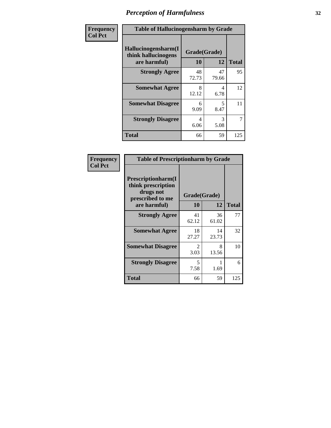| Frequency      | <b>Table of Hallucinogensharm by Grade</b>                 |                    |             |                |
|----------------|------------------------------------------------------------|--------------------|-------------|----------------|
| <b>Col Pct</b> | Hallucinogensharm(I<br>think hallucinogens<br>are harmful) | Grade(Grade)<br>10 | 12          | <b>Total</b>   |
|                | <b>Strongly Agree</b>                                      | 48<br>72.73        | 47<br>79.66 | 95             |
|                | <b>Somewhat Agree</b>                                      | 8<br>12.12         | 4<br>6.78   | 12             |
|                | <b>Somewhat Disagree</b>                                   | 6<br>9.09          | 5<br>8.47   | 11             |
|                | <b>Strongly Disagree</b>                                   | 4<br>6.06          | 3<br>5.08   | $\overline{7}$ |
|                | <b>Total</b>                                               | 66                 | 59          | 125            |

| <b>Table of Prescriptionharm by Grade</b>                                         |                       |             |              |  |
|-----------------------------------------------------------------------------------|-----------------------|-------------|--------------|--|
| <b>Prescriptionharm</b> (I<br>think prescription<br>drugs not<br>prescribed to me | Grade(Grade)          |             |              |  |
| are harmful)                                                                      | 10                    | 12          | <b>Total</b> |  |
| <b>Strongly Agree</b>                                                             | 41<br>62.12           | 36<br>61.02 | 77           |  |
| <b>Somewhat Agree</b>                                                             | 18<br>27.27           | 14<br>23.73 | 32           |  |
| <b>Somewhat Disagree</b>                                                          | $\mathcal{L}$<br>3.03 | 8<br>13.56  | 10           |  |
| <b>Strongly Disagree</b>                                                          | 5<br>7.58             | 1.69        | 6            |  |
| <b>Total</b>                                                                      | 66                    | 59          | 125          |  |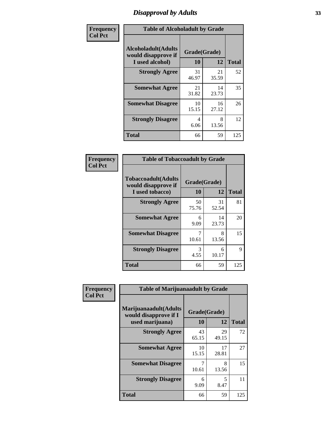# *Disapproval by Adults* **33**

| Frequency      | <b>Table of Alcoholadult by Grade</b>                                 |                    |             |              |
|----------------|-----------------------------------------------------------------------|--------------------|-------------|--------------|
| <b>Col Pct</b> | <b>Alcoholadult</b> (Adults<br>would disapprove if<br>I used alcohol) | Grade(Grade)<br>10 | 12          | <b>Total</b> |
|                | <b>Strongly Agree</b>                                                 | 31<br>46.97        | 21<br>35.59 | 52           |
|                | <b>Somewhat Agree</b>                                                 | 21<br>31.82        | 14<br>23.73 | 35           |
|                | <b>Somewhat Disagree</b>                                              | 10<br>15.15        | 16<br>27.12 | 26           |
|                | <b>Strongly Disagree</b>                                              | 4<br>6.06          | 8<br>13.56  | 12           |
|                | <b>Total</b>                                                          | 66                 | 59          | 125          |

| <b>Table of Tobaccoadult by Grade</b>                                 |                    |             |              |  |
|-----------------------------------------------------------------------|--------------------|-------------|--------------|--|
| <b>Tobaccoadult</b> (Adults<br>would disapprove if<br>I used tobacco) | Grade(Grade)<br>10 | 12          | <b>Total</b> |  |
| <b>Strongly Agree</b>                                                 | 50<br>75.76        | 31<br>52.54 | 81           |  |
| <b>Somewhat Agree</b>                                                 | 6<br>9.09          | 14<br>23.73 | 20           |  |
| <b>Somewhat Disagree</b>                                              | 10.61              | 8<br>13.56  | 15           |  |
| <b>Strongly Disagree</b>                                              | 3<br>4.55          | 6<br>10.17  | 9            |  |
| <b>Total</b>                                                          | 66                 | 59          | 125          |  |

| Frequency      | <b>Table of Marijuanaadult by Grade</b>                           |                    |             |              |
|----------------|-------------------------------------------------------------------|--------------------|-------------|--------------|
| <b>Col Pct</b> | Marijuanaadult(Adults<br>would disapprove if I<br>used marijuana) | Grade(Grade)<br>10 | 12          | <b>Total</b> |
|                | <b>Strongly Agree</b>                                             | 43<br>65.15        | 29<br>49.15 | 72           |
|                | <b>Somewhat Agree</b>                                             | 10<br>15.15        | 17<br>28.81 | 27           |
|                | <b>Somewhat Disagree</b>                                          | 7<br>10.61         | 8<br>13.56  | 15           |
|                | <b>Strongly Disagree</b>                                          | 6<br>9.09          | 5<br>8.47   | 11           |
|                | <b>Total</b>                                                      | 66                 | 59          | 125          |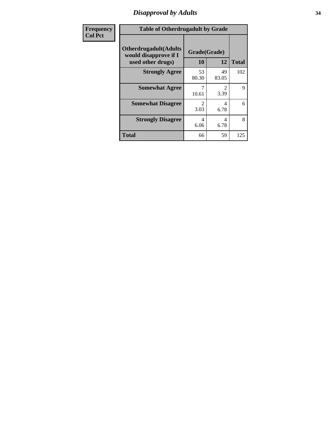# *Disapproval by Adults* **34**

| <b>Frequency</b> | <b>Table of Otherdrugadult by Grade</b>                                     |                    |                                     |              |
|------------------|-----------------------------------------------------------------------------|--------------------|-------------------------------------|--------------|
| <b>Col Pct</b>   | <b>Otherdrugadult</b> (Adults<br>would disapprove if I<br>used other drugs) | Grade(Grade)<br>10 | 12                                  | <b>Total</b> |
|                  | <b>Strongly Agree</b>                                                       | 53<br>80.30        | 49<br>83.05                         | 102          |
|                  | <b>Somewhat Agree</b>                                                       | 10.61              | $\mathcal{D}_{\mathcal{L}}$<br>3.39 | 9            |
|                  | <b>Somewhat Disagree</b>                                                    | っ<br>3.03          | 4<br>6.78                           | 6            |
|                  | <b>Strongly Disagree</b>                                                    | 4<br>6.06          | 4<br>6.78                           | 8            |
|                  | <b>Total</b>                                                                | 66                 | 59                                  | 125          |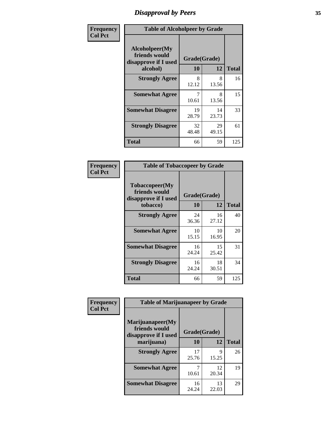# *Disapproval by Peers* **35**

| Frequency      |                                                         | <b>Table of Alcoholpeer by Grade</b> |             |              |  |
|----------------|---------------------------------------------------------|--------------------------------------|-------------|--------------|--|
| <b>Col Pct</b> | Alcoholpeer(My<br>friends would<br>disapprove if I used | Grade(Grade)                         |             |              |  |
|                | alcohol)                                                | 10                                   | 12          | <b>Total</b> |  |
|                | <b>Strongly Agree</b>                                   | 8<br>12.12                           | 8<br>13.56  | 16           |  |
|                | <b>Somewhat Agree</b>                                   | 7<br>10.61                           | 8<br>13.56  | 15           |  |
|                | <b>Somewhat Disagree</b>                                | 19<br>28.79                          | 14<br>23.73 | 33           |  |
|                | <b>Strongly Disagree</b>                                | 32<br>48.48                          | 29<br>49.15 | 61           |  |
|                | Total                                                   | 66                                   | 59          | 125          |  |

| Frequency      | <b>Table of Tobaccopeer by Grade</b>                                |                    |             |              |
|----------------|---------------------------------------------------------------------|--------------------|-------------|--------------|
| <b>Col Pct</b> | Tobaccopeer(My<br>friends would<br>disapprove if I used<br>tobacco) | Grade(Grade)<br>10 | 12          | <b>Total</b> |
|                | <b>Strongly Agree</b>                                               | 24<br>36.36        | 16<br>27.12 | 40           |
|                | <b>Somewhat Agree</b>                                               | 10<br>15.15        | 10<br>16.95 | 20           |
|                | <b>Somewhat Disagree</b>                                            | 16<br>24.24        | 15<br>25.42 | 31           |
|                | <b>Strongly Disagree</b>                                            | 16<br>24.24        | 18<br>30.51 | 34           |
|                | Total                                                               | 66                 | 59          | 125          |

| Frequency      | <b>Table of Marijuanapeer by Grade</b>                    |              |             |              |
|----------------|-----------------------------------------------------------|--------------|-------------|--------------|
| <b>Col Pct</b> | Marijuanapeer(My<br>friends would<br>disapprove if I used | Grade(Grade) |             |              |
|                | marijuana)                                                | <b>10</b>    | 12          | <b>Total</b> |
|                | <b>Strongly Agree</b>                                     | 17<br>25.76  | 9<br>15.25  | 26           |
|                | <b>Somewhat Agree</b>                                     | 10.61        | 12<br>20.34 | 19           |
|                | <b>Somewhat Disagree</b>                                  | 16<br>24.24  | 13<br>22.03 | 29           |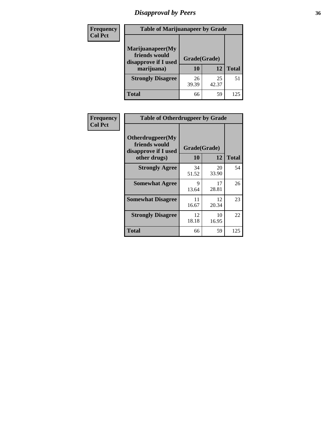# *Disapproval by Peers* **36**

| Frequency<br><b>Col Pct</b> | <b>Table of Marijuanapeer by Grade</b>                                  |                    |             |              |  |
|-----------------------------|-------------------------------------------------------------------------|--------------------|-------------|--------------|--|
|                             | Marijuanapeer(My<br>friends would<br>disapprove if I used<br>marijuana) | Grade(Grade)<br>10 | 12          | <b>Total</b> |  |
|                             | <b>Strongly Disagree</b>                                                | 26<br>39.39        | 25<br>42.37 | 51           |  |
|                             | Total                                                                   | 66                 | 59          | 125          |  |

| Frequency      | <b>Table of Otherdrugpeer by Grade</b>                                    |                    |             |              |  |
|----------------|---------------------------------------------------------------------------|--------------------|-------------|--------------|--|
| <b>Col Pct</b> | Otherdrugpeer(My<br>friends would<br>disapprove if I used<br>other drugs) | Grade(Grade)<br>10 | 12          | <b>Total</b> |  |
|                | <b>Strongly Agree</b>                                                     | 34<br>51.52        | 20<br>33.90 | 54           |  |
|                | <b>Somewhat Agree</b>                                                     | 9<br>13.64         | 17<br>28.81 | 26           |  |
|                | <b>Somewhat Disagree</b>                                                  | 11<br>16.67        | 12<br>20.34 | 23           |  |
|                | <b>Strongly Disagree</b>                                                  | 12<br>18.18        | 10<br>16.95 | 22           |  |
|                | Total                                                                     | 66                 | 59          | 125          |  |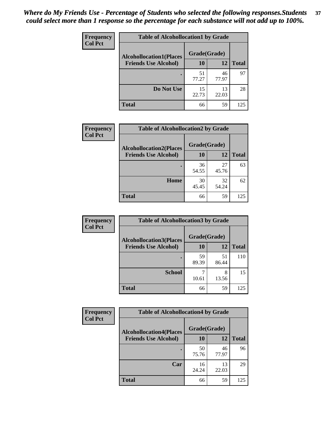| Frequency      | <b>Table of Alcohollocation1 by Grade</b> |              |             |              |  |
|----------------|-------------------------------------------|--------------|-------------|--------------|--|
| <b>Col Pct</b> | <b>Alcohollocation1(Places</b>            | Grade(Grade) |             |              |  |
|                | <b>Friends Use Alcohol)</b>               | 10           | 12          | <b>Total</b> |  |
|                |                                           | 51<br>77.27  | 46<br>77.97 | 97           |  |
|                | Do Not Use                                | 15<br>22.73  | 13<br>22.03 | 28           |  |
|                | <b>Total</b>                              | 66           | 59          | 125          |  |

| Frequency      | <b>Table of Alcohollocation2 by Grade</b>                     |                    |             |              |
|----------------|---------------------------------------------------------------|--------------------|-------------|--------------|
| <b>Col Pct</b> | <b>Alcohollocation2(Places</b><br><b>Friends Use Alcohol)</b> | Grade(Grade)<br>10 | <b>12</b>   | <b>Total</b> |
|                |                                                               |                    |             |              |
|                |                                                               | 36<br>54.55        | 27<br>45.76 | 63           |
|                | Home                                                          | 30<br>45.45        | 32<br>54.24 | 62           |
|                | <b>Total</b>                                                  | 66                 | 59          | 125          |

| Frequency      | <b>Table of Alcohollocation 3 by Grade</b> |              |             |              |
|----------------|--------------------------------------------|--------------|-------------|--------------|
| <b>Col Pct</b> | <b>Alcohollocation3</b> (Places            | Grade(Grade) |             |              |
|                | <b>Friends Use Alcohol)</b>                | 10           | 12          | <b>Total</b> |
|                |                                            | 59<br>89.39  | 51<br>86.44 | 110          |
|                | <b>School</b>                              | 10.61        | 8<br>13.56  | 15           |
|                | <b>Total</b>                               | 66           | 59          | 125          |

| Frequency      | <b>Table of Alcohollocation4 by Grade</b> |              |             |              |  |
|----------------|-------------------------------------------|--------------|-------------|--------------|--|
| <b>Col Pct</b> | <b>Alcohollocation4(Places</b>            | Grade(Grade) |             |              |  |
|                | <b>Friends Use Alcohol)</b>               | 10           | 12          | <b>Total</b> |  |
|                |                                           | 50<br>75.76  | 46<br>77.97 | 96           |  |
|                | Car                                       | 16<br>24.24  | 13<br>22.03 | 29           |  |
|                | <b>Total</b>                              | 66           | 59          | 125          |  |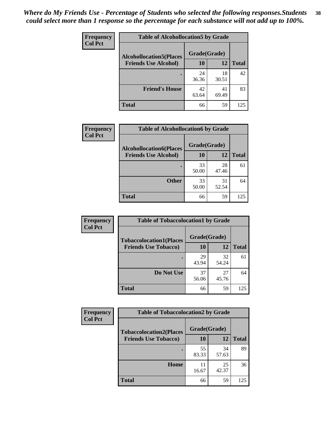| Frequency<br><b>Col Pct</b> | <b>Table of Alcohollocation5 by Grade</b> |             |             |              |
|-----------------------------|-------------------------------------------|-------------|-------------|--------------|
|                             | <b>Alcohollocation5(Places</b>            |             |             |              |
|                             | <b>Friends Use Alcohol)</b>               | 10          | 12          | <b>Total</b> |
|                             |                                           | 24<br>36.36 | 18<br>30.51 | 42           |
|                             | <b>Friend's House</b>                     | 42<br>63.64 | 41<br>69.49 | 83           |
|                             | <b>Total</b>                              | 66          | 59          | 125          |

| <b>Frequency</b> | <b>Table of Alcohollocation6 by Grade</b>                     |                    |             |              |
|------------------|---------------------------------------------------------------|--------------------|-------------|--------------|
| <b>Col Pct</b>   | <b>Alcohollocation6(Places</b><br><b>Friends Use Alcohol)</b> | Grade(Grade)<br>10 | 12          | <b>Total</b> |
|                  |                                                               | 33<br>50.00        | 28<br>47.46 | 61           |
|                  | <b>Other</b>                                                  | 33<br>50.00        | 31<br>52.54 | 64           |
|                  | <b>Total</b>                                                  | 66                 | 59          | 125          |

| <b>Frequency</b>            | <b>Table of Tobaccolocation1 by Grade</b> |              |              |     |
|-----------------------------|-------------------------------------------|--------------|--------------|-----|
| <b>Col Pct</b>              | <b>Tobaccolocation1(Places</b>            | Grade(Grade) |              |     |
| <b>Friends Use Tobacco)</b> | 10                                        | 12           | <b>Total</b> |     |
|                             |                                           | 29<br>43.94  | 32<br>54.24  | 61  |
|                             | Do Not Use                                | 37<br>56.06  | 27<br>45.76  | 64  |
|                             | <b>Total</b>                              | 66           | 59           | 125 |

| <b>Frequency</b> | <b>Table of Tobaccolocation2 by Grade</b> |              |             |              |  |
|------------------|-------------------------------------------|--------------|-------------|--------------|--|
| <b>Col Pct</b>   | <b>Tobaccolocation2(Places</b>            | Grade(Grade) |             |              |  |
|                  | <b>Friends Use Tobacco)</b>               | 10           | 12          | <b>Total</b> |  |
|                  |                                           | 55<br>83.33  | 34<br>57.63 | 89           |  |
|                  | Home                                      | 11<br>16.67  | 25<br>42.37 | 36           |  |
|                  | <b>Total</b>                              | 66           | 59          | 125          |  |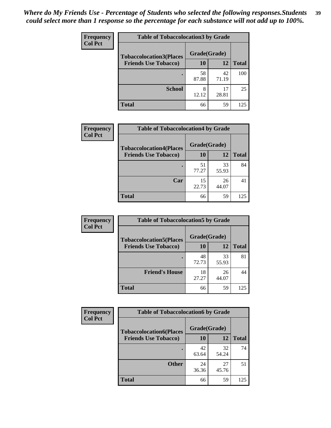| Frequency<br><b>Col Pct</b> | <b>Table of Tobaccolocation 3 by Grade</b> |              |             |              |  |
|-----------------------------|--------------------------------------------|--------------|-------------|--------------|--|
|                             | <b>Tobaccolocation3(Places</b>             | Grade(Grade) |             |              |  |
|                             | <b>Friends Use Tobacco)</b>                | 10           | <b>12</b>   | <b>Total</b> |  |
|                             |                                            | 58<br>87.88  | 42<br>71.19 | 100          |  |
|                             | <b>School</b>                              | 8<br>12.12   | 17<br>28.81 | 25           |  |
|                             | <b>Total</b>                               | 66           | 59          | 125          |  |

| Frequency<br><b>Col Pct</b> | <b>Table of Tobaccolocation4 by Grade</b> |              |             |              |
|-----------------------------|-------------------------------------------|--------------|-------------|--------------|
|                             | <b>Tobaccolocation4(Places</b>            | Grade(Grade) |             |              |
|                             | <b>Friends Use Tobacco)</b>               | 10           | <b>12</b>   | <b>Total</b> |
|                             |                                           | 51<br>77.27  | 33<br>55.93 | 84           |
|                             | Car                                       | 15<br>22.73  | 26<br>44.07 | 41           |
|                             | <b>Total</b>                              | 66           | 59          | 125          |

| Frequency      | <b>Table of Tobaccolocation5 by Grade</b> |              |             |              |
|----------------|-------------------------------------------|--------------|-------------|--------------|
| <b>Col Pct</b> | <b>Tobaccolocation5(Places</b>            | Grade(Grade) |             |              |
|                | <b>Friends Use Tobacco)</b>               | 10           | 12          | <b>Total</b> |
|                |                                           | 48<br>72.73  | 33<br>55.93 | 81           |
|                | <b>Friend's House</b>                     | 18<br>27.27  | 26<br>44.07 | 44           |
|                | <b>Total</b>                              | 66           | 59          | 125          |

| <b>Frequency</b> | <b>Table of Tobaccolocation6 by Grade</b> |              |             |              |
|------------------|-------------------------------------------|--------------|-------------|--------------|
| <b>Col Pct</b>   | <b>Tobaccolocation6(Places</b>            | Grade(Grade) |             |              |
|                  | <b>Friends Use Tobacco)</b>               | 10           | 12          | <b>Total</b> |
|                  |                                           | 42<br>63.64  | 32<br>54.24 | 74           |
|                  | <b>Other</b>                              | 24<br>36.36  | 27<br>45.76 | 51           |
|                  | <b>Total</b>                              | 66           | 59          | 125          |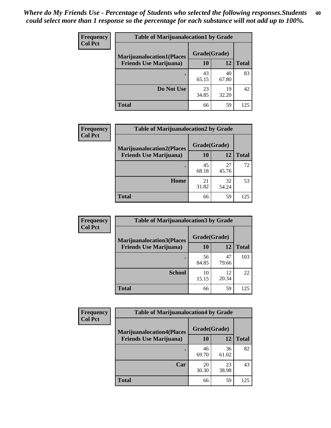| <b>Frequency</b> | <b>Table of Marijuanalocation1 by Grade</b> |              |             |              |
|------------------|---------------------------------------------|--------------|-------------|--------------|
| <b>Col Pct</b>   | <b>Marijuanalocation1(Places</b>            | Grade(Grade) |             |              |
|                  | <b>Friends Use Marijuana</b> )              | <b>10</b>    | 12          | <b>Total</b> |
|                  |                                             | 43<br>65.15  | 40<br>67.80 | 83           |
|                  | Do Not Use                                  | 23<br>34.85  | 19<br>32.20 | 42           |
|                  | <b>Total</b>                                | 66           | 59          | 125          |

| <b>Frequency</b> | <b>Table of Marijuanalocation2 by Grade</b>                        |                    |             |              |
|------------------|--------------------------------------------------------------------|--------------------|-------------|--------------|
| <b>Col Pct</b>   | <b>Marijuanalocation2(Places</b><br><b>Friends Use Marijuana</b> ) | Grade(Grade)<br>10 | 12          | <b>Total</b> |
|                  |                                                                    | 45<br>68.18        | 27<br>45.76 | 72           |
|                  | Home                                                               | 21<br>31.82        | 32<br>54.24 | 53           |
|                  | <b>Total</b>                                                       | 66                 | 59          | 125          |

| <b>Frequency</b> | <b>Table of Marijuanalocation3 by Grade</b> |              |             |              |
|------------------|---------------------------------------------|--------------|-------------|--------------|
| <b>Col Pct</b>   | <b>Marijuanalocation3</b> (Places           | Grade(Grade) |             |              |
|                  | <b>Friends Use Marijuana</b> )              | <b>10</b>    | 12          | <b>Total</b> |
|                  |                                             | 56<br>84.85  | 47<br>79.66 | 103          |
|                  | <b>School</b>                               | 10<br>15.15  | 12<br>20.34 | 22           |
|                  | <b>Total</b>                                | 66           | 59          | 125          |

| <b>Frequency</b> | <b>Table of Marijuanalocation4 by Grade</b> |              |             |              |
|------------------|---------------------------------------------|--------------|-------------|--------------|
| <b>Col Pct</b>   | <b>Marijuanalocation4(Places</b>            | Grade(Grade) |             |              |
|                  | <b>Friends Use Marijuana</b> )              | <b>10</b>    | 12          | <b>Total</b> |
|                  |                                             | 46<br>69.70  | 36<br>61.02 | 82           |
|                  | Car                                         | 20<br>30.30  | 23<br>38.98 | 43           |
|                  | <b>Total</b>                                | 66           | 59          | 125          |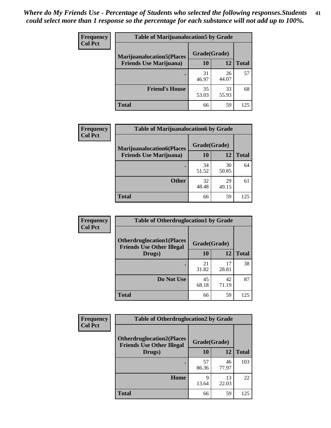| <b>Frequency</b> | <b>Table of Marijuanalocation5 by Grade</b> |              |             |              |
|------------------|---------------------------------------------|--------------|-------------|--------------|
| <b>Col Pct</b>   | <b>Marijuanalocation5</b> (Places           | Grade(Grade) |             |              |
|                  | <b>Friends Use Marijuana</b> )              | 10           | 12          | <b>Total</b> |
|                  |                                             | 31<br>46.97  | 26<br>44.07 | 57           |
|                  | <b>Friend's House</b>                       | 35<br>53.03  | 33<br>55.93 | 68           |
|                  | <b>Total</b>                                | 66           | 59          | 125          |

| <b>Frequency</b> | <b>Table of Marijuanalocation6 by Grade</b>                        |                    |             |              |
|------------------|--------------------------------------------------------------------|--------------------|-------------|--------------|
| <b>Col Pct</b>   | <b>Marijuanalocation6(Places</b><br><b>Friends Use Marijuana</b> ) | Grade(Grade)<br>10 | 12          | <b>Total</b> |
|                  |                                                                    | 34<br>51.52        | 30<br>50.85 | 64           |
|                  | <b>Other</b>                                                       | 32<br>48.48        | 29<br>49.15 | 61           |
|                  | <b>Total</b>                                                       | 66                 | 59          | 125          |

| <b>Frequency</b> | <b>Table of Otherdruglocation1 by Grade</b>                          |              |             |              |
|------------------|----------------------------------------------------------------------|--------------|-------------|--------------|
| <b>Col Pct</b>   | <b>Otherdruglocation1(Places</b><br><b>Friends Use Other Illegal</b> | Grade(Grade) |             |              |
|                  | Drugs)                                                               | 10           | 12          | <b>Total</b> |
|                  |                                                                      | 21<br>31.82  | 17<br>28.81 | 38           |
|                  | Do Not Use                                                           | 45<br>68.18  | 42<br>71.19 | 87           |
|                  | <b>Total</b>                                                         | 66           | 59          | 125          |

| <b>Frequency</b> | <b>Table of Otherdruglocation2 by Grade</b>                          |              |             |              |
|------------------|----------------------------------------------------------------------|--------------|-------------|--------------|
| <b>Col Pct</b>   | <b>Otherdruglocation2(Places</b><br><b>Friends Use Other Illegal</b> | Grade(Grade) |             |              |
|                  | Drugs)                                                               | 10           | 12          | <b>Total</b> |
|                  |                                                                      | 57<br>86.36  | 46<br>77.97 | 103          |
|                  | Home                                                                 | 9<br>13.64   | 13<br>22.03 | 22           |
|                  | <b>Total</b>                                                         | 66           | 59          | 125          |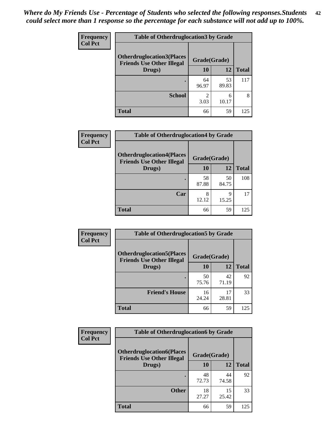| <b>Frequency</b> | <b>Table of Otherdruglocation 3 by Grade</b> |              |             |              |  |
|------------------|----------------------------------------------|--------------|-------------|--------------|--|
| <b>Col Pct</b>   | <b>Otherdruglocation3(Places</b>             | Grade(Grade) |             |              |  |
|                  | <b>Friends Use Other Illegal</b><br>Drugs)   | 10           | 12          | <b>Total</b> |  |
|                  |                                              | 64<br>96.97  | 53<br>89.83 | 117          |  |
|                  | <b>School</b>                                | 2<br>3.03    | 6<br>10.17  | 8            |  |
|                  | <b>Total</b>                                 | 66           | 59          | 125          |  |

| Frequency      | <b>Table of Otherdruglocation4 by Grade</b>                          |              |             |              |  |
|----------------|----------------------------------------------------------------------|--------------|-------------|--------------|--|
| <b>Col Pct</b> | <b>Otherdruglocation4(Places</b><br><b>Friends Use Other Illegal</b> | Grade(Grade) |             |              |  |
|                | Drugs)                                                               | 10           | 12          | <b>Total</b> |  |
|                |                                                                      | 58<br>87.88  | 50<br>84.75 | 108          |  |
|                | Car                                                                  | 8<br>12.12   | Q<br>15.25  | 17           |  |
|                | <b>Total</b>                                                         | 66           | 59          | 125          |  |

| <b>Frequency</b> | <b>Table of Otherdruglocation5 by Grade</b>                          |              |             |              |
|------------------|----------------------------------------------------------------------|--------------|-------------|--------------|
| <b>Col Pct</b>   | <b>Otherdruglocation5(Places</b><br><b>Friends Use Other Illegal</b> | Grade(Grade) |             |              |
|                  | Drugs)                                                               | 10           | 12          | <b>Total</b> |
|                  |                                                                      | 50<br>75.76  | 42<br>71.19 | 92           |
|                  | <b>Friend's House</b>                                                | 16<br>24.24  | 17<br>28.81 | 33           |
|                  | <b>Total</b>                                                         | 66           | 59          | 125          |

| Frequency      | <b>Table of Otherdruglocation6 by Grade</b>                          |              |             |              |
|----------------|----------------------------------------------------------------------|--------------|-------------|--------------|
| <b>Col Pct</b> | <b>Otherdruglocation6(Places</b><br><b>Friends Use Other Illegal</b> | Grade(Grade) |             |              |
|                | Drugs)                                                               | 10           | 12          | <b>Total</b> |
|                |                                                                      | 48<br>72.73  | 44<br>74.58 | 92           |
|                | <b>Other</b>                                                         | 18<br>27.27  | 15<br>25.42 | 33           |
|                | <b>Total</b>                                                         | 66           | 59          | 125          |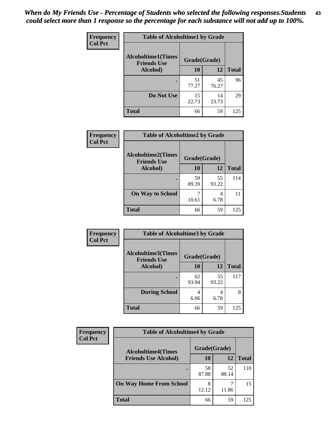| Frequency      | <b>Table of Alcoholtime1 by Grade</b>           |              |             |              |
|----------------|-------------------------------------------------|--------------|-------------|--------------|
| <b>Col Pct</b> | <b>Alcoholtime1(Times</b><br><b>Friends Use</b> | Grade(Grade) |             |              |
|                | Alcohol)                                        | 10           | 12          | <b>Total</b> |
|                |                                                 | 51<br>77.27  | 45<br>76.27 | 96           |
|                | Do Not Use                                      | 15<br>22.73  | 14<br>23.73 | 29           |
|                | <b>Total</b>                                    | 66           | 59          | 125          |

| Frequency      | <b>Table of Alcoholtime2 by Grade</b>           |              |             |              |
|----------------|-------------------------------------------------|--------------|-------------|--------------|
| <b>Col Pct</b> | <b>Alcoholtime2(Times</b><br><b>Friends Use</b> | Grade(Grade) |             |              |
|                | Alcohol)                                        | 10           | 12          | <b>Total</b> |
|                |                                                 | 59<br>89.39  | 55<br>93.22 | 114          |
|                | <b>On Way to School</b>                         | 10.61        | 4<br>6.78   | 11           |
|                | <b>Total</b>                                    | 66           | 59          | 125          |

| Frequency      | <b>Table of Alcoholtime3 by Grade</b>           |              |             |              |
|----------------|-------------------------------------------------|--------------|-------------|--------------|
| <b>Col Pct</b> | <b>Alcoholtime3(Times</b><br><b>Friends Use</b> | Grade(Grade) |             |              |
|                | Alcohol)                                        | 10           | 12          | <b>Total</b> |
|                |                                                 | 62<br>93.94  | 55<br>93.22 | 117          |
|                | <b>During School</b>                            | 4<br>6.06    | 4<br>6.78   | 8            |
|                | Total                                           | 66           | 59          | 125          |

| <b>Frequency</b> | <b>Table of Alcoholtime4 by Grade</b> |              |             |              |
|------------------|---------------------------------------|--------------|-------------|--------------|
| <b>Col Pct</b>   | <b>Alcoholtime4(Times</b>             | Grade(Grade) |             |              |
|                  | <b>Friends Use Alcohol)</b>           | 10           | 12          | <b>Total</b> |
|                  |                                       | 58<br>87.88  | 52<br>88.14 | 110          |
|                  | <b>On Way Home From School</b>        | 8<br>12.12   | 11.86       | 15           |
|                  | <b>Total</b>                          | 66           | 59          | 125          |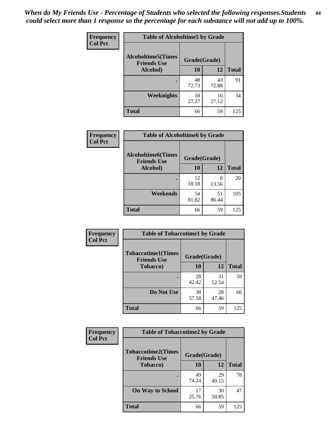*When do My Friends Use - Percentage of Students who selected the following responses.Students could select more than 1 response so the percentage for each substance will not add up to 100%.* **44**

| Frequency      | <b>Table of Alcoholtime5 by Grade</b>           |              |             |              |
|----------------|-------------------------------------------------|--------------|-------------|--------------|
| <b>Col Pct</b> | <b>Alcoholtime5(Times</b><br><b>Friends Use</b> | Grade(Grade) |             |              |
|                | Alcohol)                                        | 10           | 12          | <b>Total</b> |
|                | ٠                                               | 48<br>72.73  | 43<br>72.88 | 91           |
|                | Weeknights                                      | 18<br>27.27  | 16<br>27.12 | 34           |
|                | <b>Total</b>                                    | 66           | 59          | 125          |

| Frequency      | <b>Table of Alcoholtime6 by Grade</b>           |              |             |              |
|----------------|-------------------------------------------------|--------------|-------------|--------------|
| <b>Col Pct</b> | <b>Alcoholtime6(Times</b><br><b>Friends Use</b> | Grade(Grade) |             |              |
|                | Alcohol)                                        | 10           | 12          | <b>Total</b> |
|                |                                                 | 12<br>18.18  | 8<br>13.56  | 20           |
|                | Weekends                                        | 54<br>81.82  | 51<br>86.44 | 105          |
|                | <b>Total</b>                                    | 66           | 59          | 125          |

| Frequency      | <b>Table of Tobaccotime1 by Grade</b>           |              |             |              |
|----------------|-------------------------------------------------|--------------|-------------|--------------|
| <b>Col Pct</b> | <b>Tobaccotime1(Times</b><br><b>Friends Use</b> | Grade(Grade) |             |              |
|                | <b>Tobacco</b> )                                | 10           | 12          | <b>Total</b> |
|                | ٠                                               | 28<br>42.42  | 31<br>52.54 | 59           |
|                | Do Not Use                                      | 38<br>57.58  | 28<br>47.46 | 66           |
|                | <b>Total</b>                                    | 66           | 59          | 125          |

| Frequency      | <b>Table of Tobaccotime2 by Grade</b>           |              |             |              |
|----------------|-------------------------------------------------|--------------|-------------|--------------|
| <b>Col Pct</b> | <b>Tobaccotime2(Times</b><br><b>Friends Use</b> | Grade(Grade) |             |              |
|                | <b>Tobacco</b> )                                | 10           | 12          | <b>Total</b> |
|                |                                                 | 49<br>74.24  | 29<br>49.15 | 78           |
|                | <b>On Way to School</b>                         | 17<br>25.76  | 30<br>50.85 | 47           |
|                | <b>Total</b>                                    | 66           | 59          | 125          |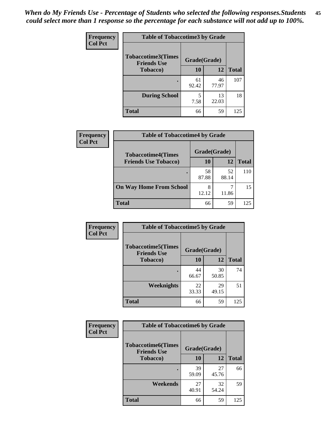*When do My Friends Use - Percentage of Students who selected the following responses.Students could select more than 1 response so the percentage for each substance will not add up to 100%.* **45**

| <b>Frequency</b> | <b>Table of Tobaccotime3 by Grade</b>           |              |             |              |
|------------------|-------------------------------------------------|--------------|-------------|--------------|
| <b>Col Pct</b>   | <b>Tobaccotime3(Times</b><br><b>Friends Use</b> | Grade(Grade) |             |              |
|                  | <b>Tobacco</b> )                                | 10           | 12          | <b>Total</b> |
|                  |                                                 | 61<br>92.42  | 46<br>77.97 | 107          |
|                  | <b>During School</b>                            | 5<br>7.58    | 13<br>22.03 | 18           |
|                  | <b>Total</b>                                    | 66           | 59          | 125          |

| Frequency<br><b>Col Pct</b> | <b>Table of Tobaccotime4 by Grade</b> |              |             |              |
|-----------------------------|---------------------------------------|--------------|-------------|--------------|
|                             | <b>Tobaccotime4(Times</b>             | Grade(Grade) |             |              |
|                             | <b>Friends Use Tobacco)</b>           | 10           | 12          | <b>Total</b> |
|                             |                                       | 58<br>87.88  | 52<br>88.14 | 110          |
|                             | <b>On Way Home From School</b>        | 8<br>12.12   | 11.86       | 15           |
|                             | <b>Total</b>                          | 66           | 59          | 125          |

| Frequency      | <b>Table of Tobaccotime5 by Grade</b>            |              |             |              |
|----------------|--------------------------------------------------|--------------|-------------|--------------|
| <b>Col Pct</b> | <b>Tobaccotime5</b> (Times<br><b>Friends Use</b> | Grade(Grade) |             |              |
|                | <b>Tobacco</b> )                                 | 10           | 12          | <b>Total</b> |
|                | ٠                                                | 44<br>66.67  | 30<br>50.85 | 74           |
|                | Weeknights                                       | 22<br>33.33  | 29<br>49.15 | 51           |
|                | <b>Total</b>                                     | 66           | 59          | 125          |

| Frequency<br><b>Col Pct</b> | <b>Table of Tobaccotime6 by Grade</b>           |              |             |              |
|-----------------------------|-------------------------------------------------|--------------|-------------|--------------|
|                             | <b>Tobaccotime6(Times</b><br><b>Friends Use</b> | Grade(Grade) |             |              |
|                             | <b>Tobacco</b> )                                | 10           | 12          | <b>Total</b> |
|                             | ٠                                               | 39<br>59.09  | 27<br>45.76 | 66           |
|                             | Weekends                                        | 27<br>40.91  | 32<br>54.24 | 59           |
|                             | <b>Total</b>                                    | 66           | 59          | 125          |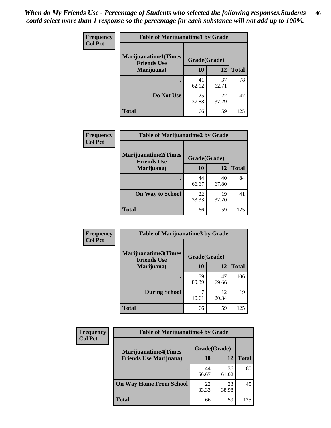| Frequency      | <b>Table of Marijuanatime1 by Grade</b>           |              |             |              |
|----------------|---------------------------------------------------|--------------|-------------|--------------|
| <b>Col Pct</b> | <b>Marijuanatime1(Times</b><br><b>Friends Use</b> | Grade(Grade) |             |              |
|                | Marijuana)                                        | 10           | 12          | <b>Total</b> |
|                |                                                   | 41<br>62.12  | 37<br>62.71 | 78           |
|                | Do Not Use                                        | 25<br>37.88  | 22<br>37.29 | 47           |
|                | <b>Total</b>                                      | 66           | 59          | 125          |

| Frequency      | <b>Table of Marijuanatime2 by Grade</b>           |              |             |              |
|----------------|---------------------------------------------------|--------------|-------------|--------------|
| <b>Col Pct</b> | <b>Marijuanatime2(Times</b><br><b>Friends Use</b> | Grade(Grade) |             |              |
|                | Marijuana)                                        | 10           | 12          | <b>Total</b> |
|                |                                                   | 44<br>66.67  | 40<br>67.80 | 84           |
|                | <b>On Way to School</b>                           | 22<br>33.33  | 19<br>32.20 | 41           |
|                | <b>Total</b>                                      | 66           | 59          | 125          |

| Frequency<br><b>Col Pct</b> | <b>Table of Marijuanatime3 by Grade</b>    |              |             |              |
|-----------------------------|--------------------------------------------|--------------|-------------|--------------|
|                             | Marijuanatime3(Times<br><b>Friends Use</b> | Grade(Grade) |             |              |
|                             | Marijuana)                                 | 10           | 12          | <b>Total</b> |
|                             |                                            | 59<br>89.39  | 47<br>79.66 | 106          |
|                             | <b>During School</b>                       | 10.61        | 12<br>20.34 | 19           |
|                             | Total                                      | 66           | 59          | 125          |

| <b>Frequency</b> | <b>Table of Marijuanatime4 by Grade</b> |              |             |              |
|------------------|-----------------------------------------|--------------|-------------|--------------|
| <b>Col Pct</b>   | <b>Marijuanatime4</b> (Times            | Grade(Grade) |             |              |
|                  | <b>Friends Use Marijuana</b> )          | 10           | 12          | <b>Total</b> |
|                  |                                         | 44<br>66.67  | 36<br>61.02 | 80           |
|                  | <b>On Way Home From School</b>          | 22<br>33.33  | 23<br>38.98 | 45           |
|                  | <b>Total</b>                            | 66           | 59          | 125          |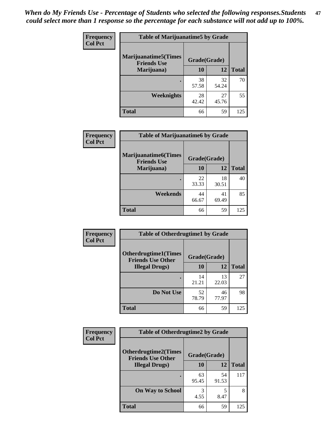| <b>Frequency</b><br><b>Col Pct</b> | <b>Table of Marijuanatime5 by Grade</b>            |              |             |              |
|------------------------------------|----------------------------------------------------|--------------|-------------|--------------|
|                                    | <b>Marijuanatime5</b> (Times<br><b>Friends Use</b> | Grade(Grade) |             |              |
|                                    | Marijuana)                                         | 10           | 12          | <b>Total</b> |
|                                    |                                                    | 38<br>57.58  | 32<br>54.24 | 70           |
|                                    | <b>Weeknights</b>                                  | 28<br>42.42  | 27<br>45.76 | 55           |
|                                    | <b>Total</b>                                       | 66           | 59          | 125          |

| <b>Frequency</b><br><b>Col Pct</b> | <b>Table of Marijuanatime6 by Grade</b>            |              |             |              |
|------------------------------------|----------------------------------------------------|--------------|-------------|--------------|
|                                    | <b>Marijuanatime6</b> (Times<br><b>Friends Use</b> | Grade(Grade) |             |              |
|                                    | Marijuana)                                         | 10           | 12          | <b>Total</b> |
|                                    | $\bullet$                                          | 22<br>33.33  | 18<br>30.51 | 40           |
|                                    | Weekends                                           | 44<br>66.67  | 41<br>69.49 | 85           |
|                                    | <b>Total</b>                                       | 66           | 59          | 125          |

| <b>Frequency</b> | <b>Table of Otherdrugtime1 by Grade</b>                  |              |             |              |
|------------------|----------------------------------------------------------|--------------|-------------|--------------|
| <b>Col Pct</b>   | <b>Otherdrugtime1</b> (Times<br><b>Friends Use Other</b> | Grade(Grade) |             |              |
|                  | <b>Illegal Drugs</b> )                                   | 10           | 12          | <b>Total</b> |
|                  |                                                          | 14<br>21.21  | 13<br>22.03 | 27           |
|                  | Do Not Use                                               | 52<br>78.79  | 46<br>77.97 | 98           |
|                  | <b>Total</b>                                             | 66           | 59          | 125          |

| <b>Frequency</b> | <b>Table of Otherdrugtime2 by Grade</b>                 |              |             |              |
|------------------|---------------------------------------------------------|--------------|-------------|--------------|
| <b>Col Pct</b>   | <b>Otherdrugtime2(Times</b><br><b>Friends Use Other</b> | Grade(Grade) |             |              |
|                  | <b>Illegal Drugs</b> )                                  | 10           | 12          | <b>Total</b> |
|                  |                                                         | 63<br>95.45  | 54<br>91.53 | 117          |
|                  | <b>On Way to School</b>                                 | 3<br>4.55    | 5<br>8.47   | 8            |
|                  | Total                                                   | 66           | 59          | 125          |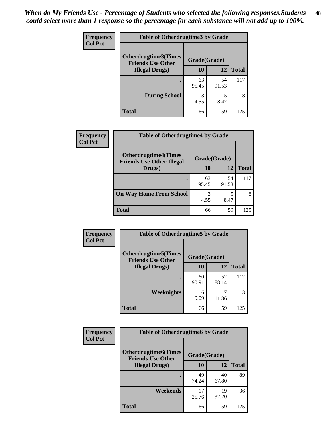| <b>Frequency</b> | <b>Table of Otherdrugtime3 by Grade</b>          |              |             |              |
|------------------|--------------------------------------------------|--------------|-------------|--------------|
| <b>Col Pct</b>   | Otherdrugtime3(Times<br><b>Friends Use Other</b> | Grade(Grade) |             |              |
|                  | <b>Illegal Drugs</b> )                           | 10           | 12          | <b>Total</b> |
|                  |                                                  | 63<br>95.45  | 54<br>91.53 | 117          |
|                  | <b>During School</b>                             | 3<br>4.55    | 5<br>8.47   | 8            |
|                  | <b>Total</b>                                     | 66           | 59          | 125          |

| Frequency      | <b>Table of Otherdrugtime4 by Grade</b>                         |              |             |              |
|----------------|-----------------------------------------------------------------|--------------|-------------|--------------|
| <b>Col Pct</b> | <b>Otherdrugtime4(Times</b><br><b>Friends Use Other Illegal</b> | Grade(Grade) |             |              |
|                | Drugs)                                                          | 10           | 12          | <b>Total</b> |
|                | $\bullet$                                                       | 63<br>95.45  | 54<br>91.53 | 117          |
|                | <b>On Way Home From School</b>                                  | 3<br>4.55    | 8.47        | 8            |
|                | <b>Total</b>                                                    | 66           | 59          | 125          |

| <b>Frequency</b> | <b>Table of Otherdrugtime5 by Grade</b>                  |              |             |              |
|------------------|----------------------------------------------------------|--------------|-------------|--------------|
| <b>Col Pct</b>   | <b>Otherdrugtime5</b> (Times<br><b>Friends Use Other</b> | Grade(Grade) |             |              |
|                  | <b>Illegal Drugs</b> )                                   | 10           | 12          | <b>Total</b> |
|                  |                                                          | 60<br>90.91  | 52<br>88.14 | 112          |
|                  | Weeknights                                               | 6<br>9.09    | 11.86       | 13           |
|                  | <b>Total</b>                                             | 66           | 59          | 125          |

| Frequency<br><b>Col Pct</b> | <b>Table of Otherdrugtime6 by Grade</b>                 |              |             |              |
|-----------------------------|---------------------------------------------------------|--------------|-------------|--------------|
|                             | <b>Otherdrugtime6(Times</b><br><b>Friends Use Other</b> | Grade(Grade) |             |              |
|                             | <b>Illegal Drugs</b> )                                  | 10           | 12          | <b>Total</b> |
|                             |                                                         | 49<br>74.24  | 40<br>67.80 | 89           |
|                             | Weekends                                                | 17<br>25.76  | 19<br>32.20 | 36           |
|                             | Total                                                   | 66           | 59          | 125          |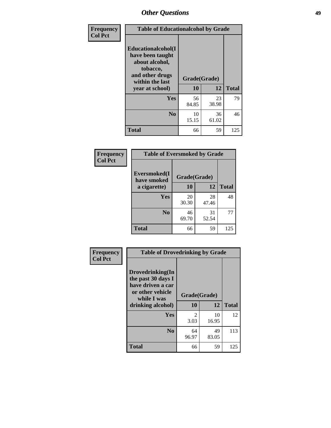| Frequency      | <b>Table of Educationalcohol by Grade</b>                                                                  |              |             |              |
|----------------|------------------------------------------------------------------------------------------------------------|--------------|-------------|--------------|
| <b>Col Pct</b> | Educationalcohol(I<br>have been taught<br>about alcohol,<br>tobacco,<br>and other drugs<br>within the last | Grade(Grade) |             |              |
|                | year at school)                                                                                            | 10           | 12          | <b>Total</b> |
|                | Yes                                                                                                        | 56<br>84.85  | 23<br>38.98 | 79           |
|                | N <sub>0</sub>                                                                                             | 10<br>15.15  | 36<br>61.02 | 46           |
|                | <b>Total</b>                                                                                               | 66           | 59          | 125          |

| Frequency      | <b>Table of Eversmoked by Grade</b> |              |             |              |  |
|----------------|-------------------------------------|--------------|-------------|--------------|--|
| <b>Col Pct</b> | Eversmoked(I<br>have smoked         | Grade(Grade) |             |              |  |
|                | a cigarette)                        | 10           | 12          | <b>Total</b> |  |
|                | <b>Yes</b>                          | 20<br>30.30  | 28<br>47.46 | 48           |  |
|                | N <sub>0</sub>                      | 46<br>69.70  | 31<br>52.54 | 77           |  |
|                | <b>Total</b>                        | 66           | 59          | 125          |  |

| Frequency      | <b>Table of Drovedrinking by Grade</b>                                                                              |                    |             |              |
|----------------|---------------------------------------------------------------------------------------------------------------------|--------------------|-------------|--------------|
| <b>Col Pct</b> | Drovedrinking(In<br>the past 30 days I<br>have driven a car<br>or other vehicle<br>while I was<br>drinking alcohol) | Grade(Grade)<br>10 | 12          | <b>Total</b> |
|                | <b>Yes</b>                                                                                                          | 2<br>3.03          | 10<br>16.95 | 12           |
|                | N <sub>0</sub>                                                                                                      | 64<br>96.97        | 49<br>83.05 | 113          |
|                | <b>Total</b>                                                                                                        | 66                 | 59          | 125          |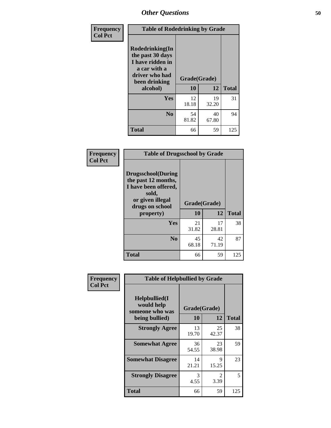| Frequency<br><b>Col Pct</b> | <b>Table of Rodedrinking by Grade</b>                                                                                         |                    |             |              |  |
|-----------------------------|-------------------------------------------------------------------------------------------------------------------------------|--------------------|-------------|--------------|--|
|                             | <b>Rodedrinking(In</b><br>the past 30 days<br>I have ridden in<br>a car with a<br>driver who had<br>been drinking<br>alcohol) | Grade(Grade)<br>10 | 12          | <b>Total</b> |  |
|                             |                                                                                                                               |                    |             |              |  |
|                             | Yes                                                                                                                           | 12<br>18.18        | 19<br>32.20 | 31           |  |
|                             | N <sub>0</sub>                                                                                                                | 54<br>81.82        | 40<br>67.80 | 94           |  |
|                             | <b>Total</b>                                                                                                                  | 66                 | 59          | 125          |  |

#### **Frequency Col Pct**

| <b>Table of Drugsschool by Grade</b>                                                                                      |              |             |              |  |
|---------------------------------------------------------------------------------------------------------------------------|--------------|-------------|--------------|--|
| <b>Drugsschool</b> (During<br>the past 12 months,<br>I have been offered,<br>sold,<br>or given illegal<br>drugs on school | Grade(Grade) |             |              |  |
| property)                                                                                                                 | 10           | 12          | <b>Total</b> |  |
| Yes                                                                                                                       | 21<br>31.82  | 17<br>28.81 | 38           |  |
| $\bf No$                                                                                                                  | 45<br>68.18  | 42<br>71.19 | 87           |  |
| <b>Total</b>                                                                                                              | 66           | 59          | 125          |  |

| Frequency      | <b>Table of Helpbullied by Grade</b>                                   |                    |             |              |  |
|----------------|------------------------------------------------------------------------|--------------------|-------------|--------------|--|
| <b>Col Pct</b> | $Helpb$ ullied $(I$<br>would help<br>someone who was<br>being bullied) | Grade(Grade)<br>10 | 12          | <b>Total</b> |  |
|                |                                                                        |                    |             |              |  |
|                | <b>Strongly Agree</b>                                                  | 13<br>19.70        | 25<br>42.37 | 38           |  |
|                | <b>Somewhat Agree</b>                                                  | 36<br>54.55        | 23<br>38.98 | 59           |  |
|                | <b>Somewhat Disagree</b>                                               | 14<br>21.21        | 9<br>15.25  | 23           |  |
|                | <b>Strongly Disagree</b>                                               | 3<br>4.55          | 2<br>3.39   | 5            |  |
|                | <b>Total</b>                                                           | 66                 | 59          | 125          |  |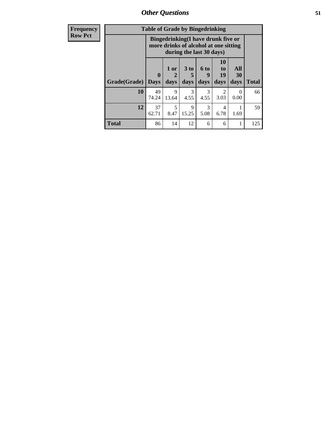*Other Questions* **51**

| <b>Frequency</b> | <b>Table of Grade by Bingedrinking</b> |             |                                                                                                         |                |                          |                               |                   |              |
|------------------|----------------------------------------|-------------|---------------------------------------------------------------------------------------------------------|----------------|--------------------------|-------------------------------|-------------------|--------------|
| <b>Row Pct</b>   |                                        |             | Bingedrinking(I have drunk five or<br>more drinks of alcohol at one sitting<br>during the last 30 days) |                |                          |                               |                   |              |
|                  | Grade(Grade)   Days                    | 0           | $1$ or $ $<br>days                                                                                      | $3$ to<br>days | <b>6 to</b><br>9<br>days | <b>10</b><br>to<br>19<br>days | All<br>30<br>days | <b>Total</b> |
|                  | 10                                     | 49<br>74.24 | 9<br>13.64                                                                                              | 3<br>4.55      | 3<br>4.55                | 2<br>3.03                     | 0<br>0.00         | 66           |
|                  | 12                                     | 37<br>62.71 | $\overline{\mathcal{L}}$<br>8.47                                                                        | 9<br>15.25     | 3<br>5.08                | $\overline{4}$<br>6.78        | 1.69              | 59           |
|                  | <b>Total</b>                           | 86          | 14                                                                                                      | 12             | 6                        | 6                             | 1                 | 125          |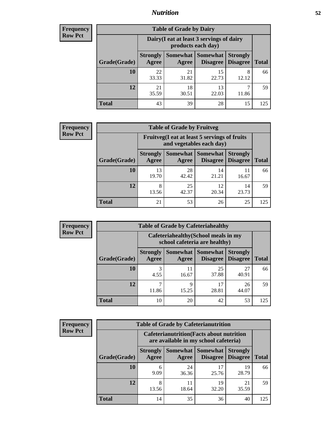## *Nutrition* **52**

| <b>Frequency</b> |
|------------------|
| <b>Row Pct</b>   |

| <b>Table of Grade by Dairy</b> |                          |                                                                                                          |             |            |     |  |  |
|--------------------------------|--------------------------|----------------------------------------------------------------------------------------------------------|-------------|------------|-----|--|--|
|                                |                          | Dairy (I eat at least 3 servings of dairy<br>products each day)                                          |             |            |     |  |  |
| Grade(Grade)                   | <b>Strongly</b><br>Agree | Somewhat  <br><b>Somewhat</b><br><b>Strongly</b><br><b>Disagree</b><br>Disagree<br><b>Total</b><br>Agree |             |            |     |  |  |
| 10                             | 22<br>33.33              | 21<br>31.82                                                                                              | 15<br>22.73 | 8<br>12.12 | 66  |  |  |
| 12                             | 21<br>35.59              | 18<br>30.51                                                                                              | 13<br>22.03 | 11.86      | 59  |  |  |
| <b>Total</b>                   | 43                       | 39                                                                                                       | 28          | 15         | 125 |  |  |

| <b>Frequency</b> |
|------------------|
| <b>Row Pct</b>   |

| $\overline{z}$ | <b>Table of Grade by Fruitveg</b> |                          |                                                                                                                      |             |             |     |  |  |  |
|----------------|-----------------------------------|--------------------------|----------------------------------------------------------------------------------------------------------------------|-------------|-------------|-----|--|--|--|
|                |                                   |                          | Fruitveg(I eat at least 5 servings of fruits<br>and vegetables each day)                                             |             |             |     |  |  |  |
|                | Grade(Grade)                      | <b>Strongly</b><br>Agree | <b>Somewhat</b><br><b>Somewhat</b><br><b>Strongly</b><br><b>Disagree</b><br><b>Disagree</b><br><b>Total</b><br>Agree |             |             |     |  |  |  |
|                | 10                                | 13<br>19.70              | 28<br>42.42                                                                                                          | 14<br>21.21 | 11<br>16.67 | 66  |  |  |  |
|                | 12                                | 8<br>13.56               | 25<br>42.37                                                                                                          | 12<br>20.34 | 14<br>23.73 | 59  |  |  |  |
|                | <b>Total</b>                      | 21                       | 53                                                                                                                   | 26          | 25          | 125 |  |  |  |

| <b>Frequency</b> |
|------------------|
| <b>Row Pct</b>   |

| <b>Table of Grade by Cafeteriahealthy</b> |                          |                                                                       |                      |                                    |              |  |  |
|-------------------------------------------|--------------------------|-----------------------------------------------------------------------|----------------------|------------------------------------|--------------|--|--|
|                                           |                          | Cafeteriahealthy (School meals in my<br>school cafeteria are healthy) |                      |                                    |              |  |  |
| Grade(Grade)                              | <b>Strongly</b><br>Agree | Somewhat  <br>Agree                                                   | Somewhat<br>Disagree | <b>Strongly</b><br><b>Disagree</b> | <b>Total</b> |  |  |
| 10                                        | 3<br>4.55                | 11<br>16.67                                                           | 25<br>37.88          | 27<br>40.91                        | 66           |  |  |
| 12                                        | 11.86                    | Q<br>15.25                                                            | 17<br>28.81          | 26<br>44.07                        | 59           |  |  |
| <b>Total</b>                              | 10                       | 20                                                                    | 42                   | 53                                 | 125          |  |  |

| Frequency      |
|----------------|
| <b>Row Pct</b> |

| <b>Table of Grade by Cafeterianutrition</b> |                          |                                                                                           |                             |                                    |              |  |  |
|---------------------------------------------|--------------------------|-------------------------------------------------------------------------------------------|-----------------------------|------------------------------------|--------------|--|--|
|                                             |                          | <b>Cafeterianutrition</b> (Facts about nutrition<br>are available in my school cafeteria) |                             |                                    |              |  |  |
| Grade(Grade)                                | <b>Strongly</b><br>Agree | Somewhat  <br>Agree                                                                       | <b>Somewhat</b><br>Disagree | <b>Strongly</b><br><b>Disagree</b> | <b>Total</b> |  |  |
| 10                                          | 6<br>9.09                | 24<br>36.36                                                                               | 17<br>25.76                 | 19<br>28.79                        | 66           |  |  |
| 12                                          | 8<br>13.56               | 11<br>18.64                                                                               | 19<br>32.20                 | 21<br>35.59                        | 59           |  |  |
| <b>Total</b>                                | 14                       | 35                                                                                        | 36                          | 40                                 | 125          |  |  |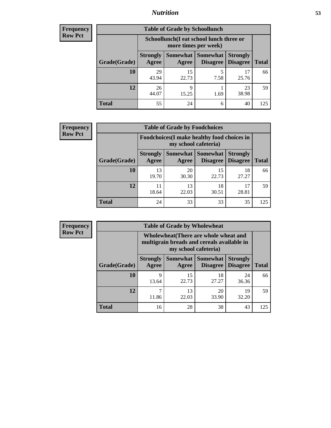## *Nutrition* **53**

| Frequency |
|-----------|
| Row Pct   |

| <b>Table of Grade by Schoollunch</b> |                                                                                                                              |                                                                 |           |             |     |  |  |
|--------------------------------------|------------------------------------------------------------------------------------------------------------------------------|-----------------------------------------------------------------|-----------|-------------|-----|--|--|
|                                      |                                                                                                                              | Schoollunch(I eat school lunch three or<br>more times per week) |           |             |     |  |  |
| Grade(Grade)                         | Somewhat   Somewhat  <br><b>Strongly</b><br><b>Strongly</b><br><b>Disagree</b><br>Disagree<br>Agree<br><b>Total</b><br>Agree |                                                                 |           |             |     |  |  |
| 10                                   | 29<br>43.94                                                                                                                  | 15<br>22.73                                                     | 5<br>7.58 | 17<br>25.76 | 66  |  |  |
| 12                                   | 26<br>44.07                                                                                                                  | Q<br>15.25                                                      | 1.69      | 23<br>38.98 | 59  |  |  |
| <b>Total</b>                         | 55                                                                                                                           | 24                                                              | 6         | 40          | 125 |  |  |

| <b>Frequency</b> |  |
|------------------|--|
| <b>Row Pct</b>   |  |

| <b>Table of Grade by Foodchoices</b> |                                                                            |             |                                          |                                    |              |  |
|--------------------------------------|----------------------------------------------------------------------------|-------------|------------------------------------------|------------------------------------|--------------|--|
|                                      | <b>Foodchoices</b> (I make healthy food choices in<br>my school cafeteria) |             |                                          |                                    |              |  |
| Grade(Grade)                         | <b>Strongly</b><br><b>Agree</b>                                            | Agree       | Somewhat   Somewhat  <br><b>Disagree</b> | <b>Strongly</b><br><b>Disagree</b> | <b>Total</b> |  |
| <b>10</b>                            | 13<br>19.70                                                                | 20<br>30.30 | 15<br>22.73                              | 18<br>27.27                        | 66           |  |
| 12                                   | 18.64                                                                      | 13<br>22.03 | 18<br>30.51                              | 17<br>28.81                        | 59           |  |
| <b>Total</b>                         | 24                                                                         | 33          | 33                                       | 35                                 | 125          |  |

| <b>Frequency</b> |
|------------------|
| <b>Row Pct</b>   |

| <b>Table of Grade by Wholewheat</b><br>V |              |                          |                                                                                                             |                                                          |                 |              |  |  |
|------------------------------------------|--------------|--------------------------|-------------------------------------------------------------------------------------------------------------|----------------------------------------------------------|-----------------|--------------|--|--|
|                                          |              |                          | Wholewheat (There are whole wheat and<br>multigrain breads and cereals available in<br>my school cafeteria) |                                                          |                 |              |  |  |
|                                          | Grade(Grade) | <b>Strongly</b><br>Agree | Agree                                                                                                       | <b>Somewhat   Somewhat   Strongly</b><br><b>Disagree</b> | <b>Disagree</b> | <b>Total</b> |  |  |
|                                          | 10           | 9<br>13.64               | 15<br>22.73                                                                                                 | 18<br>27.27                                              | 24<br>36.36     | 66           |  |  |
|                                          | 12           | 11.86                    | 13<br>22.03                                                                                                 | 20<br>33.90                                              | 19<br>32.20     | 59           |  |  |
|                                          | <b>Total</b> | 16                       | 28                                                                                                          | 38                                                       | 43              | 125          |  |  |

h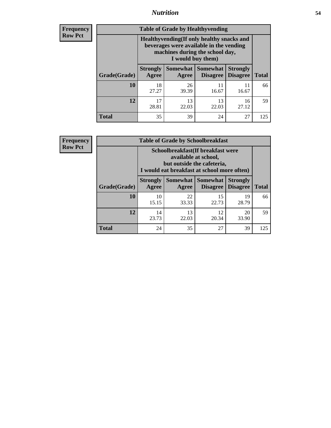## *Nutrition* **54**

**Frequency Row Pct**

| <b>Table of Grade by Healthyvending</b> |                                                                                                                                               |                          |                                    |                                    |              |  |
|-----------------------------------------|-----------------------------------------------------------------------------------------------------------------------------------------------|--------------------------|------------------------------------|------------------------------------|--------------|--|
|                                         | Healthyvending (If only healthy snacks and<br>beverages were available in the vending<br>machines during the school day,<br>I would buy them) |                          |                                    |                                    |              |  |
| Grade(Grade)                            | <b>Strongly</b><br>Agree                                                                                                                      | <b>Somewhat</b><br>Agree | <b>Somewhat</b><br><b>Disagree</b> | <b>Strongly</b><br><b>Disagree</b> | <b>Total</b> |  |
| 10                                      | 18<br>27.27                                                                                                                                   | 26<br>39.39              | 11<br>16.67                        | 11<br>16.67                        | 66           |  |
| 12                                      | 17<br>28.81                                                                                                                                   | 13<br>22.03              | 13<br>22.03                        | 16<br>27.12                        | 59           |  |
| <b>Total</b>                            | 35                                                                                                                                            | 39                       | 24                                 | 27                                 | 125          |  |

**Frequency Row Pct**

| <b>Table of Grade by Schoolbreakfast</b> |                          |                                                                                                                                         |                                    |                                    |              |  |  |
|------------------------------------------|--------------------------|-----------------------------------------------------------------------------------------------------------------------------------------|------------------------------------|------------------------------------|--------------|--|--|
|                                          |                          | Schoolbreakfast (If breakfast were<br>available at school,<br>but outside the cafeteria,<br>I would eat breakfast at school more often) |                                    |                                    |              |  |  |
| Grade(Grade)                             | <b>Strongly</b><br>Agree | Somewhat  <br>Agree                                                                                                                     | <b>Somewhat</b><br><b>Disagree</b> | <b>Strongly</b><br><b>Disagree</b> | <b>Total</b> |  |  |
| 10                                       | 10<br>15.15              | 22<br>33.33                                                                                                                             | 15<br>22.73                        | 19<br>28.79                        | 66           |  |  |
| 12                                       | 14<br>23.73              | 13<br>22.03                                                                                                                             | 12<br>20.34                        | 20<br>33.90                        | 59           |  |  |
| <b>Total</b>                             | 24                       | 35                                                                                                                                      | 27                                 | 39                                 | 125          |  |  |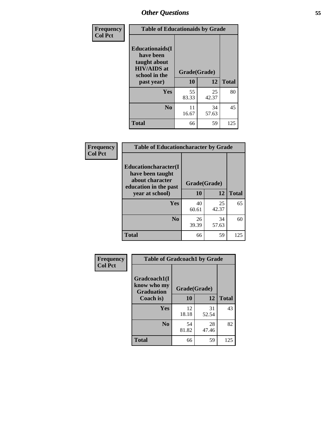| Frequency<br><b>Col Pct</b> | <b>Table of Educationaids by Grade</b>                                                      |              |             |              |  |
|-----------------------------|---------------------------------------------------------------------------------------------|--------------|-------------|--------------|--|
|                             | <b>Educationaids</b> (I<br>have been<br>taught about<br><b>HIV/AIDS</b> at<br>school in the | Grade(Grade) |             |              |  |
|                             | past year)                                                                                  | 10           | 12          | <b>Total</b> |  |
|                             | <b>Yes</b>                                                                                  | 55<br>83.33  | 25<br>42.37 | 80           |  |
|                             | N <sub>0</sub>                                                                              | 11<br>16.67  | 34<br>57.63 | 45           |  |
|                             | <b>Total</b>                                                                                | 66           | 59          | 125          |  |

| Frequency      | <b>Table of Educationcharacter by Grade</b>                 |             |              |              |  |  |
|----------------|-------------------------------------------------------------|-------------|--------------|--------------|--|--|
| <b>Col Pct</b> | Educationcharacter(I<br>have been taught<br>about character |             |              |              |  |  |
|                | education in the past                                       |             | Grade(Grade) |              |  |  |
|                | year at school)                                             | 10          | 12           | <b>Total</b> |  |  |
|                | Yes                                                         | 40<br>60.61 | 25<br>42.37  | 65           |  |  |
|                | N <sub>0</sub>                                              | 26<br>39.39 | 34<br>57.63  | 60           |  |  |
|                | <b>Total</b>                                                | 66          | 59           | 125          |  |  |

| Frequency      | <b>Table of Gradcoach1 by Grade</b> |              |             |              |  |
|----------------|-------------------------------------|--------------|-------------|--------------|--|
| <b>Col Pct</b> | Gradcoach1(I<br>know who my         | Grade(Grade) |             |              |  |
|                | <b>Graduation</b><br>Coach is)      | 10           | 12          | <b>Total</b> |  |
|                | Yes                                 | 12<br>18.18  | 31<br>52.54 | 43           |  |
|                | N <sub>0</sub>                      | 54<br>81.82  | 28<br>47.46 | 82           |  |
|                | <b>Total</b>                        | 66           | 59          | 125          |  |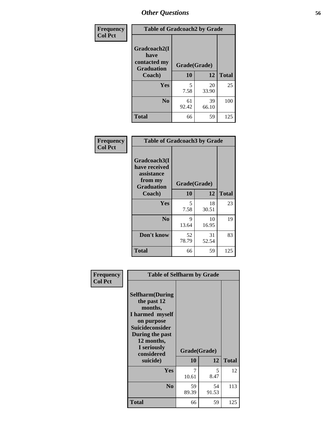| Frequency      | <b>Table of Gradcoach2 by Grade</b>       |              |             |              |
|----------------|-------------------------------------------|--------------|-------------|--------------|
| <b>Col Pct</b> |                                           |              |             |              |
|                | Gradcoach2(I                              |              |             |              |
|                | have<br>contacted my<br><b>Graduation</b> | Grade(Grade) |             |              |
|                | Coach)                                    | 10           | 12          | <b>Total</b> |
|                | Yes                                       | 5<br>7.58    | 20<br>33.90 | 25           |
|                | N <sub>0</sub>                            | 61<br>92.42  | 39<br>66.10 | 100          |
|                | <b>Total</b>                              | 66           | 59          | 125          |

| Frequency<br><b>Col Pct</b> | <b>Table of Gradcoach3 by Grade</b>                                         |              |             |              |
|-----------------------------|-----------------------------------------------------------------------------|--------------|-------------|--------------|
|                             | Gradcoach3(I<br>have received<br>assistance<br>from my<br><b>Graduation</b> | Grade(Grade) |             |              |
|                             | Coach)                                                                      | 10           | 12          | <b>Total</b> |
|                             | Yes                                                                         | 5<br>7.58    | 18<br>30.51 | 23           |
|                             | N <sub>0</sub>                                                              | 9<br>13.64   | 10<br>16.95 | 19           |
|                             | Don't know                                                                  | 52<br>78.79  | 31<br>52.54 | 83           |
|                             | <b>Total</b>                                                                | 66           | 59          | 125          |

| Frequency<br><b>Col Pct</b> | <b>Table of Selfharm by Grade</b>                                                                                                                                                      |                    |             |              |
|-----------------------------|----------------------------------------------------------------------------------------------------------------------------------------------------------------------------------------|--------------------|-------------|--------------|
|                             | <b>Selfharm</b> (During<br>the past 12<br>months,<br>I harmed myself<br>on purpose<br><b>Suicideconsider</b><br>During the past<br>12 months,<br>I seriously<br>considered<br>suicide) | Grade(Grade)<br>10 | 12          | <b>Total</b> |
|                             | Yes                                                                                                                                                                                    | 7<br>10.61         | 5.<br>8.47  | 12           |
|                             | N <sub>0</sub>                                                                                                                                                                         | 59<br>89.39        | 54<br>91.53 | 113          |
|                             | Total                                                                                                                                                                                  | 66                 | 59          | 125          |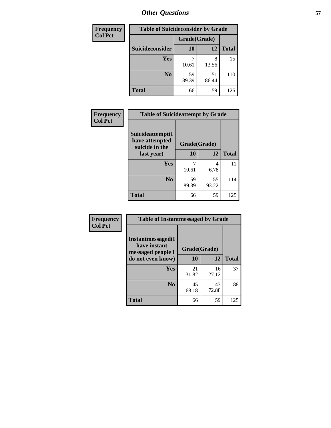| <b>Frequency</b> | <b>Table of Suicideconsider by Grade</b> |              |             |              |  |
|------------------|------------------------------------------|--------------|-------------|--------------|--|
| <b>Col Pct</b>   |                                          | Grade(Grade) |             |              |  |
|                  | Suicideconsider                          | <b>10</b>    | 12          | <b>Total</b> |  |
|                  | <b>Yes</b>                               | 10.61        | 8<br>13.56  | 15           |  |
|                  | N <sub>0</sub>                           | 59<br>89.39  | 51<br>86.44 | 110          |  |
|                  | <b>Total</b>                             | 66           | 59          | 125          |  |

| Frequency      | <b>Table of Suicideattempt by Grade</b>              |              |             |              |
|----------------|------------------------------------------------------|--------------|-------------|--------------|
| <b>Col Pct</b> | Suicideattempt(I<br>have attempted<br>suicide in the | Grade(Grade) |             |              |
|                | last year)                                           | 10           | 12          | <b>Total</b> |
|                | Yes                                                  | 10.61        | 4<br>6.78   | 11           |
|                | N <sub>0</sub>                                       | 59<br>89.39  | 55<br>93.22 | 114          |
|                | <b>Total</b>                                         | 66           | 59          | 125          |

| Frequency      | <b>Table of Instantmessaged by Grade</b>                                    |              |             |              |  |  |
|----------------|-----------------------------------------------------------------------------|--------------|-------------|--------------|--|--|
| <b>Col Pct</b> | Instantmessaged(I<br>have instant<br>messaged people I<br>do not even know) | Grade(Grade) |             |              |  |  |
|                |                                                                             | 10           | 12          | <b>Total</b> |  |  |
|                | Yes                                                                         | 21<br>31.82  | 16<br>27.12 | 37           |  |  |
|                | N <sub>0</sub>                                                              | 45<br>68.18  | 43<br>72.88 | 88           |  |  |
|                | <b>Total</b>                                                                | 66           | 59          | 125          |  |  |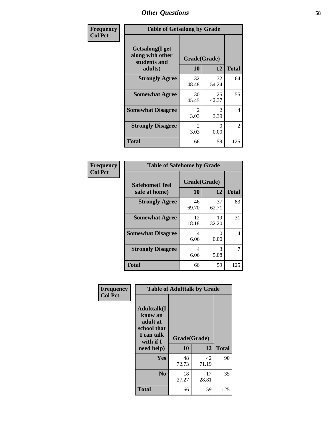| Frequency      | <b>Table of Getsalong by Grade</b>                          |                       |             |                |  |
|----------------|-------------------------------------------------------------|-----------------------|-------------|----------------|--|
| <b>Col Pct</b> | <b>Getsalong</b> (I get<br>along with other<br>students and | Grade(Grade)          |             |                |  |
|                | adults)                                                     | 10                    | 12          | <b>Total</b>   |  |
|                | <b>Strongly Agree</b>                                       | 32<br>48.48           | 32<br>54.24 | 64             |  |
|                | <b>Somewhat Agree</b>                                       | 30<br>45.45           | 25<br>42.37 | 55             |  |
|                | <b>Somewhat Disagree</b>                                    | $\mathcal{L}$<br>3.03 | 2<br>3.39   | 4              |  |
|                | <b>Strongly Disagree</b>                                    | $\mathcal{L}$<br>3.03 | 0<br>0.00   | $\mathfrak{D}$ |  |
|                | <b>Total</b>                                                | 66                    | 59          | 125            |  |

| Frequency      | <b>Table of Safehome by Grade</b> |                    |                           |                |  |
|----------------|-----------------------------------|--------------------|---------------------------|----------------|--|
| <b>Col Pct</b> | Safehome(I feel<br>safe at home)  | Grade(Grade)<br>10 | 12                        | <b>Total</b>   |  |
|                | <b>Strongly Agree</b>             | 46<br>69.70        | 37<br>62.71               | 83             |  |
|                | <b>Somewhat Agree</b>             | 12<br>18.18        | 19<br>32.20               | 31             |  |
|                | <b>Somewhat Disagree</b>          | 4<br>6.06          | $\mathbf{\Omega}$<br>0.00 | 4              |  |
|                | <b>Strongly Disagree</b>          | 4<br>6.06          | 3<br>5.08                 | $\overline{7}$ |  |
|                | <b>Total</b>                      | 66                 | 59                        | 125            |  |

| Frequency      | <b>Table of Adulttalk by Grade</b>                                                                |                    |             |              |  |
|----------------|---------------------------------------------------------------------------------------------------|--------------------|-------------|--------------|--|
| <b>Col Pct</b> | <b>Adulttalk(I</b><br>know an<br>adult at<br>school that<br>I can talk<br>with if I<br>need help) | Grade(Grade)<br>10 | 12          | <b>Total</b> |  |
|                |                                                                                                   |                    |             |              |  |
|                | <b>Yes</b>                                                                                        | 48<br>72.73        | 42<br>71.19 | 90           |  |
|                | N <sub>0</sub>                                                                                    | 18<br>27.27        | 17<br>28.81 | 35           |  |
|                | <b>Total</b>                                                                                      | 66                 | 59          | 125          |  |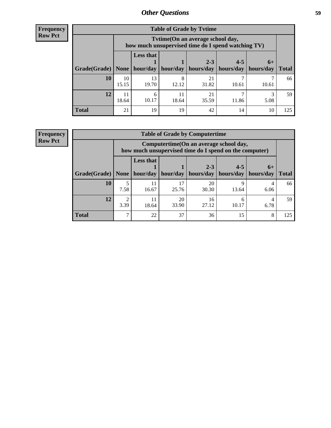**Frequency Row Pct**

| <b>Table of Grade by Tvtime</b> |             |                                                                                        |             |             |           |           |              |
|---------------------------------|-------------|----------------------------------------------------------------------------------------|-------------|-------------|-----------|-----------|--------------|
|                                 |             | Tvtime(On an average school day,<br>how much unsupervised time do I spend watching TV) |             |             |           |           |              |
|                                 |             | <b>Less that</b><br>$2 - 3$<br>$4 - 5$<br>$6+$                                         |             |             |           |           |              |
| Grade(Grade)   None             |             | hour/day                                                                               | hour/day    | hours/day   | hours/day | hours/day | <b>Total</b> |
| 10                              | 10<br>15.15 | 13<br>19.70                                                                            | 8<br>12.12  | 21<br>31.82 | 10.61     | 10.61     | 66           |
| 12                              | 11<br>18.64 | 6<br>10.17                                                                             | 11<br>18.64 | 21<br>35.59 | 11.86     | 5.08      | 59           |
| <b>Total</b>                    | 21          | 19                                                                                     | 19          | 42          | 14        | 10        | 125          |

**Frequency Row Pct**

| <b>Table of Grade by Computertime</b> |                        |                                                                                                                              |             |             |            |           |     |  |  |
|---------------------------------------|------------------------|------------------------------------------------------------------------------------------------------------------------------|-------------|-------------|------------|-----------|-----|--|--|
|                                       |                        | Computertime (On an average school day,<br>how much unsupervised time do I spend on the computer)                            |             |             |            |           |     |  |  |
| Grade(Grade)                          | None                   | <b>Less that</b><br>$2 - 3$<br>$4 - 5$<br>$6+$<br>hour/day<br>hours/day<br>hour/day   hours/day<br>hours/day<br><b>Total</b> |             |             |            |           |     |  |  |
| 10                                    | 7.58                   | 11<br>16.67                                                                                                                  | 17<br>25.76 | 20<br>30.30 | Q<br>13.64 | 4<br>6.06 | 66  |  |  |
| 12                                    | $\overline{2}$<br>3.39 | 20<br>11<br>16<br>4<br>h<br>33.90<br>27.12<br>10.17<br>6.78<br>18.64                                                         |             |             |            |           |     |  |  |
| <b>Total</b>                          | 7                      | 22                                                                                                                           | 37          | 36          | 15         | 8         | 125 |  |  |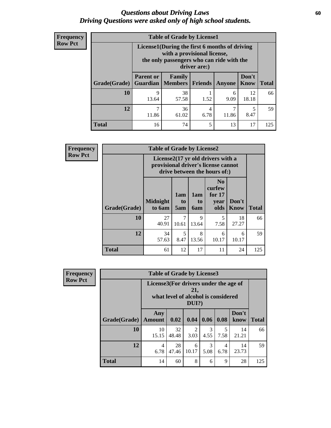### *Questions about Driving Laws* **60** *Driving Questions were asked only of high school students.*

| <b>Frequency</b> |
|------------------|
| <b>Row Pct</b>   |

| <b>Table of Grade by License1</b> |                                                                                                                                           |                               |           |            |               |              |  |  |  |
|-----------------------------------|-------------------------------------------------------------------------------------------------------------------------------------------|-------------------------------|-----------|------------|---------------|--------------|--|--|--|
|                                   | License1(During the first 6 months of driving<br>with a provisional license,<br>the only passengers who can ride with the<br>driver are:) |                               |           |            |               |              |  |  |  |
| <b>Grade</b> (Grade)              | <b>Parent or</b><br><b>Guardian</b>                                                                                                       | Family<br>  Members   Friends |           | Anyone     | Don't<br>Know | <b>Total</b> |  |  |  |
| <b>10</b>                         | 9<br>13.64                                                                                                                                | 38<br>57.58                   | 1.52      | 6<br>9.09  | 12<br>18.18   | 66           |  |  |  |
| 12                                | ⇁<br>11.86                                                                                                                                | 36<br>61.02                   | 4<br>6.78 | 7<br>11.86 | 5<br>8.47     | 59           |  |  |  |
| <b>Total</b>                      | 16                                                                                                                                        | 74                            | 5         | 13         | 17            | 125          |  |  |  |

| <b>Frequency</b> |              | <b>Table of Grade by License2</b> |                  |                  |                                                                                                          |               |              |
|------------------|--------------|-----------------------------------|------------------|------------------|----------------------------------------------------------------------------------------------------------|---------------|--------------|
| <b>Row Pct</b>   |              |                                   |                  |                  | License2(17 yr old drivers with a<br>provisional driver's license cannot<br>drive between the hours of:) |               |              |
|                  | Grade(Grade) | <b>Midnight</b><br>to 6am         | 1am<br>to<br>5am | 1am<br>to<br>6am | N <sub>0</sub><br>curfew<br>for $17$<br>year<br>olds                                                     | Don't<br>Know | <b>Total</b> |
|                  | 10           | 27<br>40.91                       | 7<br>10.61       | 9<br>13.64       | 5<br>7.58                                                                                                | 18<br>27.27   | 66           |
|                  | 12           | 34<br>57.63                       | 5<br>8.47        | 8<br>13.56       | 6<br>10.17                                                                                               | 6<br>10.17    | 59           |
|                  | <b>Total</b> | 61                                | 12               | 17               | 11                                                                                                       | 24            | 125          |

| Frequency      |              | <b>Table of Grade by License3</b>                                                               |             |            |           |           |               |              |
|----------------|--------------|-------------------------------------------------------------------------------------------------|-------------|------------|-----------|-----------|---------------|--------------|
| <b>Row Pct</b> |              | License3(For drivers under the age of<br>21,<br>what level of alcohol is considered<br>$DUI$ ?) |             |            |           |           |               |              |
|                | Grade(Grade) | Any<br><b>Amount</b>                                                                            | 0.02        | 0.04       | 0.06      | 0.08      | Don't<br>know | <b>Total</b> |
|                | <b>10</b>    | 10<br>15.15                                                                                     | 32<br>48.48 | 2<br>3.03  | 3<br>4.55 | 5<br>7.58 | 14<br>21.21   | 66           |
|                | 12           | 4<br>6.78                                                                                       | 28<br>47.46 | 6<br>10.17 | 3<br>5.08 | 4<br>6.78 | 14<br>23.73   | 59           |
|                | <b>Total</b> | 14                                                                                              | 60          | 8          | 6         | 9         | 28            | 125          |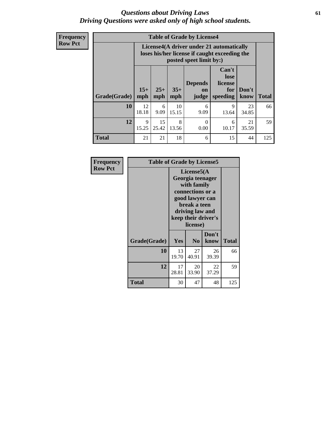### *Questions about Driving Laws* **61** *Driving Questions were asked only of high school students.*

**Frequency Row Pct**

| <b>Table of Grade by License4</b> |             |                                                                                                                                                                                                                                                                                |             |                  |            |             |     |  |
|-----------------------------------|-------------|--------------------------------------------------------------------------------------------------------------------------------------------------------------------------------------------------------------------------------------------------------------------------------|-------------|------------------|------------|-------------|-----|--|
|                                   |             | License4(A driver under 21 automatically<br>loses his/her license if caught exceeding the<br>posted speet limit by:)<br>Can't<br>lose<br><b>Depends</b><br>license<br>$15+$<br>$25+$<br>$35+$<br>Don't<br>for<br>on<br><b>Total</b><br>mph<br>speeding<br>know<br>mph<br>judge |             |                  |            |             |     |  |
| Grade(Grade)                      | mph         |                                                                                                                                                                                                                                                                                |             |                  |            |             |     |  |
| 10                                | 12<br>18.18 | 6<br>9.09                                                                                                                                                                                                                                                                      | 10<br>15.15 | 6<br>9.09        | 9<br>13.64 | 23<br>34.85 | 66  |  |
| 12                                | 9<br>15.25  | 15<br>25.42                                                                                                                                                                                                                                                                    | 8<br>13.56  | $\Omega$<br>0.00 | 6<br>10.17 | 21<br>35.59 | 59  |  |
| <b>Total</b>                      | 21          | 21                                                                                                                                                                                                                                                                             | 18          | 6                | 15         | 44          | 125 |  |

| Frequency      | <b>Table of Grade by License5</b> |                                                                                                                                                             |                |               |       |
|----------------|-----------------------------------|-------------------------------------------------------------------------------------------------------------------------------------------------------------|----------------|---------------|-------|
| <b>Row Pct</b> |                                   | License5(A)<br>Georgia teenager<br>with family<br>connections or a<br>good lawyer can<br>break a teen<br>driving law and<br>keep their driver's<br>license) |                |               |       |
|                | Grade(Grade)                      | <b>Yes</b>                                                                                                                                                  | N <sub>0</sub> | Don't<br>know | Total |
|                | 10                                | 13<br>19.70                                                                                                                                                 | 27<br>40.91    | 26<br>39.39   | 66    |
|                | 12                                | 17<br>28.81                                                                                                                                                 | 20<br>33.90    | 22<br>37.29   | 59    |
|                | Total                             | 30                                                                                                                                                          | 47             | 48            | 125   |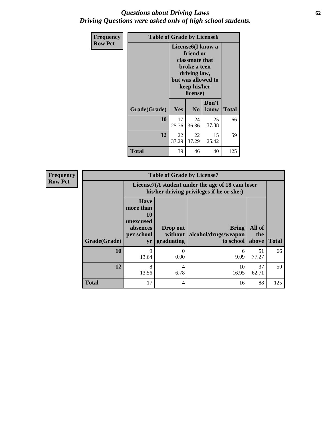## *Questions about Driving Laws* **62** *Driving Questions were asked only of high school students.*

| <b>Frequency</b> | <b>Table of Grade by License6</b> |                                                                                                                                                 |                |               |              |  |  |
|------------------|-----------------------------------|-------------------------------------------------------------------------------------------------------------------------------------------------|----------------|---------------|--------------|--|--|
| <b>Row Pct</b>   |                                   | License <sub>6</sub> (I know a<br>friend or<br>classmate that<br>broke a teen<br>driving law,<br>but was allowed to<br>keep his/her<br>license) |                |               |              |  |  |
|                  | Grade(Grade)                      | Yes                                                                                                                                             | N <sub>0</sub> | Don't<br>know | <b>Total</b> |  |  |
|                  | 10                                | 17<br>25.76                                                                                                                                     | 24<br>36.36    | 25<br>37.88   | 66           |  |  |
|                  | 12                                | 22<br>37.29                                                                                                                                     | 22<br>37.29    | 15<br>25.42   | 59           |  |  |
|                  | <b>Total</b>                      | 39                                                                                                                                              | 46             | 40            | 125          |  |  |

| <b>Frequency</b> | <b>Table of Grade by License7</b> |                                                                             |                                                                                               |                                            |                        |              |  |  |  |
|------------------|-----------------------------------|-----------------------------------------------------------------------------|-----------------------------------------------------------------------------------------------|--------------------------------------------|------------------------|--------------|--|--|--|
| <b>Row Pct</b>   |                                   |                                                                             | License7(A student under the age of 18 cam loser<br>his/her driving privileges if he or she:) |                                            |                        |              |  |  |  |
|                  | Grade(Grade)                      | <b>Have</b><br>more than<br>10<br>unexcused<br>absences<br>per school<br>yr | Drop out<br>without<br>graduating                                                             | Bring<br>alcohol/drugs/weapon<br>to school | All of<br>the<br>above | <b>Total</b> |  |  |  |
|                  | 10                                | 9<br>13.64                                                                  | 0<br>0.00                                                                                     | 6<br>9.09                                  | 51<br>77.27            | 66           |  |  |  |
|                  | 12                                | 8<br>13.56                                                                  | $\overline{4}$<br>6.78                                                                        | 10<br>16.95                                | 37<br>62.71            | 59           |  |  |  |
|                  | <b>Total</b>                      | 17                                                                          | 4                                                                                             | 16                                         | 88                     | 125          |  |  |  |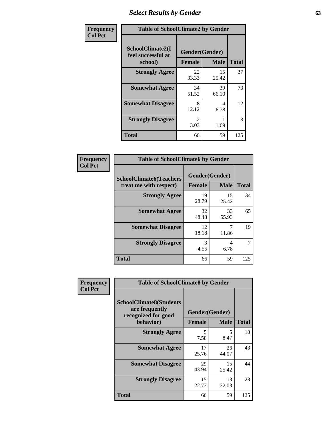# *Select Results by Gender* **63**

| Frequency      | <b>Table of SchoolClimate2 by Gender</b>          |                                 |             |              |  |  |
|----------------|---------------------------------------------------|---------------------------------|-------------|--------------|--|--|
| <b>Col Pct</b> | SchoolClimate2(I<br>feel successful at<br>school) | Gender(Gender)<br><b>Female</b> | <b>Male</b> | <b>Total</b> |  |  |
|                | <b>Strongly Agree</b>                             | 22<br>33.33                     | 15<br>25.42 | 37           |  |  |
|                | <b>Somewhat Agree</b>                             | 34<br>51.52                     | 39<br>66.10 | 73           |  |  |
|                | <b>Somewhat Disagree</b>                          | 8<br>12.12                      | 4<br>6.78   | 12           |  |  |
|                | <b>Strongly Disagree</b>                          | $\mathcal{L}$<br>3.03           | 1.69        | 3            |  |  |
|                | <b>Total</b>                                      | 66                              | 59          | 125          |  |  |

| Frequency      | <b>Table of SchoolClimate6 by Gender</b>                 |               |                               |              |  |  |  |
|----------------|----------------------------------------------------------|---------------|-------------------------------|--------------|--|--|--|
| <b>Col Pct</b> | <b>SchoolClimate6(Teachers</b><br>treat me with respect) | <b>Female</b> | Gender(Gender)<br><b>Male</b> | <b>Total</b> |  |  |  |
|                | <b>Strongly Agree</b>                                    | 19<br>28.79   | 15<br>25.42                   | 34           |  |  |  |
|                | <b>Somewhat Agree</b>                                    | 32<br>48.48   | 33<br>55.93                   | 65           |  |  |  |
|                | <b>Somewhat Disagree</b>                                 | 12<br>18.18   | 11.86                         | 19           |  |  |  |
|                | <b>Strongly Disagree</b>                                 | 3<br>4.55     | 4<br>6.78                     |              |  |  |  |
|                | <b>Total</b>                                             | 66            | 59                            | 125          |  |  |  |

| <b>Frequency</b> | <b>Table of SchoolClimate8 by Gender</b>                                             |                                 |             |              |  |  |
|------------------|--------------------------------------------------------------------------------------|---------------------------------|-------------|--------------|--|--|
| <b>Col Pct</b>   | <b>SchoolClimate8(Students</b><br>are frequently<br>recognized for good<br>behavior) | Gender(Gender)<br><b>Female</b> | <b>Male</b> | <b>Total</b> |  |  |
|                  | <b>Strongly Agree</b>                                                                | 5                               | 5           | 10           |  |  |
|                  |                                                                                      | 7.58                            | 8.47        |              |  |  |
|                  | <b>Somewhat Agree</b>                                                                | 17<br>25.76                     | 26<br>44.07 | 43           |  |  |
|                  | <b>Somewhat Disagree</b>                                                             | 29<br>43.94                     | 15<br>25.42 | 44           |  |  |
|                  | <b>Strongly Disagree</b>                                                             | 15<br>22.73                     | 13<br>22.03 | 28           |  |  |
|                  | <b>Total</b>                                                                         | 66                              | 59          | 125          |  |  |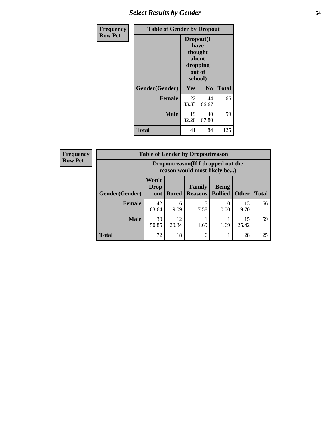# *Select Results by Gender* **64**

| Frequency      | <b>Table of Gender by Dropout</b> |                                                                        |                |              |
|----------------|-----------------------------------|------------------------------------------------------------------------|----------------|--------------|
| <b>Row Pct</b> |                                   | Dropout(I<br>have<br>thought<br>about<br>dropping<br>out of<br>school) |                |              |
|                | Gender(Gender)                    | Yes                                                                    | N <sub>0</sub> | <b>Total</b> |
|                | <b>Female</b>                     | 22<br>33.33                                                            | 44<br>66.67    | 66           |
|                | <b>Male</b>                       | 19<br>32.20                                                            | 40<br>67.80    | 59           |
|                | <b>Total</b>                      | 41                                                                     | 84             | 125          |

| <b>Frequency</b> |                |                                                                    |              | <b>Table of Gender by Dropoutreason</b> |                                |              |              |
|------------------|----------------|--------------------------------------------------------------------|--------------|-----------------------------------------|--------------------------------|--------------|--------------|
| <b>Row Pct</b>   |                | Dropoutreason(If I dropped out the<br>reason would most likely be) |              |                                         |                                |              |              |
|                  | Gender(Gender) | Won't<br><b>Drop</b><br>out                                        | <b>Bored</b> | Family<br><b>Reasons</b>                | <b>Being</b><br><b>Bullied</b> | <b>Other</b> | <b>Total</b> |
|                  | <b>Female</b>  | 42<br>63.64                                                        | 6<br>9.09    | 7.58                                    | 0.00                           | 13<br>19.70  | 66           |
|                  | <b>Male</b>    | 30<br>50.85                                                        | 12<br>20.34  | 1.69                                    | 1.69                           | 15<br>25.42  | 59           |
|                  | <b>Total</b>   | 72                                                                 | 18           | 6                                       |                                | 28           | 125          |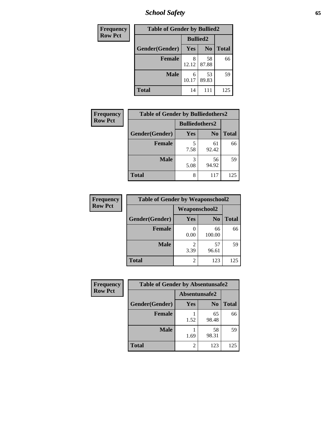*School Safety* **65**

| Frequency      | <b>Table of Gender by Bullied2</b> |                 |                |              |
|----------------|------------------------------------|-----------------|----------------|--------------|
| <b>Row Pct</b> |                                    | <b>Bullied2</b> |                |              |
|                | Gender(Gender)                     | Yes             | N <sub>0</sub> | <b>Total</b> |
|                | <b>Female</b>                      | 12.12           | 58<br>87.88    | 66           |
|                | <b>Male</b>                        | 6<br>10.17      | 53<br>89.83    | 59           |
|                | <b>Total</b>                       | 14              | 111            | 125          |

| Frequency      | <b>Table of Gender by Bulliedothers2</b> |                       |                |              |
|----------------|------------------------------------------|-----------------------|----------------|--------------|
| <b>Row Pct</b> |                                          | <b>Bulliedothers2</b> |                |              |
|                | Gender(Gender)                           | <b>Yes</b>            | N <sub>0</sub> | <b>Total</b> |
|                | <b>Female</b>                            | 5<br>7.58             | 61<br>92.42    | 66           |
|                | <b>Male</b>                              | 3<br>5.08             | 56<br>94.92    | 59           |
|                | Total                                    | 8                     | 117            | 125          |

| <b>Frequency</b> | <b>Table of Gender by Weaponschool2</b> |                      |                |              |  |
|------------------|-----------------------------------------|----------------------|----------------|--------------|--|
| <b>Row Pct</b>   |                                         | <b>Weaponschool2</b> |                |              |  |
|                  | Gender(Gender)                          | Yes                  | N <sub>0</sub> | <b>Total</b> |  |
|                  | <b>Female</b>                           | 0.00                 | 66<br>100.00   | 66           |  |
|                  | <b>Male</b>                             | 2<br>3.39            | 57<br>96.61    | 59           |  |
|                  | <b>Total</b>                            | 2                    | 123            | 125          |  |

| Frequency      | <b>Table of Gender by Absentunsafe2</b> |                             |                |              |  |
|----------------|-----------------------------------------|-----------------------------|----------------|--------------|--|
| <b>Row Pct</b> |                                         | Absentunsafe2               |                |              |  |
|                | Gender(Gender)                          | Yes                         | N <sub>0</sub> | <b>Total</b> |  |
|                | <b>Female</b>                           | 1.52                        | 65<br>98.48    | 66           |  |
|                | <b>Male</b>                             | 1.69                        | 58<br>98.31    | 59           |  |
|                | <b>Total</b>                            | $\mathcal{D}_{\mathcal{A}}$ | 123            | 125          |  |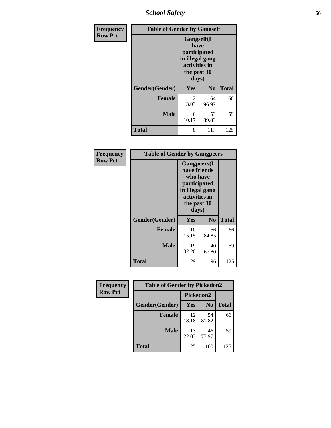*School Safety* **66**

| Frequency      | <b>Table of Gender by Gangself</b> |                                                                                                |                |              |
|----------------|------------------------------------|------------------------------------------------------------------------------------------------|----------------|--------------|
| <b>Row Pct</b> |                                    | Gangself(I<br>have<br>participated<br>in illegal gang<br>activities in<br>the past 30<br>days) |                |              |
|                | Gender(Gender)                     | Yes                                                                                            | N <sub>0</sub> | <b>Total</b> |
|                | <b>Female</b>                      | 2<br>3.03                                                                                      | 64<br>96.97    | 66           |
|                | <b>Male</b>                        | 6<br>10.17                                                                                     | 53<br>89.83    | 59           |
|                | <b>Total</b>                       | 8                                                                                              | 117            | 125          |

| Frequency      | <b>Table of Gender by Gangpeers</b> |                                                                                                                             |                |              |
|----------------|-------------------------------------|-----------------------------------------------------------------------------------------------------------------------------|----------------|--------------|
| <b>Row Pct</b> |                                     | <b>Gangpeers</b> (I<br>have friends<br>who have<br>participated<br>in illegal gang<br>activities in<br>the past 30<br>days) |                |              |
|                | Gender(Gender)                      | Yes                                                                                                                         | N <sub>0</sub> | <b>Total</b> |
|                | <b>Female</b>                       | 10<br>15.15                                                                                                                 | 56<br>84.85    | 66           |
|                | <b>Male</b>                         | 19<br>32.20                                                                                                                 | 40<br>67.80    | 59           |
|                | <b>Total</b>                        | 29                                                                                                                          | 96             | 125          |

| Frequency      | <b>Table of Gender by Pickedon2</b> |                  |                |              |
|----------------|-------------------------------------|------------------|----------------|--------------|
| <b>Row Pct</b> |                                     | <b>Pickedon2</b> |                |              |
|                | Gender(Gender)                      | <b>Yes</b>       | N <sub>0</sub> | <b>Total</b> |
|                | <b>Female</b>                       | 12<br>18.18      | 54<br>81.82    | 66           |
|                | <b>Male</b>                         | 13<br>22.03      | 46<br>77.97    | 59           |
|                | <b>Total</b>                        | 25               | 100            | 125          |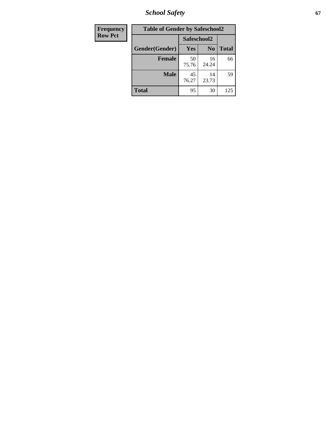*School Safety* **67**

| Frequency      | <b>Table of Gender by Safeschool2</b> |             |                |              |
|----------------|---------------------------------------|-------------|----------------|--------------|
| <b>Row Pct</b> |                                       | Safeschool2 |                |              |
|                | Gender(Gender)                        | Yes         | N <sub>0</sub> | <b>Total</b> |
|                | <b>Female</b>                         | 50<br>75.76 | 16<br>24.24    | 66           |
|                | <b>Male</b>                           | 45<br>76.27 | 14<br>23.73    | 59           |
|                | <b>Total</b>                          | 95          | 30             | 125          |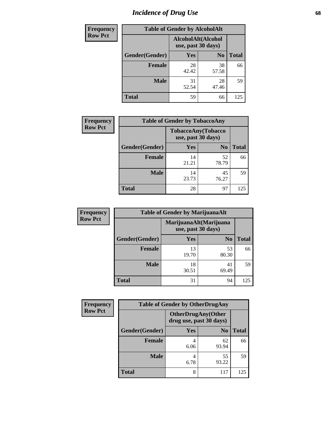# *Incidence of Drug Use* 68

| <b>Frequency</b> | <b>Table of Gender by AlcoholAlt</b> |                                          |                |              |  |
|------------------|--------------------------------------|------------------------------------------|----------------|--------------|--|
| <b>Row Pct</b>   |                                      | AlcoholAlt(Alcohol<br>use, past 30 days) |                |              |  |
|                  | Gender(Gender)                       | <b>Yes</b>                               | N <sub>0</sub> | <b>Total</b> |  |
|                  | <b>Female</b>                        | 28<br>42.42                              | 38<br>57.58    | 66           |  |
|                  | <b>Male</b>                          | 31<br>52.54                              | 28<br>47.46    | 59           |  |
|                  | <b>Total</b>                         | 59                                       | 66             | 125          |  |

| <b>Frequency</b> | <b>Table of Gender by TobaccoAny</b> |                    |                    |              |
|------------------|--------------------------------------|--------------------|--------------------|--------------|
| <b>Row Pct</b>   |                                      | use, past 30 days) | TobaccoAny(Tobacco |              |
|                  | Gender(Gender)                       | Yes                | N <sub>0</sub>     | <b>Total</b> |
|                  | <b>Female</b>                        | 14<br>21.21        | 52<br>78.79        | 66           |
|                  | <b>Male</b>                          | 14<br>23.73        | 45<br>76.27        | 59           |
|                  | <b>Total</b>                         | 28                 | 97                 | 125          |

| <b>Frequency</b> | <b>Table of Gender by MarijuanaAlt</b> |                    |                        |       |  |
|------------------|----------------------------------------|--------------------|------------------------|-------|--|
| <b>Row Pct</b>   |                                        | use, past 30 days) | MarijuanaAlt(Marijuana |       |  |
|                  | Gender(Gender)                         | Yes                | N <sub>0</sub>         | Total |  |
|                  | <b>Female</b>                          | 13<br>19.70        | 53<br>80.30            | 66    |  |
|                  | <b>Male</b>                            | 18<br>30.51        | 41<br>69.49            | 59    |  |
|                  | <b>Total</b>                           | 31                 | 94                     | 125   |  |

| <b>Frequency</b> | <b>Table of Gender by OtherDrugAny</b> |                         |                           |              |  |
|------------------|----------------------------------------|-------------------------|---------------------------|--------------|--|
| <b>Row Pct</b>   |                                        | drug use, past 30 days) | <b>OtherDrugAny(Other</b> |              |  |
|                  | Gender(Gender)                         | <b>Yes</b>              | N <sub>0</sub>            | <b>Total</b> |  |
|                  | <b>Female</b>                          | 6.06                    | 62<br>93.94               | 66           |  |
|                  | <b>Male</b>                            | 4<br>6.78               | 55<br>93.22               | 59           |  |
|                  | <b>Total</b>                           | 8                       | 117                       | 125          |  |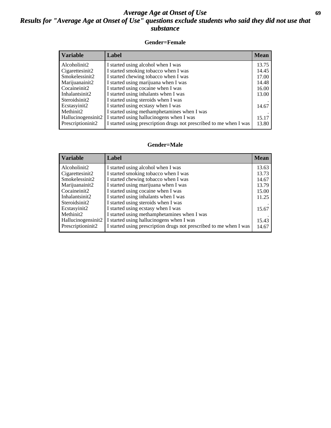## *Average Age at Onset of Use* **69** *Results for "Average Age at Onset of Use" questions exclude students who said they did not use that substance*

### **Gender=Female**

| Label                                                              | <b>Mean</b> |
|--------------------------------------------------------------------|-------------|
| I started using alcohol when I was                                 | 13.75       |
| I started smoking tobacco when I was                               | 14.45       |
| I started chewing tobacco when I was                               | 17.00       |
| I started using marijuana when I was                               | 14.48       |
| I started using cocaine when I was                                 | 16.00       |
| I started using inhalants when I was                               | 13.00       |
| I started using steroids when I was                                |             |
| I started using ecstasy when I was                                 | 14.67       |
| I started using methamphetamines when I was                        |             |
| I started using hallucinogens when I was                           | 15.17       |
| I started using prescription drugs not prescribed to me when I was | 13.80       |
|                                                                    |             |

#### **Gender=Male**

| <b>Variable</b>    | Label                                                              | <b>Mean</b> |
|--------------------|--------------------------------------------------------------------|-------------|
| Alcoholinit2       | I started using alcohol when I was                                 | 13.63       |
| Cigarettesinit2    | I started smoking tobacco when I was                               | 13.73       |
| Smokelessinit2     | I started chewing tobacco when I was                               | 14.67       |
| Marijuanainit2     | I started using marijuana when I was                               | 13.79       |
| Cocaineinit2       | I started using cocaine when I was                                 | 15.00       |
| Inhalantsinit2     | I started using inhalants when I was                               | 11.25       |
| Steroidsinit2      | I started using steroids when I was                                |             |
| Ecstasyinit2       | I started using ecstasy when I was                                 | 15.67       |
| Methinit2          | I started using methamphetamines when I was                        |             |
| Hallucinogensinit2 | I started using hallucinogens when I was                           | 15.43       |
| Prescriptioninit2  | I started using prescription drugs not prescribed to me when I was | 14.67       |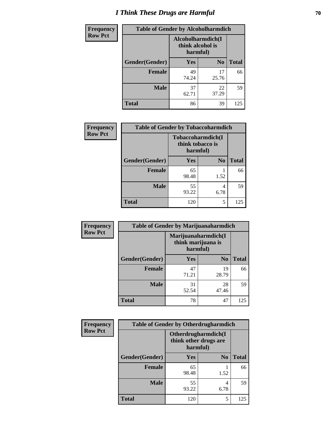# *I Think These Drugs are Harmful* **70**

| Frequency      | <b>Table of Gender by Alcoholharmdich</b> |                                                   |                |              |  |
|----------------|-------------------------------------------|---------------------------------------------------|----------------|--------------|--|
| <b>Row Pct</b> |                                           | Alcoholharmdich(I<br>think alcohol is<br>harmful) |                |              |  |
|                | Gender(Gender)                            | Yes                                               | N <sub>0</sub> | <b>Total</b> |  |
|                | <b>Female</b>                             | 49<br>74.24                                       | 17<br>25.76    | 66           |  |
|                | <b>Male</b>                               | 37<br>62.71                                       | 22<br>37.29    | 59           |  |
|                | Total                                     | 86                                                | 39             | 125          |  |

| Frequency      | <b>Table of Gender by Tobaccoharmdich</b> |                                       |                |              |  |
|----------------|-------------------------------------------|---------------------------------------|----------------|--------------|--|
| <b>Row Pct</b> |                                           | Tobaccoharmdich(I<br>think tobacco is | harmful)       |              |  |
|                | Gender(Gender)                            | Yes                                   | N <sub>0</sub> | <b>Total</b> |  |
|                | <b>Female</b>                             | 65<br>98.48                           | 1.52           | 66           |  |
|                | <b>Male</b>                               | 55<br>93.22                           | 4<br>6.78      | 59           |  |
|                | <b>Total</b>                              | 120                                   | 5              | 125          |  |

| Frequency      | <b>Table of Gender by Marijuanaharmdich</b> |             |                                           |              |  |
|----------------|---------------------------------------------|-------------|-------------------------------------------|--------------|--|
| <b>Row Pct</b> |                                             | harmful)    | Marijuanaharmdich(I<br>think marijuana is |              |  |
|                | Gender(Gender)                              | <b>Yes</b>  | N <sub>0</sub>                            | <b>Total</b> |  |
|                | <b>Female</b>                               | 47<br>71.21 | 19<br>28.79                               | 66           |  |
|                | <b>Male</b>                                 | 31<br>52.54 | 28<br>47.46                               | 59           |  |
|                | <b>Total</b>                                | 78          | 47                                        | 125          |  |

| Frequency      | <b>Table of Gender by Otherdrugharmdich</b> |                                                          |                |              |  |
|----------------|---------------------------------------------|----------------------------------------------------------|----------------|--------------|--|
| <b>Row Pct</b> |                                             | Otherdrugharmdich(I<br>think other drugs are<br>harmful) |                |              |  |
|                | Gender(Gender)                              | <b>Yes</b>                                               | N <sub>0</sub> | <b>Total</b> |  |
|                | <b>Female</b>                               | 65<br>98.48                                              | 1.52           | 66           |  |
|                | <b>Male</b>                                 | 55<br>93.22                                              | 4<br>6.78      | 59           |  |
|                | <b>Total</b>                                | 120                                                      | 5              | 125          |  |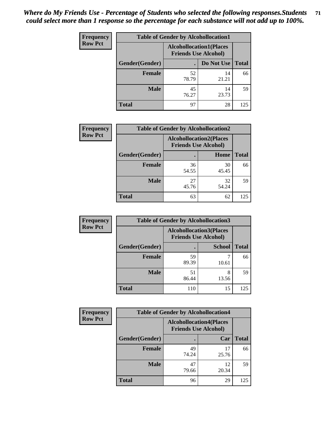| <b>Frequency</b> | <b>Table of Gender by Alcohollocation1</b> |                                                               |             |              |  |
|------------------|--------------------------------------------|---------------------------------------------------------------|-------------|--------------|--|
| <b>Row Pct</b>   |                                            | <b>Alcohollocation1(Places</b><br><b>Friends Use Alcohol)</b> |             |              |  |
|                  | Gender(Gender)                             |                                                               | Do Not Use  | <b>Total</b> |  |
|                  | <b>Female</b>                              | 52<br>78.79                                                   | 14<br>21.21 | 66           |  |
|                  | <b>Male</b>                                | 45<br>76.27                                                   | 14<br>23.73 | 59           |  |
|                  | <b>Total</b>                               | 97                                                            | 28          | 125          |  |

| <b>Frequency</b> | <b>Table of Gender by Alcohollocation2</b> |                                                               |             |              |  |
|------------------|--------------------------------------------|---------------------------------------------------------------|-------------|--------------|--|
| <b>Row Pct</b>   |                                            | <b>Alcohollocation2(Places</b><br><b>Friends Use Alcohol)</b> |             |              |  |
|                  | Gender(Gender)                             |                                                               | Home        | <b>Total</b> |  |
|                  | <b>Female</b>                              | 36<br>54.55                                                   | 30<br>45.45 | 66           |  |
|                  | <b>Male</b>                                | 27<br>45.76                                                   | 32<br>54.24 | 59           |  |
|                  | <b>Total</b>                               | 63                                                            | 62          | 125          |  |

| Frequency      | <b>Table of Gender by Alcohollocation3</b> |                                                               |               |              |
|----------------|--------------------------------------------|---------------------------------------------------------------|---------------|--------------|
| <b>Row Pct</b> |                                            | <b>Alcohollocation3(Places</b><br><b>Friends Use Alcohol)</b> |               |              |
|                | Gender(Gender)                             |                                                               | <b>School</b> | <b>Total</b> |
|                | <b>Female</b>                              | 59<br>89.39                                                   | 10.61         | 66           |
|                | <b>Male</b>                                | 51<br>86.44                                                   | 8<br>13.56    | 59           |
|                | <b>Total</b>                               | 110                                                           | 15            | 125          |

| Frequency      |                | <b>Table of Gender by Alcohollocation4</b>                    |             |              |
|----------------|----------------|---------------------------------------------------------------|-------------|--------------|
| <b>Row Pct</b> |                | <b>Alcohollocation4(Places</b><br><b>Friends Use Alcohol)</b> |             |              |
|                | Gender(Gender) |                                                               | Car         | <b>Total</b> |
|                | <b>Female</b>  | 49<br>74.24                                                   | 17<br>25.76 | 66           |
|                | <b>Male</b>    | 47<br>79.66                                                   | 12<br>20.34 | 59           |
|                | <b>Total</b>   | 96                                                            | 29          | 125          |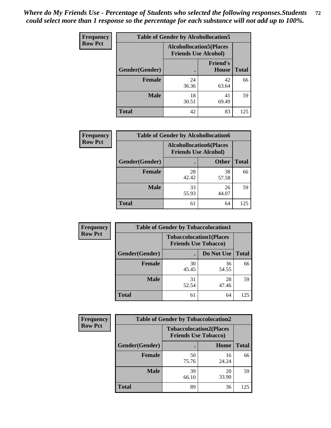| <b>Frequency</b> | <b>Table of Gender by Alcohollocation5</b> |             |                                                                |              |
|------------------|--------------------------------------------|-------------|----------------------------------------------------------------|--------------|
|                  | <b>Row Pct</b>                             |             | <b>Alcohollocation5</b> (Places<br><b>Friends Use Alcohol)</b> |              |
|                  | Gender(Gender)                             | $\bullet$   | <b>Friend's</b><br>House                                       | <b>Total</b> |
|                  | <b>Female</b>                              | 24<br>36.36 | 42<br>63.64                                                    | 66           |
|                  | <b>Male</b>                                | 18<br>30.51 | 41<br>69.49                                                    | 59           |
|                  | <b>Total</b>                               | 42          | 83                                                             | 125          |

| <b>Frequency</b> | <b>Table of Gender by Alcohollocation6</b> |                                                               |              |              |
|------------------|--------------------------------------------|---------------------------------------------------------------|--------------|--------------|
| <b>Row Pct</b>   |                                            | <b>Alcohollocation6(Places</b><br><b>Friends Use Alcohol)</b> |              |              |
|                  | Gender(Gender)                             |                                                               | <b>Other</b> | <b>Total</b> |
|                  | <b>Female</b>                              | 28<br>42.42                                                   | 38<br>57.58  | 66           |
|                  | <b>Male</b>                                | 33<br>55.93                                                   | 26<br>44.07  | 59           |
|                  | <b>Total</b>                               | 61                                                            | 64           | 125          |

| Frequency      | <b>Table of Gender by Tobaccolocation1</b> |                                                               |             |              |
|----------------|--------------------------------------------|---------------------------------------------------------------|-------------|--------------|
| <b>Row Pct</b> |                                            | <b>Tobaccolocation1(Places</b><br><b>Friends Use Tobacco)</b> |             |              |
|                | Gender(Gender)                             |                                                               | Do Not Use  | <b>Total</b> |
|                | Female                                     | 30<br>45.45                                                   | 36<br>54.55 | 66           |
|                | <b>Male</b>                                | 31<br>52.54                                                   | 28<br>47.46 | 59           |
|                | <b>Total</b>                               | 61                                                            | 64          | 125          |

| <b>Frequency</b> | <b>Table of Gender by Tobaccolocation2</b> |                                                               |             |              |
|------------------|--------------------------------------------|---------------------------------------------------------------|-------------|--------------|
| <b>Row Pct</b>   |                                            | <b>Tobaccolocation2(Places</b><br><b>Friends Use Tobacco)</b> |             |              |
|                  | Gender(Gender)                             |                                                               | Home        | <b>Total</b> |
|                  | Female                                     | 50<br>75.76                                                   | 16<br>24.24 | 66           |
|                  | <b>Male</b>                                | 39<br>66.10                                                   | 20<br>33.90 | 59           |
|                  | <b>Total</b>                               | 89                                                            | 36          | 125          |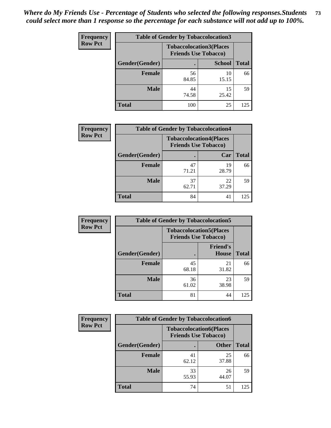| <b>Frequency</b> |                | <b>Table of Gender by Tobaccolocation3</b> |                                |              |
|------------------|----------------|--------------------------------------------|--------------------------------|--------------|
| <b>Row Pct</b>   |                | <b>Friends Use Tobacco)</b>                | <b>Tobaccolocation3(Places</b> |              |
|                  | Gender(Gender) |                                            | <b>School</b>                  | <b>Total</b> |
|                  | Female         | 56<br>84.85                                | 10<br>15.15                    | 66           |
|                  | <b>Male</b>    | 44<br>74.58                                | 15<br>25.42                    | 59           |
|                  | <b>Total</b>   | 100                                        | 25                             | 125          |

| <b>Frequency</b> | <b>Table of Gender by Tobaccolocation4</b> |             |                                                               |              |
|------------------|--------------------------------------------|-------------|---------------------------------------------------------------|--------------|
| <b>Row Pct</b>   |                                            |             | <b>Tobaccolocation4(Places</b><br><b>Friends Use Tobacco)</b> |              |
|                  | Gender(Gender)                             |             | Car                                                           | <b>Total</b> |
|                  | <b>Female</b>                              | 47<br>71.21 | 19<br>28.79                                                   | 66           |
|                  | <b>Male</b>                                | 37<br>62.71 | 22<br>37.29                                                   | 59           |
|                  | <b>Total</b>                               | 84          | 41                                                            | 125          |

| <b>Frequency</b> | <b>Table of Gender by Tobaccolocation5</b> |                                                               |                                 |              |
|------------------|--------------------------------------------|---------------------------------------------------------------|---------------------------------|--------------|
| <b>Row Pct</b>   |                                            | <b>Tobaccolocation5(Places</b><br><b>Friends Use Tobacco)</b> |                                 |              |
|                  | Gender(Gender)                             |                                                               | <b>Friend's</b><br><b>House</b> | <b>Total</b> |
|                  | Female                                     | 45<br>68.18                                                   | 21<br>31.82                     | 66           |
|                  | <b>Male</b>                                | 36<br>61.02                                                   | 23<br>38.98                     | 59           |
|                  | <b>Total</b>                               | 81                                                            | 44                              | 125          |

| <b>Frequency</b> |                | <b>Table of Gender by Tobaccolocation6</b> |                                |              |  |
|------------------|----------------|--------------------------------------------|--------------------------------|--------------|--|
| <b>Row Pct</b>   |                | <b>Friends Use Tobacco)</b>                | <b>Tobaccolocation6(Places</b> |              |  |
|                  | Gender(Gender) |                                            | <b>Other</b>                   | <b>Total</b> |  |
|                  | Female         | 41<br>62.12                                | 25<br>37.88                    | 66           |  |
|                  | <b>Male</b>    | 33<br>55.93                                | 26<br>44.07                    | 59           |  |
|                  | <b>Total</b>   | 74                                         | 51                             | 125          |  |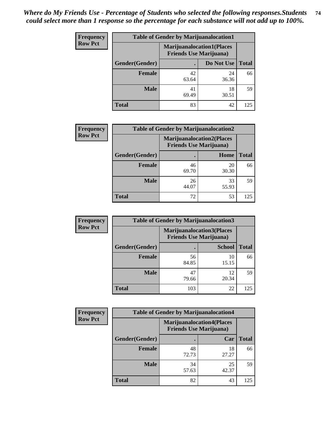| <b>Frequency</b> | <b>Table of Gender by Marijuanalocation1</b> |                                |                                  |              |
|------------------|----------------------------------------------|--------------------------------|----------------------------------|--------------|
| <b>Row Pct</b>   |                                              | <b>Friends Use Marijuana</b> ) | <b>Marijuanalocation1(Places</b> |              |
|                  | Gender(Gender)                               |                                | Do Not Use                       | <b>Total</b> |
|                  | <b>Female</b>                                | 42<br>63.64                    | 24<br>36.36                      | 66           |
|                  | <b>Male</b>                                  | 41<br>69.49                    | 18<br>30.51                      | 59           |
|                  | <b>Total</b>                                 | 83                             | 42                               | 125          |

| <b>Frequency</b> | <b>Table of Gender by Marijuanalocation2</b> |                                                                    |             |              |  |
|------------------|----------------------------------------------|--------------------------------------------------------------------|-------------|--------------|--|
| <b>Row Pct</b>   |                                              | <b>Marijuanalocation2(Places</b><br><b>Friends Use Marijuana</b> ) |             |              |  |
|                  | Gender(Gender)                               |                                                                    | Home        | <b>Total</b> |  |
|                  | Female                                       | 46<br>69.70                                                        | 20<br>30.30 | 66           |  |
|                  | <b>Male</b>                                  | 26<br>44.07                                                        | 33<br>55.93 | 59           |  |
|                  | <b>Total</b>                                 | 72                                                                 | 53          | 125          |  |

| Frequency      | <b>Table of Gender by Marijuanalocation3</b> |                                                                    |               |              |
|----------------|----------------------------------------------|--------------------------------------------------------------------|---------------|--------------|
| <b>Row Pct</b> |                                              | <b>Marijuanalocation3(Places</b><br><b>Friends Use Marijuana</b> ) |               |              |
|                | Gender(Gender)                               |                                                                    | <b>School</b> | <b>Total</b> |
|                | <b>Female</b>                                | 56<br>84.85                                                        | 10<br>15.15   | 66           |
|                | <b>Male</b>                                  | 47<br>79.66                                                        | 12<br>20.34   | 59           |
|                | <b>Total</b>                                 | 103                                                                | 22            | 125          |

| <b>Frequency</b> | <b>Table of Gender by Marijuanalocation4</b> |                                                                    |             |              |
|------------------|----------------------------------------------|--------------------------------------------------------------------|-------------|--------------|
| <b>Row Pct</b>   |                                              | <b>Marijuanalocation4(Places</b><br><b>Friends Use Marijuana</b> ) |             |              |
|                  | Gender(Gender)                               |                                                                    | Car         | <b>Total</b> |
|                  | Female                                       | 48<br>72.73                                                        | 18<br>27.27 | 66           |
|                  | <b>Male</b>                                  | 34<br>57.63                                                        | 25<br>42.37 | 59           |
|                  | <b>Total</b>                                 | 82                                                                 | 43          | 125          |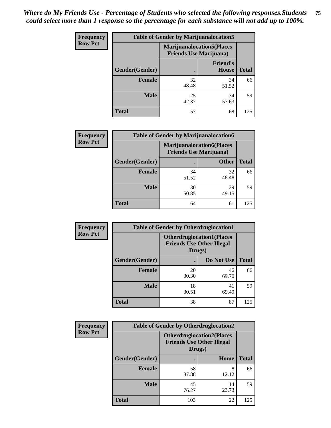| <b>Frequency</b> | <b>Table of Gender by Marijuanalocation5</b> |                                |                                   |              |
|------------------|----------------------------------------------|--------------------------------|-----------------------------------|--------------|
| <b>Row Pct</b>   |                                              | <b>Friends Use Marijuana</b> ) | <b>Marijuanalocation5</b> (Places |              |
|                  | Gender(Gender)                               |                                | <b>Friend's</b><br>House          | <b>Total</b> |
|                  | <b>Female</b>                                | 32<br>48.48                    | 34<br>51.52                       | 66           |
|                  | <b>Male</b>                                  | 25<br>42.37                    | 34<br>57.63                       | 59           |
|                  | <b>Total</b>                                 | 57                             | 68                                | 125          |

| <b>Frequency</b> | <b>Table of Gender by Marijuanalocation6</b> |                                |                                  |              |  |
|------------------|----------------------------------------------|--------------------------------|----------------------------------|--------------|--|
| <b>Row Pct</b>   |                                              | <b>Friends Use Marijuana</b> ) | <b>Marijuanalocation6(Places</b> |              |  |
|                  | <b>Gender</b> (Gender)                       |                                | <b>Other</b>                     | <b>Total</b> |  |
|                  | <b>Female</b>                                | 34<br>51.52                    | 32<br>48.48                      | 66           |  |
|                  | <b>Male</b>                                  | 30<br>50.85                    | 29<br>49.15                      | 59           |  |
|                  | <b>Total</b>                                 | 64                             | 61                               | 125          |  |

| <b>Frequency</b> | <b>Table of Gender by Otherdruglocation1</b> |                                            |                                  |              |
|------------------|----------------------------------------------|--------------------------------------------|----------------------------------|--------------|
| <b>Row Pct</b>   |                                              | <b>Friends Use Other Illegal</b><br>Drugs) | <b>Otherdruglocation1(Places</b> |              |
|                  | Gender(Gender)                               |                                            | Do Not Use                       | <b>Total</b> |
|                  | Female                                       | 20<br>30.30                                | 46<br>69.70                      | 66           |
|                  | <b>Male</b>                                  | 18<br>30.51                                | 41<br>69.49                      | 59           |
|                  | <b>Total</b>                                 | 38                                         | 87                               | 125          |

| <b>Frequency</b> | <b>Table of Gender by Otherdruglocation2</b> |                                                                                |             |              |
|------------------|----------------------------------------------|--------------------------------------------------------------------------------|-------------|--------------|
| <b>Row Pct</b>   |                                              | <b>Otherdruglocation2(Places</b><br><b>Friends Use Other Illegal</b><br>Drugs) |             |              |
|                  | Gender(Gender)                               |                                                                                | Home        | <b>Total</b> |
|                  | <b>Female</b>                                | 58<br>87.88                                                                    | 8<br>12.12  | 66           |
|                  | <b>Male</b>                                  | 45<br>76.27                                                                    | 14<br>23.73 | 59           |
|                  | <b>Total</b>                                 | 103                                                                            | 22          | 125          |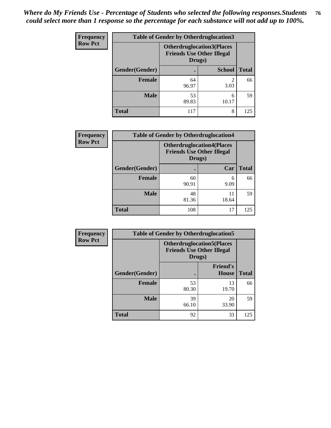| Frequency      | <b>Table of Gender by Otherdruglocation3</b> |                                                                                |               |              |
|----------------|----------------------------------------------|--------------------------------------------------------------------------------|---------------|--------------|
| <b>Row Pct</b> |                                              | <b>Otherdruglocation3(Places</b><br><b>Friends Use Other Illegal</b><br>Drugs) |               |              |
|                | Gender(Gender)                               |                                                                                | <b>School</b> | <b>Total</b> |
|                | <b>Female</b>                                | 64<br>96.97                                                                    | っ<br>3.03     | 66           |
|                | <b>Male</b>                                  | 53<br>89.83                                                                    | 6<br>10.17    | 59           |
|                | <b>Total</b>                                 | 117                                                                            | 8             | 125          |

| <b>Frequency</b> | <b>Table of Gender by Otherdruglocation4</b> |                                                                                |             |              |
|------------------|----------------------------------------------|--------------------------------------------------------------------------------|-------------|--------------|
| <b>Row Pct</b>   |                                              | <b>Otherdruglocation4(Places</b><br><b>Friends Use Other Illegal</b><br>Drugs) |             |              |
|                  | Gender(Gender)                               |                                                                                | Car         | <b>Total</b> |
|                  | Female                                       | 60<br>90.91                                                                    | 6<br>9.09   | 66           |
|                  | <b>Male</b>                                  | 48<br>81.36                                                                    | 11<br>18.64 | 59           |
|                  | <b>Total</b>                                 | 108                                                                            | 17          | 125          |

| <b>Frequency</b> | <b>Table of Gender by Otherdruglocation5</b> |             |                                                                      |              |
|------------------|----------------------------------------------|-------------|----------------------------------------------------------------------|--------------|
| <b>Row Pct</b>   |                                              | Drugs)      | <b>Otherdruglocation5(Places</b><br><b>Friends Use Other Illegal</b> |              |
|                  | Gender(Gender)                               |             | <b>Friend's</b><br>House                                             | <b>Total</b> |
|                  | <b>Female</b>                                | 53<br>80.30 | 13<br>19.70                                                          | 66           |
|                  | <b>Male</b>                                  | 39<br>66.10 | 20<br>33.90                                                          | 59           |
|                  | <b>Total</b>                                 | 92          | 33                                                                   | 125          |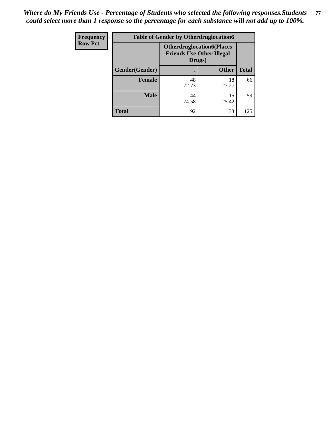| Frequency      | <b>Table of Gender by Otherdruglocation6</b> |                                            |                                  |              |
|----------------|----------------------------------------------|--------------------------------------------|----------------------------------|--------------|
| <b>Row Pct</b> |                                              | <b>Friends Use Other Illegal</b><br>Drugs) | <b>Otherdruglocation6(Places</b> |              |
|                | Gender(Gender)                               |                                            | <b>Other</b>                     | <b>Total</b> |
|                | <b>Female</b>                                | 48<br>72.73                                | 18<br>27.27                      | 66           |
|                | <b>Male</b>                                  | 44<br>74.58                                | 15<br>25.42                      | 59           |
|                | <b>Total</b>                                 | 92                                         | 33                               | 125          |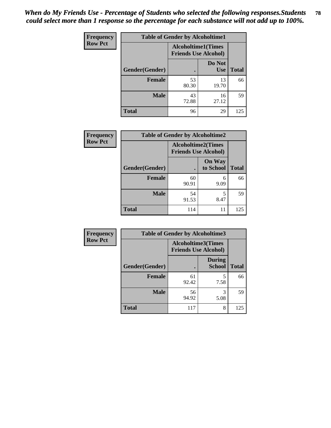| Frequency      | <b>Table of Gender by Alcoholtime1</b> |                                                          |                      |              |
|----------------|----------------------------------------|----------------------------------------------------------|----------------------|--------------|
| <b>Row Pct</b> |                                        | <b>Alcoholtime1(Times</b><br><b>Friends Use Alcohol)</b> |                      |              |
|                | Gender(Gender)                         |                                                          | Do Not<br><b>Use</b> | <b>Total</b> |
|                | <b>Female</b>                          | 53<br>80.30                                              | 13<br>19.70          | 66           |
|                | <b>Male</b>                            | 43<br>72.88                                              | 16<br>27.12          | 59           |
|                | <b>Total</b>                           | 96                                                       | 29                   | 125          |

| Frequency      | <b>Table of Gender by Alcoholtime2</b> |                                                          |                            |              |
|----------------|----------------------------------------|----------------------------------------------------------|----------------------------|--------------|
| <b>Row Pct</b> |                                        | <b>Alcoholtime2(Times</b><br><b>Friends Use Alcohol)</b> |                            |              |
|                | Gender(Gender)                         |                                                          | <b>On Way</b><br>to School | <b>Total</b> |
|                | <b>Female</b>                          | 60<br>90.91                                              | 6<br>9.09                  | 66           |
|                | <b>Male</b>                            | 54<br>91.53                                              | 5<br>8.47                  | 59           |
|                | <b>Total</b>                           | 114                                                      | 11                         | 125          |

| <b>Frequency</b> | <b>Table of Gender by Alcoholtime3</b> |                                                          |                                |              |
|------------------|----------------------------------------|----------------------------------------------------------|--------------------------------|--------------|
| <b>Row Pct</b>   |                                        | <b>Alcoholtime3(Times</b><br><b>Friends Use Alcohol)</b> |                                |              |
|                  | Gender(Gender)                         |                                                          | <b>During</b><br><b>School</b> | <b>Total</b> |
|                  | <b>Female</b>                          | 61<br>92.42                                              | 5<br>7.58                      | 66           |
|                  | <b>Male</b>                            | 56<br>94.92                                              | 3<br>5.08                      | 59           |
|                  | <b>Total</b>                           | 117                                                      | 8                              | 125          |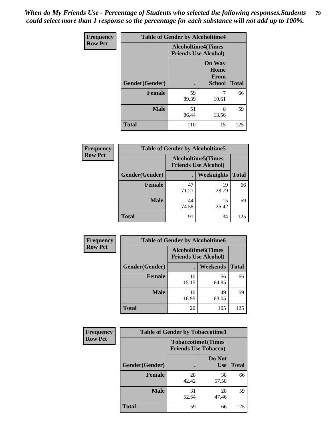*When do My Friends Use - Percentage of Students who selected the following responses.Students could select more than 1 response so the percentage for each substance will not add up to 100%.* **79**

| <b>Frequency</b> | <b>Table of Gender by Alcoholtime4</b> |                                                          |                                                |              |
|------------------|----------------------------------------|----------------------------------------------------------|------------------------------------------------|--------------|
| <b>Row Pct</b>   |                                        | <b>Alcoholtime4(Times</b><br><b>Friends Use Alcohol)</b> |                                                |              |
|                  | Gender(Gender)                         | $\bullet$                                                | <b>On Way</b><br>Home<br>From<br><b>School</b> | <b>Total</b> |
|                  | <b>Female</b>                          | 59<br>89.39                                              | 7<br>10.61                                     | 66           |
|                  | <b>Male</b>                            | 51<br>86.44                                              | 8<br>13.56                                     | 59           |
|                  | <b>Total</b>                           | 110                                                      | 15                                             | 125          |

| <b>Frequency</b> | <b>Table of Gender by Alcoholtime5</b> |                                                           |                   |              |
|------------------|----------------------------------------|-----------------------------------------------------------|-------------------|--------------|
| <b>Row Pct</b>   |                                        | <b>Alcoholtime5</b> (Times<br><b>Friends Use Alcohol)</b> |                   |              |
|                  | Gender(Gender)                         |                                                           | <b>Weeknights</b> | <b>Total</b> |
|                  | <b>Female</b>                          | 47<br>71.21                                               | 19<br>28.79       | 66           |
|                  | <b>Male</b>                            | 44<br>74.58                                               | 15<br>25.42       | 59           |
|                  | <b>Total</b>                           | 91                                                        | 34                | 125          |

| <b>Frequency</b> | <b>Table of Gender by Alcoholtime6</b> |             |                                                          |              |  |
|------------------|----------------------------------------|-------------|----------------------------------------------------------|--------------|--|
| <b>Row Pct</b>   |                                        |             | <b>Alcoholtime6(Times</b><br><b>Friends Use Alcohol)</b> |              |  |
|                  | Gender(Gender)                         |             | Weekends                                                 | <b>Total</b> |  |
|                  | Female                                 | 10<br>15.15 | 56<br>84.85                                              | 66           |  |
|                  | <b>Male</b>                            | 10<br>16.95 | 49<br>83.05                                              | 59           |  |
|                  | <b>Total</b>                           | 20          | 105                                                      | 125          |  |

| Frequency      | <b>Table of Gender by Tobaccotime1</b> |                                                          |                      |              |
|----------------|----------------------------------------|----------------------------------------------------------|----------------------|--------------|
| <b>Row Pct</b> |                                        | <b>Tobaccotime1(Times</b><br><b>Friends Use Tobacco)</b> |                      |              |
|                | Gender(Gender)                         |                                                          | Do Not<br><b>Use</b> | <b>Total</b> |
|                | <b>Female</b>                          | 28<br>42.42                                              | 38<br>57.58          | 66           |
|                | <b>Male</b>                            | 31<br>52.54                                              | 28<br>47.46          | 59           |
|                | <b>Total</b>                           | 59                                                       | 66                   | 125          |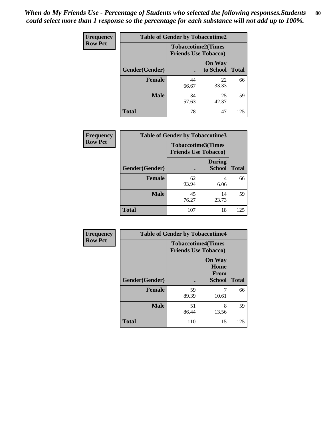| <b>Frequency</b> | <b>Table of Gender by Tobaccotime2</b> |                             |                            |              |
|------------------|----------------------------------------|-----------------------------|----------------------------|--------------|
| <b>Row Pct</b>   |                                        | <b>Friends Use Tobacco)</b> | <b>Tobaccotime2(Times</b>  |              |
|                  | Gender(Gender)                         |                             | <b>On Way</b><br>to School | <b>Total</b> |
|                  | <b>Female</b>                          | 44<br>66.67                 | 22<br>33.33                | 66           |
|                  | <b>Male</b>                            | 34<br>57.63                 | 25<br>42.37                | 59           |
|                  | <b>Total</b>                           | 78                          | 47                         | 125          |

| <b>Frequency</b> | <b>Table of Gender by Tobaccotime3</b> |                                                          |                                |              |
|------------------|----------------------------------------|----------------------------------------------------------|--------------------------------|--------------|
| <b>Row Pct</b>   |                                        | <b>Tobaccotime3(Times</b><br><b>Friends Use Tobacco)</b> |                                |              |
|                  | Gender(Gender)                         |                                                          | <b>During</b><br><b>School</b> | <b>Total</b> |
|                  | <b>Female</b>                          | 62<br>93.94                                              | 4<br>6.06                      | 66           |
|                  | <b>Male</b>                            | 45<br>76.27                                              | 14<br>23.73                    | 59           |
|                  | <b>Total</b>                           | 107                                                      | 18                             | 125          |

| <b>Frequency</b> | <b>Table of Gender by Tobaccotime4</b> |                                                          |                                                |              |
|------------------|----------------------------------------|----------------------------------------------------------|------------------------------------------------|--------------|
| <b>Row Pct</b>   |                                        | <b>Tobaccotime4(Times</b><br><b>Friends Use Tobacco)</b> |                                                |              |
|                  | Gender(Gender)                         |                                                          | <b>On Way</b><br>Home<br>From<br><b>School</b> | <b>Total</b> |
|                  | <b>Female</b>                          | 59<br>89.39                                              | 10.61                                          | 66           |
|                  | <b>Male</b>                            | 51<br>86.44                                              | 8<br>13.56                                     | 59           |
|                  | <b>Total</b>                           | 110                                                      | 15                                             | 125          |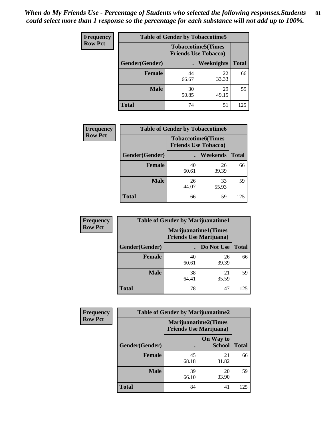| <b>Frequency</b> | <b>Table of Gender by Tobaccotime5</b> |                                                           |                   |              |  |
|------------------|----------------------------------------|-----------------------------------------------------------|-------------------|--------------|--|
| <b>Row Pct</b>   |                                        | <b>Tobaccotime5</b> (Times<br><b>Friends Use Tobacco)</b> |                   |              |  |
|                  | Gender(Gender)                         |                                                           | <b>Weeknights</b> | <b>Total</b> |  |
|                  | <b>Female</b>                          | 44<br>66.67                                               | 22<br>33.33       | 66           |  |
|                  | <b>Male</b>                            | 30<br>50.85                                               | 29<br>49.15       | 59           |  |
|                  | Total                                  | 74                                                        | 51                | 125          |  |

| <b>Frequency</b> |                | <b>Table of Gender by Tobaccotime6</b>                   |                 |              |
|------------------|----------------|----------------------------------------------------------|-----------------|--------------|
| <b>Row Pct</b>   |                | <b>Tobaccotime6(Times</b><br><b>Friends Use Tobacco)</b> |                 |              |
|                  | Gender(Gender) |                                                          | <b>Weekends</b> | <b>Total</b> |
|                  | Female         | 40<br>60.61                                              | 26<br>39.39     | 66           |
|                  | <b>Male</b>    | 26<br>44.07                                              | 33<br>55.93     | 59           |
|                  | <b>Total</b>   | 66                                                       | 59              | 125          |

| <b>Frequency</b> | <b>Table of Gender by Marijuanatime1</b> |                                |                             |              |
|------------------|------------------------------------------|--------------------------------|-----------------------------|--------------|
| <b>Row Pct</b>   |                                          | <b>Friends Use Marijuana</b> ) | <b>Marijuanatime1(Times</b> |              |
|                  | Gender(Gender)                           |                                | Do Not Use                  | <b>Total</b> |
|                  | <b>Female</b>                            | 40<br>60.61                    | 26<br>39.39                 | 66           |
|                  | <b>Male</b>                              | 38<br>64.41                    | 21<br>35.59                 | 59           |
|                  | <b>Total</b>                             | 78                             | 47                          | 125          |

| <b>Frequency</b> |                | <b>Table of Gender by Marijuanatime2</b>                      |                            |              |
|------------------|----------------|---------------------------------------------------------------|----------------------------|--------------|
| <b>Row Pct</b>   |                | <b>Marijuanatime2(Times</b><br><b>Friends Use Marijuana</b> ) |                            |              |
|                  | Gender(Gender) |                                                               | On Way to<br><b>School</b> | <b>Total</b> |
|                  | Female         | 45<br>68.18                                                   | 21<br>31.82                | 66           |
|                  | <b>Male</b>    | 39<br>66.10                                                   | 20<br>33.90                | 59           |
|                  | <b>Total</b>   | 84                                                            | 41                         | 125          |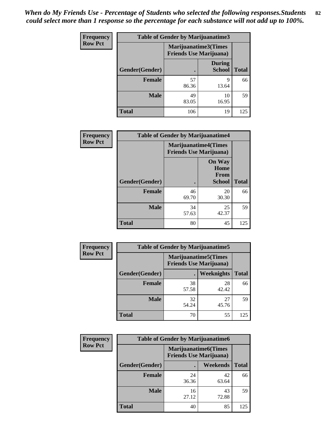| Frequency      | <b>Table of Gender by Marijuanatime3</b> |                                                        |                                |              |
|----------------|------------------------------------------|--------------------------------------------------------|--------------------------------|--------------|
| <b>Row Pct</b> |                                          | Marijuanatime3(Times<br><b>Friends Use Marijuana</b> ) |                                |              |
|                | Gender(Gender)                           |                                                        | <b>During</b><br><b>School</b> | <b>Total</b> |
|                | <b>Female</b>                            | 57<br>86.36                                            | 9<br>13.64                     | 66           |
|                | <b>Male</b>                              | 49<br>83.05                                            | 10<br>16.95                    | 59           |
|                | <b>Total</b>                             | 106                                                    | 19                             | 125          |

| <b>Frequency</b> | <b>Table of Gender by Marijuanatime4</b> |             |                                                               |              |
|------------------|------------------------------------------|-------------|---------------------------------------------------------------|--------------|
| <b>Row Pct</b>   |                                          |             | <b>Marijuanatime4(Times</b><br><b>Friends Use Marijuana</b> ) |              |
|                  |                                          |             | <b>On Way</b><br>Home<br><b>From</b>                          |              |
|                  | Gender(Gender)                           |             | <b>School</b>                                                 | <b>Total</b> |
|                  | <b>Female</b>                            | 46<br>69.70 | 20<br>30.30                                                   | 66           |
|                  | <b>Male</b>                              | 34<br>57.63 | 25<br>42.37                                                   | 59           |
|                  | <b>Total</b>                             | 80          | 45                                                            | 125          |

| Frequency      | <b>Table of Gender by Marijuanatime5</b> |             |                                                                |              |  |
|----------------|------------------------------------------|-------------|----------------------------------------------------------------|--------------|--|
| <b>Row Pct</b> |                                          |             | <b>Marijuanatime5</b> (Times<br><b>Friends Use Marijuana</b> ) |              |  |
|                | Gender(Gender)                           |             | Weeknights                                                     | <b>Total</b> |  |
|                | <b>Female</b>                            | 38<br>57.58 | 28<br>42.42                                                    | 66           |  |
|                | <b>Male</b>                              | 32<br>54.24 | 27<br>45.76                                                    | 59           |  |
|                | <b>Total</b>                             | 70          | 55                                                             | 125          |  |

| Frequency      | <b>Table of Gender by Marijuanatime6</b> |                                                               |                 |              |
|----------------|------------------------------------------|---------------------------------------------------------------|-----------------|--------------|
| <b>Row Pct</b> |                                          | <b>Marijuanatime6(Times</b><br><b>Friends Use Marijuana</b> ) |                 |              |
|                | Gender(Gender)                           |                                                               | <b>Weekends</b> | <b>Total</b> |
|                | <b>Female</b>                            | 24<br>36.36                                                   | 42<br>63.64     | 66           |
|                | <b>Male</b>                              | 16<br>27.12                                                   | 43<br>72.88     | 59           |
|                | <b>Total</b>                             | 40                                                            | 85              | 125          |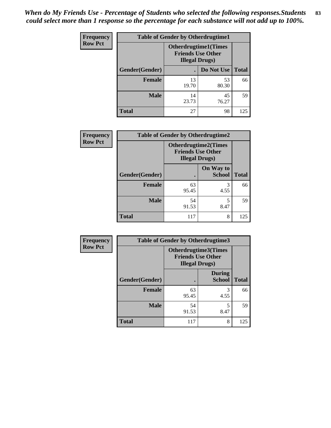*When do My Friends Use - Percentage of Students who selected the following responses.Students could select more than 1 response so the percentage for each substance will not add up to 100%.* **83**

| <b>Frequency</b> | <b>Table of Gender by Otherdrugtime1</b> |                                                                                   |             |              |
|------------------|------------------------------------------|-----------------------------------------------------------------------------------|-------------|--------------|
| <b>Row Pct</b>   |                                          | <b>Otherdrugtime1(Times</b><br><b>Friends Use Other</b><br><b>Illegal Drugs</b> ) |             |              |
|                  | Gender(Gender)                           |                                                                                   | Do Not Use  | <b>Total</b> |
|                  | <b>Female</b>                            | 13<br>19.70                                                                       | 53<br>80.30 | 66           |
|                  | <b>Male</b>                              | 14<br>23.73                                                                       | 45<br>76.27 | 59           |
|                  | Total                                    | 27                                                                                | 98          | 125          |

| Frequency      | <b>Table of Gender by Otherdrugtime2</b> |                                                                                   |                            |              |
|----------------|------------------------------------------|-----------------------------------------------------------------------------------|----------------------------|--------------|
| <b>Row Pct</b> |                                          | <b>Otherdrugtime2(Times</b><br><b>Friends Use Other</b><br><b>Illegal Drugs</b> ) |                            |              |
|                | Gender(Gender)                           |                                                                                   | On Way to<br><b>School</b> | <b>Total</b> |
|                | <b>Female</b>                            | 63<br>95.45                                                                       | 3<br>4.55                  | 66           |
|                | <b>Male</b>                              | 54<br>91.53                                                                       | 5<br>8.47                  | 59           |
|                | <b>Total</b>                             | 117                                                                               | 8                          | 125          |

| Frequency      | <b>Table of Gender by Otherdrugtime3</b> |                        |                                                  |              |
|----------------|------------------------------------------|------------------------|--------------------------------------------------|--------------|
| <b>Row Pct</b> |                                          | <b>Illegal Drugs</b> ) | Otherdrugtime3(Times<br><b>Friends Use Other</b> |              |
|                | Gender(Gender)                           |                        | <b>During</b><br><b>School</b>                   | <b>Total</b> |
|                | <b>Female</b>                            | 63<br>95.45            | 3<br>4.55                                        | 66           |
|                | <b>Male</b>                              | 54<br>91.53            | 5<br>8.47                                        | 59           |
|                | <b>Total</b>                             | 117                    | 8                                                | 125          |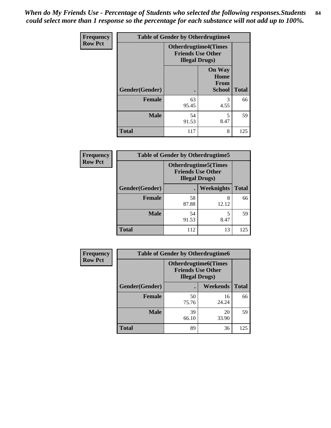*When do My Friends Use - Percentage of Students who selected the following responses.Students could select more than 1 response so the percentage for each substance will not add up to 100%.* **84**

| Frequency      |                | <b>Table of Gender by Otherdrugtime4</b>                                          |                                                |              |
|----------------|----------------|-----------------------------------------------------------------------------------|------------------------------------------------|--------------|
| <b>Row Pct</b> |                | <b>Otherdrugtime4(Times</b><br><b>Friends Use Other</b><br><b>Illegal Drugs</b> ) |                                                |              |
|                | Gender(Gender) |                                                                                   | <b>On Way</b><br>Home<br>From<br><b>School</b> | <b>Total</b> |
|                | <b>Female</b>  | 63<br>95.45                                                                       | 3<br>4.55                                      | 66           |
|                | <b>Male</b>    | 54<br>91.53                                                                       | 5<br>8.47                                      | 59           |
|                | <b>Total</b>   | 117                                                                               | 8                                              | 125          |

| <b>Frequency</b> | <b>Table of Gender by Otherdrugtime5</b> |                                                                                    |                   |              |
|------------------|------------------------------------------|------------------------------------------------------------------------------------|-------------------|--------------|
| <b>Row Pct</b>   |                                          | <b>Otherdrugtime5</b> (Times<br><b>Friends Use Other</b><br><b>Illegal Drugs</b> ) |                   |              |
|                  | Gender(Gender)                           |                                                                                    | <b>Weeknights</b> | <b>Total</b> |
|                  | <b>Female</b>                            | 58<br>87.88                                                                        | 8<br>12.12        | 66           |
|                  | <b>Male</b>                              | 54<br>91.53                                                                        | 8.47              | 59           |
|                  | <b>Total</b>                             | 112                                                                                | 13                | 125          |

| <b>Frequency</b> | <b>Table of Gender by Otherdrugtime6</b> |                                                                                   |             |              |
|------------------|------------------------------------------|-----------------------------------------------------------------------------------|-------------|--------------|
| <b>Row Pct</b>   |                                          | <b>Otherdrugtime6(Times</b><br><b>Friends Use Other</b><br><b>Illegal Drugs</b> ) |             |              |
|                  | Gender(Gender)                           |                                                                                   | Weekends    | <b>Total</b> |
|                  | <b>Female</b>                            | 50<br>75.76                                                                       | 16<br>24.24 | 66           |
|                  | <b>Male</b>                              | 39<br>66.10                                                                       | 20<br>33.90 | 59           |
|                  | <b>Total</b>                             | 89                                                                                | 36          | 125          |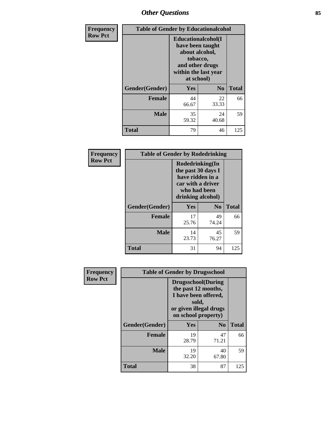# *Other Questions* **85**

| <b>Frequency</b> | <b>Table of Gender by Educationalcohol</b> |                                                                                                                                       |             |              |
|------------------|--------------------------------------------|---------------------------------------------------------------------------------------------------------------------------------------|-------------|--------------|
| <b>Row Pct</b>   |                                            | <b>Educationalcohol</b> (I<br>have been taught<br>about alcohol,<br>tobacco,<br>and other drugs<br>within the last year<br>at school) |             |              |
|                  | Gender(Gender)                             | <b>Yes</b>                                                                                                                            | No          | <b>Total</b> |
|                  | <b>Female</b>                              | 44<br>66.67                                                                                                                           | 22<br>33.33 | 66           |
|                  | <b>Male</b>                                | 35<br>59.32                                                                                                                           | 24<br>40.68 | 59           |
|                  | <b>Total</b>                               | 79                                                                                                                                    | 46          | 125          |

| Frequency      | <b>Table of Gender by Rodedrinking</b> |             |                                                                                                                     |              |
|----------------|----------------------------------------|-------------|---------------------------------------------------------------------------------------------------------------------|--------------|
| <b>Row Pct</b> |                                        |             | Rodedrinking(In<br>the past 30 days I<br>have ridden in a<br>car with a driver<br>who had been<br>drinking alcohol) |              |
|                | Gender(Gender)                         | Yes         | $\mathbf{N}\mathbf{0}$                                                                                              | <b>Total</b> |
|                | <b>Female</b>                          | 17<br>25.76 | 49<br>74.24                                                                                                         | 66           |
|                | <b>Male</b>                            | 14<br>23.73 | 45<br>76.27                                                                                                         | 59           |
|                | <b>Total</b>                           | 31          | 94                                                                                                                  | 125          |

| Frequency      |                | <b>Table of Gender by Drugsschool</b>                                                                                               |                |              |
|----------------|----------------|-------------------------------------------------------------------------------------------------------------------------------------|----------------|--------------|
| <b>Row Pct</b> |                | <b>Drugsschool</b> (During<br>the past 12 months,<br>I have been offered,<br>sold,<br>or given illegal drugs<br>on school property) |                |              |
|                | Gender(Gender) | Yes                                                                                                                                 | N <sub>0</sub> | <b>Total</b> |
|                | <b>Female</b>  | 19<br>28.79                                                                                                                         | 47<br>71.21    | 66           |
|                | <b>Male</b>    | 19<br>32.20                                                                                                                         | 40<br>67.80    | 59           |
|                | Total          | 38                                                                                                                                  | 87             | 125          |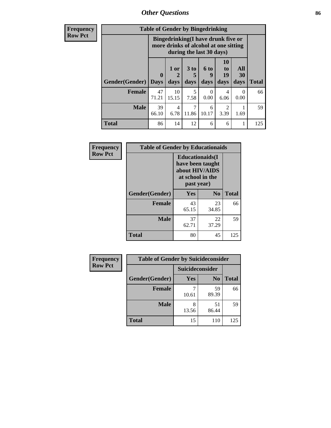# *Other Questions* **86**

**Frequency Row Pct**

| <b>Table of Gender by Bingedrinking</b> |                                                                                                         |             |           |            |                            |           |              |
|-----------------------------------------|---------------------------------------------------------------------------------------------------------|-------------|-----------|------------|----------------------------|-----------|--------------|
|                                         | Bingedrinking(I have drunk five or<br>more drinks of alcohol at one sitting<br>during the last 30 days) |             |           |            |                            |           |              |
|                                         | 0                                                                                                       | $1$ or $ $  | 3 to      | 6 to<br>9  | 10<br>t <sub>0</sub><br>19 | All<br>30 |              |
| Gender(Gender)                          | <b>Days</b>                                                                                             | days        | days      | days       | days                       | days      | <b>Total</b> |
| <b>Female</b>                           | 47<br>71.21                                                                                             | 10<br>15.15 | 5<br>7.58 | 0<br>0.00  | 4<br>6.06                  | 0<br>0.00 | 66           |
| <b>Male</b>                             | 39<br>66.10                                                                                             | 4<br>6.78   | 11.86     | 6<br>10.17 | 2<br>3.39                  | 1.69      | 59           |

| Frequency      | <b>Table of Gender by Educationaids</b> |                                                                                                 |             |              |  |
|----------------|-----------------------------------------|-------------------------------------------------------------------------------------------------|-------------|--------------|--|
| <b>Row Pct</b> |                                         | <b>Educationaids</b> (I<br>have been taught<br>about HIV/AIDS<br>at school in the<br>past year) |             |              |  |
|                | Gender(Gender)                          | Yes                                                                                             | $\bf N_0$   | <b>Total</b> |  |
|                | <b>Female</b>                           | 43<br>65.15                                                                                     | 23<br>34.85 | 66           |  |
|                | <b>Male</b>                             | 37<br>62.71                                                                                     | 22<br>37.29 | 59           |  |
|                | <b>Total</b>                            | 80                                                                                              | 45          | 125          |  |

| <b>Frequency</b> | <b>Table of Gender by Suicideconsider</b> |                 |                |              |  |
|------------------|-------------------------------------------|-----------------|----------------|--------------|--|
| <b>Row Pct</b>   |                                           | Suicideconsider |                |              |  |
|                  | Gender(Gender)                            | Yes             | N <sub>0</sub> | <b>Total</b> |  |
|                  | <b>Female</b>                             | 10.61           | 59<br>89.39    | 66           |  |
|                  | <b>Male</b>                               | 13.56           | 51<br>86.44    | 59           |  |
|                  | <b>Total</b>                              | 15              | 110            | 125          |  |